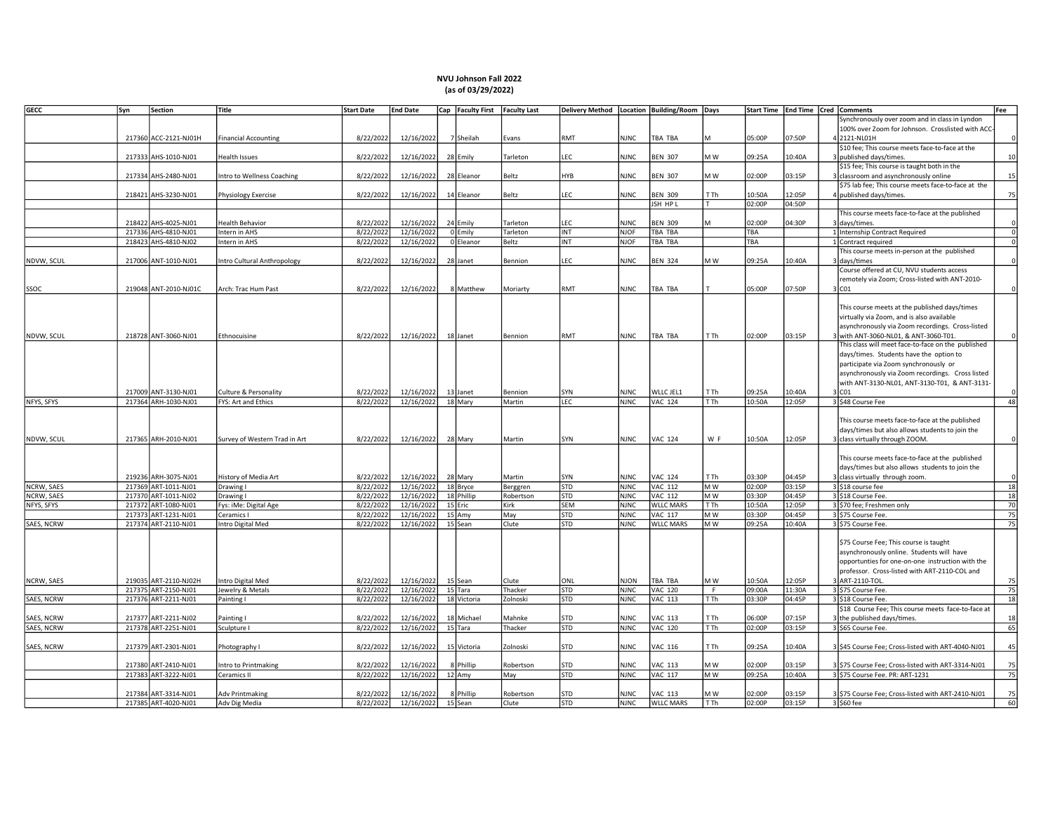## NVU Johnson Fall 2022 (as of 03/29/2022)

| <b>GECC</b>       | Syn    | <b>Section</b>        | Title                                 | <b>Start Date</b>      | <b>End Date</b>          | Cap   Faculty First | <b>Faculty Last</b> |            |             | Delivery Method   Location   Building/Room   Days |                 | <b>Start Time</b> | End Time   Cred   Comments |       |                                                     | Fee                |
|-------------------|--------|-----------------------|---------------------------------------|------------------------|--------------------------|---------------------|---------------------|------------|-------------|---------------------------------------------------|-----------------|-------------------|----------------------------|-------|-----------------------------------------------------|--------------------|
|                   |        |                       |                                       |                        |                          |                     |                     |            |             |                                                   |                 |                   |                            |       | ynchronously over zoom and in class in Lyndon       |                    |
|                   |        |                       |                                       |                        |                          |                     |                     |            |             |                                                   |                 |                   |                            |       | 100% over Zoom for Johnson. Crosslisted with ACC    |                    |
|                   |        | 217360 ACC-2121-NJ01H | <b>Financial Accounting</b>           | 8/22/2022              | 12/16/2022               | 7 Sheilah           | Evans               | RMT        | <b>NJNC</b> | TBA TBA                                           |                 | 05:00P            | 07:50P                     |       | 2121-NL01H                                          | $\Omega$           |
|                   |        |                       |                                       |                        |                          |                     |                     |            |             |                                                   |                 |                   |                            |       | \$10 fee; This course meets face-to-face at the     |                    |
|                   |        | 217333 AHS-1010-NJ01  | Health Issues                         | 8/22/2022              | 12/16/2022               | 28 Emily            | Tarleton            | LEC        | <b>NJNC</b> | <b>BEN 307</b>                                    | M W             | 09:25A            | 10:40A                     |       | published days/times.                               | 10                 |
|                   |        |                       |                                       |                        |                          |                     |                     |            |             |                                                   |                 |                   |                            |       | \$15 fee; This course is taught both in the         |                    |
|                   |        | 217334 AHS-2480-NJ01  | ntro to Wellness Coaching             | 8/22/2022              | 12/16/2022               | 28 Eleanor          | Beltz               | HYB        | <b>NJNC</b> | <b>BEN 307</b>                                    | M W             | 02:00P            | 03:15P                     |       | classroom and asynchronously online                 | 15                 |
|                   |        |                       |                                       |                        |                          |                     |                     |            |             |                                                   |                 |                   |                            |       | \$75 lab fee; This course meets face-to-face at the |                    |
|                   |        | 218421 AHS-3230-NJ01  | Physiology Exercise                   | 8/22/2022              | 12/16/2022               | 14 Eleanor          | Beltz               | LEC        | <b>NJNC</b> | <b>BEN 309</b>                                    | T Th            | 10:50A            | 12:05P                     |       | published days/times.                               | 75                 |
|                   |        |                       |                                       |                        |                          |                     |                     |            |             | JSH HP L                                          |                 | 02:00P            | 04:50P                     |       |                                                     |                    |
|                   |        |                       |                                       |                        |                          |                     |                     |            |             |                                                   |                 |                   |                            |       | This course meets face-to-face at the published     |                    |
|                   |        | 218422 AHS-4025-NJ01  | Health Behavior                       | 8/22/2022              | 12/16/2022               | 24 Emily            | Tarleton            | LEC        | <b>NJNC</b> | <b>BEN 309</b>                                    | M               | 02:00P            | 04:30P                     |       | 3 days/times.                                       | $\Omega$           |
|                   |        | 217336 AHS-4810-NJ01  | Intern in AHS                         | 8/22/2022              | 12/16/2022               | 0 Emily             | <b>Tarleton</b>     | <b>INT</b> | <b>NJOF</b> | TBA TBA                                           |                 | TBA               |                            |       | 1 Internship Contract Required                      | $\overline{\circ}$ |
|                   |        | 218423 AHS-4810-NJ02  | Intern in AHS                         | 8/22/2022              | 12/16/2022               | 0 Eleanor           | Beltz               | <b>INT</b> | <b>NJOF</b> | TBA TBA                                           |                 | TBA               |                            |       | 1 Contract required                                 | $\mathbf 0$        |
|                   |        |                       |                                       |                        |                          |                     |                     |            |             |                                                   |                 |                   |                            |       | This course meets in-person at the published        |                    |
| NDVW, SCUL        |        | 217006 ANT-1010-NJ01  | Intro Cultural Anthropology           | 8/22/2022              | 12/16/2022               | 28 Janet            | Bennion             | LEC        | <b>NJNC</b> | <b>BEN 324</b>                                    | M W             | 09:25A            | 10:40A                     |       | days/times                                          |                    |
|                   |        |                       |                                       |                        |                          |                     |                     |            |             |                                                   |                 |                   |                            |       | Course offered at CU, NVU students access           |                    |
|                   |        |                       |                                       |                        |                          |                     |                     |            |             |                                                   |                 |                   |                            |       | remotely via Zoom; Cross-listed with ANT-2010-      |                    |
| SSOC              |        | 219048 ANT-2010-NJ01C | Arch: Trac Hum Past                   | 8/22/2022              | 12/16/2022               | 8 Matthew           | Moriarty            | RMT        | <b>NJNC</b> | TBA TBA                                           |                 | 05:00P            | 07:50P                     | 3 CO1 |                                                     |                    |
|                   |        |                       |                                       |                        |                          |                     |                     |            |             |                                                   |                 |                   |                            |       |                                                     |                    |
|                   |        |                       |                                       |                        |                          |                     |                     |            |             |                                                   |                 |                   |                            |       | This course meets at the published days/times       |                    |
|                   |        |                       |                                       |                        |                          |                     |                     |            |             |                                                   |                 |                   |                            |       |                                                     |                    |
|                   |        |                       |                                       |                        |                          |                     |                     |            |             |                                                   |                 |                   |                            |       | virtually via Zoom, and is also available           |                    |
|                   |        |                       |                                       |                        |                          |                     |                     |            |             |                                                   |                 |                   |                            |       | asynchronously via Zoom recordings. Cross-listed    |                    |
| NDVW, SCUL        |        | 218728 ANT-3060-NJ01  | Ethnocuisine                          | 8/22/2022              | 12/16/2022               | 18 Janet            | Bennion             | RMT        | <b>NJNC</b> | TBA TBA                                           | T Th            | 02:00P            | 03:15P                     |       | with ANT-3060-NL01, & ANT-3060-T01.                 |                    |
|                   |        |                       |                                       |                        |                          |                     |                     |            |             |                                                   |                 |                   |                            |       | This class will meet face-to-face on the published  |                    |
|                   |        |                       |                                       |                        |                          |                     |                     |            |             |                                                   |                 |                   |                            |       | days/times. Students have the option to             |                    |
|                   |        |                       |                                       |                        |                          |                     |                     |            |             |                                                   |                 |                   |                            |       | participate via Zoom synchronously or               |                    |
|                   |        |                       |                                       |                        |                          |                     |                     |            |             |                                                   |                 |                   |                            |       | asynchronously via Zoom recordings. Cross listed    |                    |
|                   |        |                       |                                       |                        |                          |                     |                     |            |             |                                                   |                 |                   |                            |       | with ANT-3130-NL01, ANT-3130-T01, & ANT-3131-       |                    |
|                   |        | 217009 ANT-3130-NJ01  | Culture & Personality                 | 8/22/2022              | 12/16/2022               | 13 Janet            | Bennion             | SYN        | <b>NJNC</b> | WLLC JEL1                                         | T Th            | 09:25A            | 10:40A                     |       | sico1                                               |                    |
| NFYS, SFYS        |        | 217364 ARH-1030-NJ01  | FYS: Art and Ethics                   | 8/22/2022              | 12/16/2022               | 18 Mary             | Martin              | LEC        | <b>NJNC</b> | VAC 124                                           | T Th            | 10:50A            | 12:05P                     |       | \$48 Course Fee                                     | 48                 |
|                   |        |                       |                                       |                        |                          |                     |                     |            |             |                                                   |                 |                   |                            |       |                                                     |                    |
|                   |        |                       |                                       |                        |                          |                     |                     |            |             |                                                   |                 |                   |                            |       | This course meets face-to-face at the published     |                    |
|                   |        |                       |                                       |                        |                          |                     |                     |            |             |                                                   |                 |                   |                            |       | days/times but also allows students to join the     |                    |
| NDVW, SCUL        |        | 217365 ARH-2010-NJ01  | Survey of Western Trad in Art         | 8/22/2022              | 12/16/2022               | 28 Mary             | Martin              | SYN        | <b>NJNC</b> | <b>VAC 124</b>                                    | W F             | 10:50A            | 12:05P                     |       | class virtually through ZOOM.                       |                    |
|                   |        |                       |                                       |                        |                          |                     |                     |            |             |                                                   |                 |                   |                            |       |                                                     |                    |
|                   |        |                       |                                       |                        |                          |                     |                     |            |             |                                                   |                 |                   |                            |       | This course meets face-to-face at the published     |                    |
|                   |        |                       |                                       |                        |                          |                     |                     |            |             |                                                   |                 |                   |                            |       | days/times but also allows students to join the     |                    |
|                   |        | 219236 ARH-3075-NJ01  | History of Media Art                  | 8/22/2022              | 12/16/2022               | 28 Mary             | Martin              | SYN        | <b>NJNC</b> | <b>VAC 124</b>                                    | T Th            | 03:30P            | 04:45P                     |       | class virtually through zoom.                       |                    |
| NCRW, SAES        |        | 217369 ART-1011-NJ01  | Drawing I                             | 8/22/2022              | 12/16/2022               | 18 Bryce            | Berggren            | <b>STD</b> | <b>NJNC</b> | <b>VAC 112</b>                                    | M W             | 02:00P            | 03:15P                     |       | 3 \$18 course fee                                   | 18                 |
| NCRW, SAES        | 217370 | ART-1011-NJ02         | Drawing I                             | 8/22/2022              | 12/16/2022               | 18 Phillip          | Robertson           | <b>STD</b> | <b>NJNC</b> | <b>VAC 112</b>                                    | M W             | 03:30P            | 04:45P                     |       | 3 \$18 Course Fee.                                  | 18                 |
| NFYS, SFYS        |        | 217372 ART-1080-NJ01  | Fys: iMe: Digital Age                 | 8/22/2022              | 12/16/2022               | 15 Eric             | <b>Kirk</b>         | <b>SEM</b> | <b>NJNC</b> | <b>WLLC MARS</b>                                  | TTh             | 10:50A            | 12:05P                     |       | 3 \$70 fee; Freshmen only                           | 70                 |
|                   |        | 217373 ART-1231-NJ01  | Ceramics I                            | 8/22/2022              | 12/16/2022               | $15$ Amy            | May                 | <b>STD</b> | <b>NJNC</b> | <b>VAC 117</b>                                    | M W             | 03:30P            | 04:45P                     |       | 3 \$75 Course Fee.                                  | 75                 |
| SAES, NCRW        |        | 217374 ART-2110-NJ01  | ntro Digital Med                      | 8/22/2022              | 12/16/2022               | 15 Sean             | Clute               | STD        | <b>NJNC</b> | <b>WLLC MARS</b>                                  | M W             | 09:25A            | 10:40A                     |       | 3 \$75 Course Fee.                                  | 75                 |
|                   |        |                       |                                       |                        |                          |                     |                     |            |             |                                                   |                 |                   |                            |       |                                                     |                    |
|                   |        |                       |                                       |                        |                          |                     |                     |            |             |                                                   |                 |                   |                            |       | \$75 Course Fee; This course is taught              |                    |
|                   |        |                       |                                       |                        |                          |                     |                     |            |             |                                                   |                 |                   |                            |       | asynchronously online. Students will have           |                    |
|                   |        |                       |                                       |                        |                          |                     |                     |            |             |                                                   |                 |                   |                            |       | opportunties for one-on-one instruction with the    |                    |
|                   |        |                       |                                       |                        |                          |                     |                     |            |             |                                                   |                 |                   |                            |       | professor. Cross-listed with ART-2110-COL and       |                    |
|                   |        | 219035 ART-2110-NJ02H |                                       |                        |                          |                     |                     | ONL        | NJON        | TBA TBA                                           | M W             | 10:50A            | 12:05P                     |       | ART-2110-TOL                                        | 75                 |
| NCRW, SAES        |        | 217375 ART-2150-NJ01  | Intro Digital Med<br>Jewelry & Metals | 8/22/2022<br>8/22/2022 | 12/16/2022<br>12/16/2022 | 15 Sean<br>15 Tara  | Clute<br>Thacker    | <b>STD</b> | <b>NJNC</b> | <b>VAC 120</b>                                    | F               | 09:00A            | 11:30A                     |       | \$75 Course Fee.                                    | 75                 |
|                   |        |                       |                                       |                        |                          |                     |                     |            |             |                                                   |                 |                   |                            |       |                                                     | 18                 |
| <b>SAES, NCRW</b> |        | 217376 ART-2211-NJ01  | Painting I                            | 8/22/2022              | 12/16/2022               | 18 Victoria         | Zolnoski            | <b>STD</b> | <b>NJNC</b> | <b>VAC 113</b>                                    | T <sub>Th</sub> | 03:30P            | 04:45P                     |       | 3 \$18 Course Fee.                                  |                    |
|                   |        |                       |                                       |                        |                          |                     |                     |            |             |                                                   |                 |                   |                            |       | \$18 Course Fee; This course meets face-to-face at  |                    |
| SAES, NCRW        | 217377 | ART-2211-NJ02         | Painting I                            | 8/22/2022              | 12/16/2022               | 18 Michael          | Mahnke              | <b>STD</b> | NJNC        | <b>VAC 113</b>                                    | T Th            | 06:00P            | 07:15P                     |       | the published days/times.                           | 18                 |
| <b>SAES, NCRW</b> |        | 217378 ART-2251-NJ01  | Sculpture I                           | 8/22/2022              | 12/16/2022               | 15 Tara             | Thacker             | <b>STD</b> | <b>NJNC</b> | <b>VAC 120</b>                                    | T <sub>Th</sub> | 02:00P            | 03:15P                     |       | 3 \$65 Course Fee.                                  | 65                 |
|                   |        |                       |                                       |                        |                          |                     |                     |            |             |                                                   |                 |                   |                            |       |                                                     |                    |
| SAES, NCRW        |        | 217379 ART-2301-NJ01  | Photography I                         | 8/22/2022              | 12/16/2022               | 15 Victoria         | Zolnoski            | STD        | NJNC        | <b>VAC 116</b>                                    | T Th            | 09:25A            | 10:40A                     |       | \$45 Course Fee; Cross-listed with ART-4040-NJ01    | 45                 |
|                   |        |                       |                                       |                        |                          |                     |                     |            |             |                                                   |                 |                   |                            |       |                                                     |                    |
|                   |        | 217380 ART-2410-NJ01  | Intro to Printmaking                  | 8/22/2022              | 12/16/2022               | 8 Phillip           | Robertson           | <b>STD</b> | <b>NJNC</b> | <b>VAC 113</b>                                    | M W             | 02:00P            | 03:15P                     |       | 3 \$75 Course Fee; Cross-listed with ART-3314-NJ01  | 75                 |
|                   |        | 217383 ART-3222-NJ01  | Ceramics II                           | 8/22/2022              | 12/16/2022               | $12$ Amy            | May                 | STD        | <b>NJNC</b> | <b>VAC 117</b>                                    | MW              | 09:25A            | 10:40A                     |       | 3 \$75 Course Fee. PR: ART-1231                     | 75                 |
|                   |        |                       |                                       |                        |                          |                     |                     |            |             |                                                   |                 |                   |                            |       |                                                     |                    |
|                   |        | 217384 ART-3314-NJ01  | Adv Printmaking                       | 8/22/2022              | 12/16/2022               | 8 Phillip           | Robertson           | <b>STD</b> | <b>NJNC</b> | <b>VAC 113</b>                                    | M W             | 02:00P            | 03:15P                     |       | 3 \$75 Course Fee; Cross-listed with ART-2410-NJ01  | 75                 |
|                   |        | 217385 ART-4020-NJ01  | Adv Dig Media                         | 8/22/2022              | 12/16/2022               | 15 Sean             | Clute               | <b>STD</b> | <b>NJNC</b> | <b>WLLC MARS</b>                                  | T Th            | 02:00P            | 03:15P                     |       | 3 \$60 fee                                          | 60                 |
|                   |        |                       |                                       |                        |                          |                     |                     |            |             |                                                   |                 |                   |                            |       |                                                     |                    |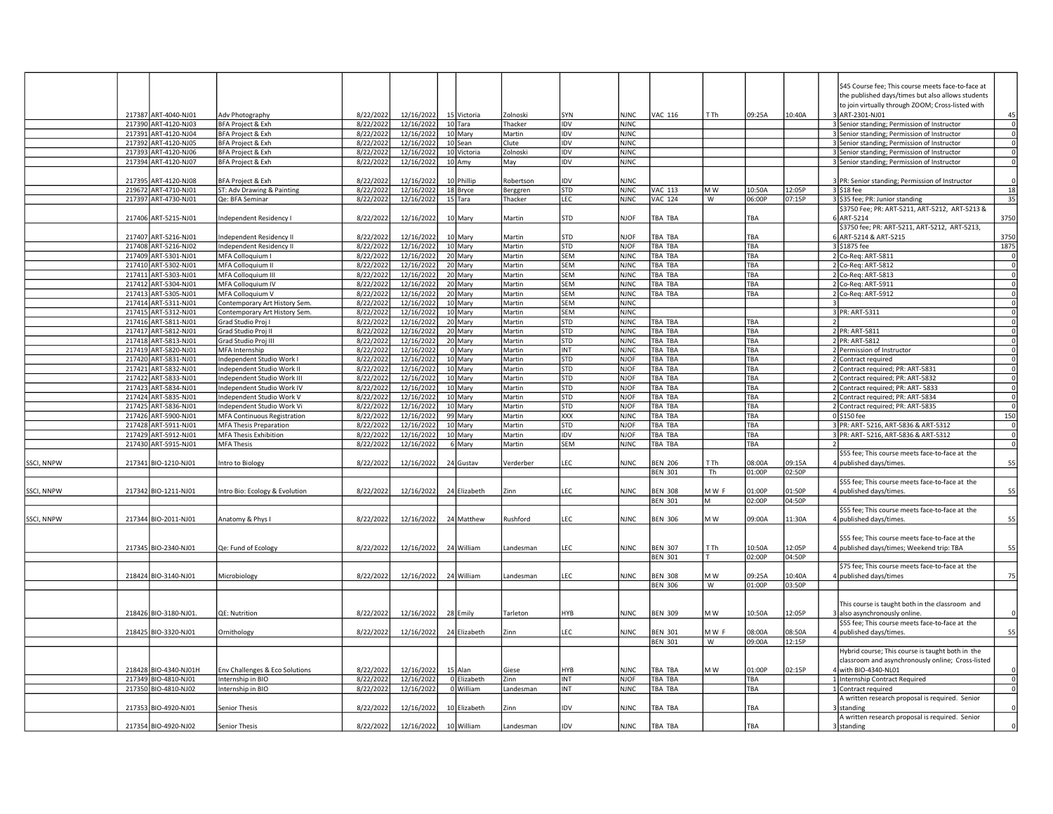| to join virtually through ZOOM; Cross-listed with<br>217387 ART-4040-NJ01<br>Adv Photography<br>8/22/2022<br>12/16/2022<br>15 Victoria<br>Zolnoski<br>SYN<br><b>NJNC</b><br><b>VAC 116</b><br>T Th<br>09:25A<br>10:40A<br>ART-2301-NJ01<br>217390 ART-4120-NJ03<br>BFA Project & Exh<br>8/22/2022<br>12/16/2022<br>10 Tara<br>Thacker<br><b>IDV</b><br><b>NJNC</b><br>3 Senior standing; Permission of Instructor<br>217391 ART-4120-NJ04<br><b>BFA Project &amp; Exh</b><br>8/22/2022<br>12/16/2022<br>10 Mary<br>Martin<br><b>IDV</b><br><b>NJNC</b><br>3 Senior standing; Permission of Instructor<br>217392 ART-4120-NJ05<br>8/22/2022<br>BFA Project & Exh<br>12/16/2022<br>10 Sean<br>Clute<br>IDV<br><b>NJNC</b><br>3 Senior standing; Permission of Instructor<br>217393 ART-4120-NJ06<br>BFA Project & Exh<br>8/22/2022<br>12/16/2022<br>10 Victoria<br>Zolnoski<br>IDV<br><b>NJNC</b><br>3 Senior standing; Permission of Instructor<br>217394 ART-4120-NJ07<br>BFA Project & Exh<br>8/22/2022<br>12/16/2022<br>$10$ Amy<br>IDV<br><b>NJNC</b><br>May<br>3 Senior standing; Permission of Instructor<br>8/22/2022<br>10 Phillip<br>217395 ART-4120-NJ08<br>12/16/2022<br><b>IDV</b><br><b>NJNC</b><br>3 PR: Senior standing; Permission of Instructor<br>BFA Project & Exh<br>Robertson<br><b>STD</b><br><b>NJNC</b><br>VAC 113<br>10:50A<br>12:05P<br>219672 ART-4710-NJ01<br>ST: Adv Drawing & Painting<br>8/22/2022<br>12/16/2022<br>18 Bryce<br>IM W<br>3 \$18 fee<br>Berggren<br>217397 ART-4730-NJ01<br>Qe: BFA Seminar<br>8/22/2022<br>12/16/2022<br>15 Tara<br>Thacker<br>LEC<br><b>NJNC</b><br><b>VAC 124</b><br>W<br>06:00P<br>07:15P<br>3 \$35 fee; PR: Junior standing<br>\$3750 Fee; PR: ART-5211, ART-5212, ART-5213 &<br>217406 ART-5215-NJ01<br>8/22/2022<br>12/16/2022<br>10 Mary<br><b>STD</b><br>6 ART-5214<br>Independent Residency I<br><b>NJOF</b><br>TBA TBA<br>TBA<br>Martin<br>\$3750 fee; PR: ART-5211, ART-5212, ART-5213,<br>217407 ART-5216-NJ01<br>8/22/2022<br>12/16/2022<br>10 Mary<br>TBA TBA<br>ART-5214 & ART-5215<br>Independent Residency II<br>Martin<br><b>STD</b><br><b>NJOF</b><br>TBA<br>217408 ART-5216-NJ02<br>8/22/2022<br>12/16/2022<br>10 Mary<br><b>STD</b><br><b>NJOF</b><br>TBA TBA<br>TBA<br>3 \$1875 fee<br>Independent Residency II<br>Martin<br>217409 ART-5301-NJ01<br>8/22/2022<br>12/16/2022<br>20 Mary<br>SEM<br>TBA TBA<br>TBA<br>2 Co-Reg: ART-5811<br>MFA Colloquium I<br>Martin<br><b>NJNC</b><br><b>SEM</b><br>217410 ART-5302-NJ01<br>MFA Colloquium II<br>8/22/2022<br>12/16/2022<br>20 Mary<br>Martin<br><b>NJNC</b><br>TBA TBA<br><b>TBA</b><br>2 Co-Reg: ART-5812<br>217411 ART-5303-NJ01<br>MFA Colloquium III<br>8/22/2022<br>20 Mary<br><b>SEM</b><br>TBA<br>2 Co-Reg: ART-5813<br>12/16/2022<br>Martin<br><b>NJNC</b><br>TBA TBA<br>217412 ART-5304-NJ01<br>MFA Colloquium IV<br>8/22/2022<br>12/16/2022<br>20 Mary<br>Martin<br>SEM<br><b>NJNC</b><br>TBA TBA<br>TBA<br>2 Co-Req: ART-5911<br>217413 ART-5305-NJ01<br>8/22/2022<br><b>SEM</b><br><b>TBA TBA</b><br>MFA Colloquium V<br>12/16/2022<br>20 Mary<br>Martin<br><b>NJNC</b><br>TBA<br>2 Co-Req: ART-5912<br>217414 ART-5311-NJ01<br>Contemporary Art History Sem.<br>8/22/2022<br>12/16/2022<br>10 Mary<br>Martin<br><b>SEM</b><br><b>NJNC</b><br>217415 ART-5312-NJ01<br>8/22/2022<br>12/16/2022<br><b>SEM</b><br>3 PR: ART-5311<br>Contemporary Art History Sem.<br>10 Mary<br>Martin<br><b>NJNC</b><br>217416 ART-5811-NJ01<br>8/22/2022<br>12/16/2022<br>20 Mary<br><b>STD</b><br><b>NJNC</b><br>TBA TBA<br>TBA<br>$\mathcal{L}$<br>Grad Studio Proj<br>Martin<br>2 PR: ART-5811<br>8/22/2022<br>20 Mary<br><b>STD</b><br>TBA<br>217417 ART-5812-NJ01<br>12/16/2022<br><b>NJNC</b><br>TBA TBA<br>Grad Studio Proj II<br>Martin<br>217418 ART-5813-NJ01<br>Grad Studio Proj III<br>8/22/2022<br>12/16/2022<br>20 Mary<br>Martin<br><b>STD</b><br><b>NJNC</b><br>TBA TBA<br>TBA<br>2 PR: ART-5812<br>217419 ART-5820-NJ01<br>MFA Internship<br>8/22/2022<br>12/16/2022<br>0 Mary<br>Martin<br><b>IINT</b><br><b>NJNC</b><br>TBA TBA<br>TBA<br>2 Permission of Instructor<br>217420 ART-5831-NJ01<br>8/22/2022<br>Martin<br><b>STD</b><br><b>TBA TBA</b><br>TBA<br>Independent Studio Work I<br>12/16/2022<br>10 Mary<br><b>NJOF</b><br>2 Contract required<br>217421 ART-5832-NJ01<br>8/22/2022<br>12/16/2022<br>10 Mary<br>Martin<br><b>STD</b><br><b>NJOF</b><br>TBA TBA<br>TBA<br>2 Contract required; PR: ART-5831<br>Independent Studio Work II<br>217422 ART-5833-NJ01<br>Independent Studio Work III<br>8/22/2022<br>12/16/2022<br>10 Mary<br>Martin<br><b>STD</b><br><b>NJOF</b><br>TBA TBA<br>TBA<br>2 Contract required; PR: ART-5832<br>217423 ART-5834-NJ01<br>Independent Studio Work IV<br>8/22/2022<br>12/16/2022<br>10 Mary<br>Martin<br><b>STD</b><br><b>NJOF</b><br>TBA TBA<br>TBA<br>2 Contract required; PR: ART- 5833<br>217424 ART-5835-NJ01<br>8/22/2022<br>12/16/2022<br><b>STD</b><br>Independent Studio Work V<br>10 Mary<br>Martin<br><b>NJOF</b><br>TBA TBA<br>TBA<br>2 Contract required; PR: ART-5834<br>217425 ART-5836-NJ01<br>12/16/2022<br><b>STD</b><br><b>NJOF</b><br>TBA TBA<br>2 Contract required; PR: ART-5835<br>Independent Studio Work Vi<br>8/22/2022<br>10 Mary<br>Martin<br><b>TBA</b><br>217426 ART-5900-NJ01<br>8/22/2022<br>12/16/2022<br>99 Mary<br><b>XXX</b><br><b>MFA Continuous Registration</b><br>Martin<br><b>NJNC</b><br>TBA TBA<br>TBA<br>0 \$150 fee<br>217428 ART-5911-NJ01<br>MFA Thesis Preparation<br>8/22/2022<br>12/16/2022<br>10 Mary<br>Martin<br><b>STD</b><br><b>NIOF</b><br>TBA TBA<br>TBA<br>3 PR: ART- 5216, ART-5836 & ART-5312<br>217429 ART-5912-NJ01<br>8/22/2022<br><b>TBA TBA</b><br>3 PR: ART-5216, ART-5836 & ART-5312<br><b>MFA Thesis Exhibition</b><br>12/16/2022<br>10 Mary<br>Martin<br>IDV<br><b>NJOF</b><br>TBA<br>217430 ART-5915-NJ01<br>8/22/2022<br>12/16/2022<br><b>SEM</b><br>TBA TBA<br>MFA Thesis<br>6 Mary<br>Martin<br><b>NJNC</b><br>TBA<br>\$55 fee; This course meets face-to-face at the<br>SSCI, NNPW<br>217341 BIO-1210-NJ01<br>8/22/2022<br>12/16/2022<br>24 Gustav<br>LEC<br><b>NJNC</b><br><b>BEN 206</b><br>T Th<br>08:00A<br>09:15A<br>4 published days/times.<br>Verderber<br>Intro to Biology<br>Th<br>02:50P<br><b>BEN 301</b><br>01:00P<br>\$55 fee; This course meets face-to-face at the<br>217342 BIO-1211-NJ01<br>8/22/2022<br>12/16/2022<br>24 Elizabeth<br>Intro Bio: Ecology & Evolution<br>Zinn<br>LEC<br><b>NJNC</b><br><b>BEN 308</b><br>MWF<br>01:00P<br>01:50P<br>4 published days/times.<br><b>BEN 301</b><br>lм<br>02:00P<br>04:50P<br>\$55 fee; This course meets face-to-face at the<br>8/22/2022<br>12/16/2022<br>LEC<br>217344 BIO-2011-NJ01<br>Anatomy & Phys I<br>24 Matthew<br>Rushford<br><b>NJNC</b><br><b>BEN 306</b><br>M W<br>09:00A<br>11:30A<br>published days/times.<br>\$55 fee; This course meets face-to-face at the<br>217345 BIO-2340-NJ01<br>8/22/2022<br>10:50A<br>12:05P<br>12/16/2022<br>24 William<br>LEC<br><b>NJNC</b><br><b>BEN 307</b><br>T Th<br>published days/times; Weekend trip: TBA<br>Qe: Fund of Ecology<br>Landesman<br><b>BEN 301</b><br>02:00P<br>04:50P<br>\$75 fee; This course meets face-to-face at the<br>8/22/2022<br>12/16/2022<br>24 William<br>4 published days/times<br>218424 BIO-3140-NJ01<br>LEC<br><b>NJNC</b><br><b>BEN 308</b><br>M W<br>09:25A<br>10:40A<br>Microbiology<br>Landesman<br><b>BEN 306</b><br>W<br>01:00P<br>03:50P<br>This course is taught both in the classroom and<br>12/16/2022<br>28 Emily<br>218426 BIO-3180-NJ01<br>8/22/2022<br><b>NJNC</b><br><b>BEN 309</b><br>M W<br>10:50A<br>12:05P<br>3 also asynchronously online.<br>QE: Nutrition<br>Tarleton<br><b>HYB</b><br>\$55 fee; This course meets face-to-face at the<br>218425 BIO-3320-NJ01<br>8/22/2022<br>12/16/2022<br>24 Elizabeth<br>LEC<br><b>NJNC</b><br><b>BEN 301</b><br>MWF<br>08:00A<br>08:50A<br>published days/times.<br>Ornithology<br>Zinn<br><b>BEN 301</b><br>W<br>09:00A<br>12:15P<br>Hybrid course; This course is taught both in the<br>classroom and asynchronously online; Cross-listed<br>218428 BIO-4340-NJ01H<br>Env Challenges & Eco Solutions<br>8/22/2022<br>12/16/2022<br>15 Alan<br><b>NJNC</b><br>TBA TBA<br>M W<br>01:00P<br>02:15P<br>4 with BIO-4340-NL01<br>Giese<br><b>HYB</b><br>217349 BIO-4810-NJ01<br>12/16/2022<br>Internship in BIO<br>8/22/2022<br>0 Elizabeth<br>Zinn<br><b>IINT</b><br><b>NJOF</b><br>TBA TBA<br>TBA<br>1 Internship Contract Required<br>217350 BIO-4810-NJ02<br>8/22/2022<br>12/16/2022<br>0 William<br>INT<br>Internship in BIO<br><b>NJNC</b><br>TBA TBA<br>TBA<br>Landesman<br>1 Contract required<br>A written research proposal is required. Senior<br>217353 BIO-4920-NJ01<br>8/22/2022<br>12/16/2022<br>10 Elizabeth<br>Senior Thesis<br>Zinn<br><b>IDV</b><br><b>NJNC</b><br>TBA TBA<br><b>FRA</b><br>standing<br>A written research proposal is required. Senior<br>217354 BIO-4920-NJ02<br>8/22/2022<br>12/16/2022<br>Senior Thesis<br>10 William<br>IDV<br><b>NJNC</b><br>TBA TBA<br>TBA<br>Landesman<br>standing |                   |  |  |  |  |  |  |  | \$45 Course fee; This course meets face-to-face at |  |
|--------------------------------------------------------------------------------------------------------------------------------------------------------------------------------------------------------------------------------------------------------------------------------------------------------------------------------------------------------------------------------------------------------------------------------------------------------------------------------------------------------------------------------------------------------------------------------------------------------------------------------------------------------------------------------------------------------------------------------------------------------------------------------------------------------------------------------------------------------------------------------------------------------------------------------------------------------------------------------------------------------------------------------------------------------------------------------------------------------------------------------------------------------------------------------------------------------------------------------------------------------------------------------------------------------------------------------------------------------------------------------------------------------------------------------------------------------------------------------------------------------------------------------------------------------------------------------------------------------------------------------------------------------------------------------------------------------------------------------------------------------------------------------------------------------------------------------------------------------------------------------------------------------------------------------------------------------------------------------------------------------------------------------------------------------------------------------------------------------------------------------------------------------------------------------------------------------------------------------------------------------------------------------------------------------------------------------------------------------------------------------------------------------------------------------------------------------------------------------------------------------------------------------------------------------------------------------------------------------------------------------------------------------------------------------------------------------------------------------------------------------------------------------------------------------------------------------------------------------------------------------------------------------------------------------------------------------------------------------------------------------------------------------------------------------------------------------------------------------------------------------------------------------------------------------------------------------------------------------------------------------------------------------------------------------------------------------------------------------------------------------------------------------------------------------------------------------------------------------------------------------------------------------------------------------------------------------------------------------------------------------------------------------------------------------------------------------------------------------------------------------------------------------------------------------------------------------------------------------------------------------------------------------------------------------------------------------------------------------------------------------------------------------------------------------------------------------------------------------------------------------------------------------------------------------------------------------------------------------------------------------------------------------------------------------------------------------------------------------------------------------------------------------------------------------------------------------------------------------------------------------------------------------------------------------------------------------------------------------------------------------------------------------------------------------------------------------------------------------------------------------------------------------------------------------------------------------------------------------------------------------------------------------------------------------------------------------------------------------------------------------------------------------------------------------------------------------------------------------------------------------------------------------------------------------------------------------------------------------------------------------------------------------------------------------------------------------------------------------------------------------------------------------------------------------------------------------------------------------------------------------------------------------------------------------------------------------------------------------------------------------------------------------------------------------------------------------------------------------------------------------------------------------------------------------------------------------------------------------------------------------------------------------------------------------------------------------------------------------------------------------------------------------------------------------------------------------------------------------------------------------------------------------------------------------------------------------------------------------------------------------------------------------------------------------------------------------------------------------------------------------------------------------------------------------------------------------------------------------------------------------------------------------------------------------------------------------------------------------------------------------------------------------------------------------------------------------------------------------------------------------------------------------------------------------------------------------------------------------------------------------------------------------------------------------------------------------------------------------------------------------------------------------------------------------------------------------------------------------------------------------------------------------------------------------------------------------------------------------------------------------------------------------------------------------------------------------------------------------------------------------------------------------------------------------------------------------------------------------------------------------------------------------------------------------------------------------------------------------------------------------------------------------------------------------------------------------------------------------------------------------------------------------------------------------------------------------------------------------------------------------------------------------------------------------------------------------------------------------------------------------------------------------------------------------------------------------------------------------------------------------------------------------------------------------------------------------------------------------------------------------------------------------------------------------------------------------------------------------------------------------------------------------------------------------------------------------------------------------------------------------------------------------------------------------------------------------------------------------------------------------------------------------------------------------------------------------------------------------------------------------------------------------------------------------------------------------------------------------------------------------------------------------------------------------------------------------------------------------------------------------------------------------------------------------------------------------------------------------------|-------------------|--|--|--|--|--|--|--|----------------------------------------------------|--|
| 45                                                                                                                                                                                                                                                                                                                                                                                                                                                                                                                                                                                                                                                                                                                                                                                                                                                                                                                                                                                                                                                                                                                                                                                                                                                                                                                                                                                                                                                                                                                                                                                                                                                                                                                                                                                                                                                                                                                                                                                                                                                                                                                                                                                                                                                                                                                                                                                                                                                                                                                                                                                                                                                                                                                                                                                                                                                                                                                                                                                                                                                                                                                                                                                                                                                                                                                                                                                                                                                                                                                                                                                                                                                                                                                                                                                                                                                                                                                                                                                                                                                                                                                                                                                                                                                                                                                                                                                                                                                                                                                                                                                                                                                                                                                                                                                                                                                                                                                                                                                                                                                                                                                                                                                                                                                                                                                                                                                                                                                                                                                                                                                                                                                                                                                                                                                                                                                                                                                                                                                                                                                                                                                                                                                                                                                                                                                                                                                                                                                                                                                                                                                                                                                                                                                                                                                                                                                                                                                                                                                                                                                                                                                                                                                                                                                                                                                                                                                                                                                                                                                                                                                                                                                                                                                                                                                                                                                                                                                                                                                                                                                                                                                                                                                                                                                                                                                                                                                                                                                                                                                                                                                                                                                                                                                                                                                                                                                                                                                                                                                                                                                                                                           |                   |  |  |  |  |  |  |  | the published days/times but also allows students  |  |
| $\circ$<br>$\overline{\mathfrak{o}}$                                                                                                                                                                                                                                                                                                                                                                                                                                                                                                                                                                                                                                                                                                                                                                                                                                                                                                                                                                                                                                                                                                                                                                                                                                                                                                                                                                                                                                                                                                                                                                                                                                                                                                                                                                                                                                                                                                                                                                                                                                                                                                                                                                                                                                                                                                                                                                                                                                                                                                                                                                                                                                                                                                                                                                                                                                                                                                                                                                                                                                                                                                                                                                                                                                                                                                                                                                                                                                                                                                                                                                                                                                                                                                                                                                                                                                                                                                                                                                                                                                                                                                                                                                                                                                                                                                                                                                                                                                                                                                                                                                                                                                                                                                                                                                                                                                                                                                                                                                                                                                                                                                                                                                                                                                                                                                                                                                                                                                                                                                                                                                                                                                                                                                                                                                                                                                                                                                                                                                                                                                                                                                                                                                                                                                                                                                                                                                                                                                                                                                                                                                                                                                                                                                                                                                                                                                                                                                                                                                                                                                                                                                                                                                                                                                                                                                                                                                                                                                                                                                                                                                                                                                                                                                                                                                                                                                                                                                                                                                                                                                                                                                                                                                                                                                                                                                                                                                                                                                                                                                                                                                                                                                                                                                                                                                                                                                                                                                                                                                                                                                                                         |                   |  |  |  |  |  |  |  |                                                    |  |
|                                                                                                                                                                                                                                                                                                                                                                                                                                                                                                                                                                                                                                                                                                                                                                                                                                                                                                                                                                                                                                                                                                                                                                                                                                                                                                                                                                                                                                                                                                                                                                                                                                                                                                                                                                                                                                                                                                                                                                                                                                                                                                                                                                                                                                                                                                                                                                                                                                                                                                                                                                                                                                                                                                                                                                                                                                                                                                                                                                                                                                                                                                                                                                                                                                                                                                                                                                                                                                                                                                                                                                                                                                                                                                                                                                                                                                                                                                                                                                                                                                                                                                                                                                                                                                                                                                                                                                                                                                                                                                                                                                                                                                                                                                                                                                                                                                                                                                                                                                                                                                                                                                                                                                                                                                                                                                                                                                                                                                                                                                                                                                                                                                                                                                                                                                                                                                                                                                                                                                                                                                                                                                                                                                                                                                                                                                                                                                                                                                                                                                                                                                                                                                                                                                                                                                                                                                                                                                                                                                                                                                                                                                                                                                                                                                                                                                                                                                                                                                                                                                                                                                                                                                                                                                                                                                                                                                                                                                                                                                                                                                                                                                                                                                                                                                                                                                                                                                                                                                                                                                                                                                                                                                                                                                                                                                                                                                                                                                                                                                                                                                                                                                              |                   |  |  |  |  |  |  |  |                                                    |  |
| $\circ$<br>$\circ$<br>$\Omega$<br>$\Omega$<br>18<br>35<br>3750<br>3750<br>1875<br> 0 <br>$\overline{0}$<br>$\circ$<br>$\circ$<br>$\overline{0}$<br>$\circ$<br>$\circ$<br>$\circ$<br> 0 <br>$\circ$<br>$\circ$<br>$\overline{0}$<br>$\circ$<br> 0 <br>$\circ$<br>$\overline{0}$<br>$\circ$<br>150<br> 0 <br>$\overline{0}$<br>$\Omega$<br>55<br>55<br>55<br>55<br>75<br>$\Omega$<br>55<br>$\circ$<br>$\overline{0}$                                                                                                                                                                                                                                                                                                                                                                                                                                                                                                                                                                                                                                                                                                                                                                                                                                                                                                                                                                                                                                                                                                                                                                                                                                                                                                                                                                                                                                                                                                                                                                                                                                                                                                                                                                                                                                                                                                                                                                                                                                                                                                                                                                                                                                                                                                                                                                                                                                                                                                                                                                                                                                                                                                                                                                                                                                                                                                                                                                                                                                                                                                                                                                                                                                                                                                                                                                                                                                                                                                                                                                                                                                                                                                                                                                                                                                                                                                                                                                                                                                                                                                                                                                                                                                                                                                                                                                                                                                                                                                                                                                                                                                                                                                                                                                                                                                                                                                                                                                                                                                                                                                                                                                                                                                                                                                                                                                                                                                                                                                                                                                                                                                                                                                                                                                                                                                                                                                                                                                                                                                                                                                                                                                                                                                                                                                                                                                                                                                                                                                                                                                                                                                                                                                                                                                                                                                                                                                                                                                                                                                                                                                                                                                                                                                                                                                                                                                                                                                                                                                                                                                                                                                                                                                                                                                                                                                                                                                                                                                                                                                                                                                                                                                                                                                                                                                                                                                                                                                                                                                                                                                                                                                                                                           |                   |  |  |  |  |  |  |  |                                                    |  |
|                                                                                                                                                                                                                                                                                                                                                                                                                                                                                                                                                                                                                                                                                                                                                                                                                                                                                                                                                                                                                                                                                                                                                                                                                                                                                                                                                                                                                                                                                                                                                                                                                                                                                                                                                                                                                                                                                                                                                                                                                                                                                                                                                                                                                                                                                                                                                                                                                                                                                                                                                                                                                                                                                                                                                                                                                                                                                                                                                                                                                                                                                                                                                                                                                                                                                                                                                                                                                                                                                                                                                                                                                                                                                                                                                                                                                                                                                                                                                                                                                                                                                                                                                                                                                                                                                                                                                                                                                                                                                                                                                                                                                                                                                                                                                                                                                                                                                                                                                                                                                                                                                                                                                                                                                                                                                                                                                                                                                                                                                                                                                                                                                                                                                                                                                                                                                                                                                                                                                                                                                                                                                                                                                                                                                                                                                                                                                                                                                                                                                                                                                                                                                                                                                                                                                                                                                                                                                                                                                                                                                                                                                                                                                                                                                                                                                                                                                                                                                                                                                                                                                                                                                                                                                                                                                                                                                                                                                                                                                                                                                                                                                                                                                                                                                                                                                                                                                                                                                                                                                                                                                                                                                                                                                                                                                                                                                                                                                                                                                                                                                                                                                                              |                   |  |  |  |  |  |  |  |                                                    |  |
|                                                                                                                                                                                                                                                                                                                                                                                                                                                                                                                                                                                                                                                                                                                                                                                                                                                                                                                                                                                                                                                                                                                                                                                                                                                                                                                                                                                                                                                                                                                                                                                                                                                                                                                                                                                                                                                                                                                                                                                                                                                                                                                                                                                                                                                                                                                                                                                                                                                                                                                                                                                                                                                                                                                                                                                                                                                                                                                                                                                                                                                                                                                                                                                                                                                                                                                                                                                                                                                                                                                                                                                                                                                                                                                                                                                                                                                                                                                                                                                                                                                                                                                                                                                                                                                                                                                                                                                                                                                                                                                                                                                                                                                                                                                                                                                                                                                                                                                                                                                                                                                                                                                                                                                                                                                                                                                                                                                                                                                                                                                                                                                                                                                                                                                                                                                                                                                                                                                                                                                                                                                                                                                                                                                                                                                                                                                                                                                                                                                                                                                                                                                                                                                                                                                                                                                                                                                                                                                                                                                                                                                                                                                                                                                                                                                                                                                                                                                                                                                                                                                                                                                                                                                                                                                                                                                                                                                                                                                                                                                                                                                                                                                                                                                                                                                                                                                                                                                                                                                                                                                                                                                                                                                                                                                                                                                                                                                                                                                                                                                                                                                                                                              |                   |  |  |  |  |  |  |  |                                                    |  |
|                                                                                                                                                                                                                                                                                                                                                                                                                                                                                                                                                                                                                                                                                                                                                                                                                                                                                                                                                                                                                                                                                                                                                                                                                                                                                                                                                                                                                                                                                                                                                                                                                                                                                                                                                                                                                                                                                                                                                                                                                                                                                                                                                                                                                                                                                                                                                                                                                                                                                                                                                                                                                                                                                                                                                                                                                                                                                                                                                                                                                                                                                                                                                                                                                                                                                                                                                                                                                                                                                                                                                                                                                                                                                                                                                                                                                                                                                                                                                                                                                                                                                                                                                                                                                                                                                                                                                                                                                                                                                                                                                                                                                                                                                                                                                                                                                                                                                                                                                                                                                                                                                                                                                                                                                                                                                                                                                                                                                                                                                                                                                                                                                                                                                                                                                                                                                                                                                                                                                                                                                                                                                                                                                                                                                                                                                                                                                                                                                                                                                                                                                                                                                                                                                                                                                                                                                                                                                                                                                                                                                                                                                                                                                                                                                                                                                                                                                                                                                                                                                                                                                                                                                                                                                                                                                                                                                                                                                                                                                                                                                                                                                                                                                                                                                                                                                                                                                                                                                                                                                                                                                                                                                                                                                                                                                                                                                                                                                                                                                                                                                                                                                                              |                   |  |  |  |  |  |  |  |                                                    |  |
|                                                                                                                                                                                                                                                                                                                                                                                                                                                                                                                                                                                                                                                                                                                                                                                                                                                                                                                                                                                                                                                                                                                                                                                                                                                                                                                                                                                                                                                                                                                                                                                                                                                                                                                                                                                                                                                                                                                                                                                                                                                                                                                                                                                                                                                                                                                                                                                                                                                                                                                                                                                                                                                                                                                                                                                                                                                                                                                                                                                                                                                                                                                                                                                                                                                                                                                                                                                                                                                                                                                                                                                                                                                                                                                                                                                                                                                                                                                                                                                                                                                                                                                                                                                                                                                                                                                                                                                                                                                                                                                                                                                                                                                                                                                                                                                                                                                                                                                                                                                                                                                                                                                                                                                                                                                                                                                                                                                                                                                                                                                                                                                                                                                                                                                                                                                                                                                                                                                                                                                                                                                                                                                                                                                                                                                                                                                                                                                                                                                                                                                                                                                                                                                                                                                                                                                                                                                                                                                                                                                                                                                                                                                                                                                                                                                                                                                                                                                                                                                                                                                                                                                                                                                                                                                                                                                                                                                                                                                                                                                                                                                                                                                                                                                                                                                                                                                                                                                                                                                                                                                                                                                                                                                                                                                                                                                                                                                                                                                                                                                                                                                                                                              |                   |  |  |  |  |  |  |  |                                                    |  |
|                                                                                                                                                                                                                                                                                                                                                                                                                                                                                                                                                                                                                                                                                                                                                                                                                                                                                                                                                                                                                                                                                                                                                                                                                                                                                                                                                                                                                                                                                                                                                                                                                                                                                                                                                                                                                                                                                                                                                                                                                                                                                                                                                                                                                                                                                                                                                                                                                                                                                                                                                                                                                                                                                                                                                                                                                                                                                                                                                                                                                                                                                                                                                                                                                                                                                                                                                                                                                                                                                                                                                                                                                                                                                                                                                                                                                                                                                                                                                                                                                                                                                                                                                                                                                                                                                                                                                                                                                                                                                                                                                                                                                                                                                                                                                                                                                                                                                                                                                                                                                                                                                                                                                                                                                                                                                                                                                                                                                                                                                                                                                                                                                                                                                                                                                                                                                                                                                                                                                                                                                                                                                                                                                                                                                                                                                                                                                                                                                                                                                                                                                                                                                                                                                                                                                                                                                                                                                                                                                                                                                                                                                                                                                                                                                                                                                                                                                                                                                                                                                                                                                                                                                                                                                                                                                                                                                                                                                                                                                                                                                                                                                                                                                                                                                                                                                                                                                                                                                                                                                                                                                                                                                                                                                                                                                                                                                                                                                                                                                                                                                                                                                                              |                   |  |  |  |  |  |  |  |                                                    |  |
|                                                                                                                                                                                                                                                                                                                                                                                                                                                                                                                                                                                                                                                                                                                                                                                                                                                                                                                                                                                                                                                                                                                                                                                                                                                                                                                                                                                                                                                                                                                                                                                                                                                                                                                                                                                                                                                                                                                                                                                                                                                                                                                                                                                                                                                                                                                                                                                                                                                                                                                                                                                                                                                                                                                                                                                                                                                                                                                                                                                                                                                                                                                                                                                                                                                                                                                                                                                                                                                                                                                                                                                                                                                                                                                                                                                                                                                                                                                                                                                                                                                                                                                                                                                                                                                                                                                                                                                                                                                                                                                                                                                                                                                                                                                                                                                                                                                                                                                                                                                                                                                                                                                                                                                                                                                                                                                                                                                                                                                                                                                                                                                                                                                                                                                                                                                                                                                                                                                                                                                                                                                                                                                                                                                                                                                                                                                                                                                                                                                                                                                                                                                                                                                                                                                                                                                                                                                                                                                                                                                                                                                                                                                                                                                                                                                                                                                                                                                                                                                                                                                                                                                                                                                                                                                                                                                                                                                                                                                                                                                                                                                                                                                                                                                                                                                                                                                                                                                                                                                                                                                                                                                                                                                                                                                                                                                                                                                                                                                                                                                                                                                                                                              |                   |  |  |  |  |  |  |  |                                                    |  |
|                                                                                                                                                                                                                                                                                                                                                                                                                                                                                                                                                                                                                                                                                                                                                                                                                                                                                                                                                                                                                                                                                                                                                                                                                                                                                                                                                                                                                                                                                                                                                                                                                                                                                                                                                                                                                                                                                                                                                                                                                                                                                                                                                                                                                                                                                                                                                                                                                                                                                                                                                                                                                                                                                                                                                                                                                                                                                                                                                                                                                                                                                                                                                                                                                                                                                                                                                                                                                                                                                                                                                                                                                                                                                                                                                                                                                                                                                                                                                                                                                                                                                                                                                                                                                                                                                                                                                                                                                                                                                                                                                                                                                                                                                                                                                                                                                                                                                                                                                                                                                                                                                                                                                                                                                                                                                                                                                                                                                                                                                                                                                                                                                                                                                                                                                                                                                                                                                                                                                                                                                                                                                                                                                                                                                                                                                                                                                                                                                                                                                                                                                                                                                                                                                                                                                                                                                                                                                                                                                                                                                                                                                                                                                                                                                                                                                                                                                                                                                                                                                                                                                                                                                                                                                                                                                                                                                                                                                                                                                                                                                                                                                                                                                                                                                                                                                                                                                                                                                                                                                                                                                                                                                                                                                                                                                                                                                                                                                                                                                                                                                                                                                                              |                   |  |  |  |  |  |  |  |                                                    |  |
|                                                                                                                                                                                                                                                                                                                                                                                                                                                                                                                                                                                                                                                                                                                                                                                                                                                                                                                                                                                                                                                                                                                                                                                                                                                                                                                                                                                                                                                                                                                                                                                                                                                                                                                                                                                                                                                                                                                                                                                                                                                                                                                                                                                                                                                                                                                                                                                                                                                                                                                                                                                                                                                                                                                                                                                                                                                                                                                                                                                                                                                                                                                                                                                                                                                                                                                                                                                                                                                                                                                                                                                                                                                                                                                                                                                                                                                                                                                                                                                                                                                                                                                                                                                                                                                                                                                                                                                                                                                                                                                                                                                                                                                                                                                                                                                                                                                                                                                                                                                                                                                                                                                                                                                                                                                                                                                                                                                                                                                                                                                                                                                                                                                                                                                                                                                                                                                                                                                                                                                                                                                                                                                                                                                                                                                                                                                                                                                                                                                                                                                                                                                                                                                                                                                                                                                                                                                                                                                                                                                                                                                                                                                                                                                                                                                                                                                                                                                                                                                                                                                                                                                                                                                                                                                                                                                                                                                                                                                                                                                                                                                                                                                                                                                                                                                                                                                                                                                                                                                                                                                                                                                                                                                                                                                                                                                                                                                                                                                                                                                                                                                                                                              |                   |  |  |  |  |  |  |  |                                                    |  |
|                                                                                                                                                                                                                                                                                                                                                                                                                                                                                                                                                                                                                                                                                                                                                                                                                                                                                                                                                                                                                                                                                                                                                                                                                                                                                                                                                                                                                                                                                                                                                                                                                                                                                                                                                                                                                                                                                                                                                                                                                                                                                                                                                                                                                                                                                                                                                                                                                                                                                                                                                                                                                                                                                                                                                                                                                                                                                                                                                                                                                                                                                                                                                                                                                                                                                                                                                                                                                                                                                                                                                                                                                                                                                                                                                                                                                                                                                                                                                                                                                                                                                                                                                                                                                                                                                                                                                                                                                                                                                                                                                                                                                                                                                                                                                                                                                                                                                                                                                                                                                                                                                                                                                                                                                                                                                                                                                                                                                                                                                                                                                                                                                                                                                                                                                                                                                                                                                                                                                                                                                                                                                                                                                                                                                                                                                                                                                                                                                                                                                                                                                                                                                                                                                                                                                                                                                                                                                                                                                                                                                                                                                                                                                                                                                                                                                                                                                                                                                                                                                                                                                                                                                                                                                                                                                                                                                                                                                                                                                                                                                                                                                                                                                                                                                                                                                                                                                                                                                                                                                                                                                                                                                                                                                                                                                                                                                                                                                                                                                                                                                                                                                                              |                   |  |  |  |  |  |  |  |                                                    |  |
|                                                                                                                                                                                                                                                                                                                                                                                                                                                                                                                                                                                                                                                                                                                                                                                                                                                                                                                                                                                                                                                                                                                                                                                                                                                                                                                                                                                                                                                                                                                                                                                                                                                                                                                                                                                                                                                                                                                                                                                                                                                                                                                                                                                                                                                                                                                                                                                                                                                                                                                                                                                                                                                                                                                                                                                                                                                                                                                                                                                                                                                                                                                                                                                                                                                                                                                                                                                                                                                                                                                                                                                                                                                                                                                                                                                                                                                                                                                                                                                                                                                                                                                                                                                                                                                                                                                                                                                                                                                                                                                                                                                                                                                                                                                                                                                                                                                                                                                                                                                                                                                                                                                                                                                                                                                                                                                                                                                                                                                                                                                                                                                                                                                                                                                                                                                                                                                                                                                                                                                                                                                                                                                                                                                                                                                                                                                                                                                                                                                                                                                                                                                                                                                                                                                                                                                                                                                                                                                                                                                                                                                                                                                                                                                                                                                                                                                                                                                                                                                                                                                                                                                                                                                                                                                                                                                                                                                                                                                                                                                                                                                                                                                                                                                                                                                                                                                                                                                                                                                                                                                                                                                                                                                                                                                                                                                                                                                                                                                                                                                                                                                                                                              |                   |  |  |  |  |  |  |  |                                                    |  |
|                                                                                                                                                                                                                                                                                                                                                                                                                                                                                                                                                                                                                                                                                                                                                                                                                                                                                                                                                                                                                                                                                                                                                                                                                                                                                                                                                                                                                                                                                                                                                                                                                                                                                                                                                                                                                                                                                                                                                                                                                                                                                                                                                                                                                                                                                                                                                                                                                                                                                                                                                                                                                                                                                                                                                                                                                                                                                                                                                                                                                                                                                                                                                                                                                                                                                                                                                                                                                                                                                                                                                                                                                                                                                                                                                                                                                                                                                                                                                                                                                                                                                                                                                                                                                                                                                                                                                                                                                                                                                                                                                                                                                                                                                                                                                                                                                                                                                                                                                                                                                                                                                                                                                                                                                                                                                                                                                                                                                                                                                                                                                                                                                                                                                                                                                                                                                                                                                                                                                                                                                                                                                                                                                                                                                                                                                                                                                                                                                                                                                                                                                                                                                                                                                                                                                                                                                                                                                                                                                                                                                                                                                                                                                                                                                                                                                                                                                                                                                                                                                                                                                                                                                                                                                                                                                                                                                                                                                                                                                                                                                                                                                                                                                                                                                                                                                                                                                                                                                                                                                                                                                                                                                                                                                                                                                                                                                                                                                                                                                                                                                                                                                                              |                   |  |  |  |  |  |  |  |                                                    |  |
|                                                                                                                                                                                                                                                                                                                                                                                                                                                                                                                                                                                                                                                                                                                                                                                                                                                                                                                                                                                                                                                                                                                                                                                                                                                                                                                                                                                                                                                                                                                                                                                                                                                                                                                                                                                                                                                                                                                                                                                                                                                                                                                                                                                                                                                                                                                                                                                                                                                                                                                                                                                                                                                                                                                                                                                                                                                                                                                                                                                                                                                                                                                                                                                                                                                                                                                                                                                                                                                                                                                                                                                                                                                                                                                                                                                                                                                                                                                                                                                                                                                                                                                                                                                                                                                                                                                                                                                                                                                                                                                                                                                                                                                                                                                                                                                                                                                                                                                                                                                                                                                                                                                                                                                                                                                                                                                                                                                                                                                                                                                                                                                                                                                                                                                                                                                                                                                                                                                                                                                                                                                                                                                                                                                                                                                                                                                                                                                                                                                                                                                                                                                                                                                                                                                                                                                                                                                                                                                                                                                                                                                                                                                                                                                                                                                                                                                                                                                                                                                                                                                                                                                                                                                                                                                                                                                                                                                                                                                                                                                                                                                                                                                                                                                                                                                                                                                                                                                                                                                                                                                                                                                                                                                                                                                                                                                                                                                                                                                                                                                                                                                                                                              |                   |  |  |  |  |  |  |  |                                                    |  |
|                                                                                                                                                                                                                                                                                                                                                                                                                                                                                                                                                                                                                                                                                                                                                                                                                                                                                                                                                                                                                                                                                                                                                                                                                                                                                                                                                                                                                                                                                                                                                                                                                                                                                                                                                                                                                                                                                                                                                                                                                                                                                                                                                                                                                                                                                                                                                                                                                                                                                                                                                                                                                                                                                                                                                                                                                                                                                                                                                                                                                                                                                                                                                                                                                                                                                                                                                                                                                                                                                                                                                                                                                                                                                                                                                                                                                                                                                                                                                                                                                                                                                                                                                                                                                                                                                                                                                                                                                                                                                                                                                                                                                                                                                                                                                                                                                                                                                                                                                                                                                                                                                                                                                                                                                                                                                                                                                                                                                                                                                                                                                                                                                                                                                                                                                                                                                                                                                                                                                                                                                                                                                                                                                                                                                                                                                                                                                                                                                                                                                                                                                                                                                                                                                                                                                                                                                                                                                                                                                                                                                                                                                                                                                                                                                                                                                                                                                                                                                                                                                                                                                                                                                                                                                                                                                                                                                                                                                                                                                                                                                                                                                                                                                                                                                                                                                                                                                                                                                                                                                                                                                                                                                                                                                                                                                                                                                                                                                                                                                                                                                                                                                                              |                   |  |  |  |  |  |  |  |                                                    |  |
|                                                                                                                                                                                                                                                                                                                                                                                                                                                                                                                                                                                                                                                                                                                                                                                                                                                                                                                                                                                                                                                                                                                                                                                                                                                                                                                                                                                                                                                                                                                                                                                                                                                                                                                                                                                                                                                                                                                                                                                                                                                                                                                                                                                                                                                                                                                                                                                                                                                                                                                                                                                                                                                                                                                                                                                                                                                                                                                                                                                                                                                                                                                                                                                                                                                                                                                                                                                                                                                                                                                                                                                                                                                                                                                                                                                                                                                                                                                                                                                                                                                                                                                                                                                                                                                                                                                                                                                                                                                                                                                                                                                                                                                                                                                                                                                                                                                                                                                                                                                                                                                                                                                                                                                                                                                                                                                                                                                                                                                                                                                                                                                                                                                                                                                                                                                                                                                                                                                                                                                                                                                                                                                                                                                                                                                                                                                                                                                                                                                                                                                                                                                                                                                                                                                                                                                                                                                                                                                                                                                                                                                                                                                                                                                                                                                                                                                                                                                                                                                                                                                                                                                                                                                                                                                                                                                                                                                                                                                                                                                                                                                                                                                                                                                                                                                                                                                                                                                                                                                                                                                                                                                                                                                                                                                                                                                                                                                                                                                                                                                                                                                                                                              |                   |  |  |  |  |  |  |  |                                                    |  |
|                                                                                                                                                                                                                                                                                                                                                                                                                                                                                                                                                                                                                                                                                                                                                                                                                                                                                                                                                                                                                                                                                                                                                                                                                                                                                                                                                                                                                                                                                                                                                                                                                                                                                                                                                                                                                                                                                                                                                                                                                                                                                                                                                                                                                                                                                                                                                                                                                                                                                                                                                                                                                                                                                                                                                                                                                                                                                                                                                                                                                                                                                                                                                                                                                                                                                                                                                                                                                                                                                                                                                                                                                                                                                                                                                                                                                                                                                                                                                                                                                                                                                                                                                                                                                                                                                                                                                                                                                                                                                                                                                                                                                                                                                                                                                                                                                                                                                                                                                                                                                                                                                                                                                                                                                                                                                                                                                                                                                                                                                                                                                                                                                                                                                                                                                                                                                                                                                                                                                                                                                                                                                                                                                                                                                                                                                                                                                                                                                                                                                                                                                                                                                                                                                                                                                                                                                                                                                                                                                                                                                                                                                                                                                                                                                                                                                                                                                                                                                                                                                                                                                                                                                                                                                                                                                                                                                                                                                                                                                                                                                                                                                                                                                                                                                                                                                                                                                                                                                                                                                                                                                                                                                                                                                                                                                                                                                                                                                                                                                                                                                                                                                                              |                   |  |  |  |  |  |  |  |                                                    |  |
|                                                                                                                                                                                                                                                                                                                                                                                                                                                                                                                                                                                                                                                                                                                                                                                                                                                                                                                                                                                                                                                                                                                                                                                                                                                                                                                                                                                                                                                                                                                                                                                                                                                                                                                                                                                                                                                                                                                                                                                                                                                                                                                                                                                                                                                                                                                                                                                                                                                                                                                                                                                                                                                                                                                                                                                                                                                                                                                                                                                                                                                                                                                                                                                                                                                                                                                                                                                                                                                                                                                                                                                                                                                                                                                                                                                                                                                                                                                                                                                                                                                                                                                                                                                                                                                                                                                                                                                                                                                                                                                                                                                                                                                                                                                                                                                                                                                                                                                                                                                                                                                                                                                                                                                                                                                                                                                                                                                                                                                                                                                                                                                                                                                                                                                                                                                                                                                                                                                                                                                                                                                                                                                                                                                                                                                                                                                                                                                                                                                                                                                                                                                                                                                                                                                                                                                                                                                                                                                                                                                                                                                                                                                                                                                                                                                                                                                                                                                                                                                                                                                                                                                                                                                                                                                                                                                                                                                                                                                                                                                                                                                                                                                                                                                                                                                                                                                                                                                                                                                                                                                                                                                                                                                                                                                                                                                                                                                                                                                                                                                                                                                                                                              |                   |  |  |  |  |  |  |  |                                                    |  |
|                                                                                                                                                                                                                                                                                                                                                                                                                                                                                                                                                                                                                                                                                                                                                                                                                                                                                                                                                                                                                                                                                                                                                                                                                                                                                                                                                                                                                                                                                                                                                                                                                                                                                                                                                                                                                                                                                                                                                                                                                                                                                                                                                                                                                                                                                                                                                                                                                                                                                                                                                                                                                                                                                                                                                                                                                                                                                                                                                                                                                                                                                                                                                                                                                                                                                                                                                                                                                                                                                                                                                                                                                                                                                                                                                                                                                                                                                                                                                                                                                                                                                                                                                                                                                                                                                                                                                                                                                                                                                                                                                                                                                                                                                                                                                                                                                                                                                                                                                                                                                                                                                                                                                                                                                                                                                                                                                                                                                                                                                                                                                                                                                                                                                                                                                                                                                                                                                                                                                                                                                                                                                                                                                                                                                                                                                                                                                                                                                                                                                                                                                                                                                                                                                                                                                                                                                                                                                                                                                                                                                                                                                                                                                                                                                                                                                                                                                                                                                                                                                                                                                                                                                                                                                                                                                                                                                                                                                                                                                                                                                                                                                                                                                                                                                                                                                                                                                                                                                                                                                                                                                                                                                                                                                                                                                                                                                                                                                                                                                                                                                                                                                                              |                   |  |  |  |  |  |  |  |                                                    |  |
|                                                                                                                                                                                                                                                                                                                                                                                                                                                                                                                                                                                                                                                                                                                                                                                                                                                                                                                                                                                                                                                                                                                                                                                                                                                                                                                                                                                                                                                                                                                                                                                                                                                                                                                                                                                                                                                                                                                                                                                                                                                                                                                                                                                                                                                                                                                                                                                                                                                                                                                                                                                                                                                                                                                                                                                                                                                                                                                                                                                                                                                                                                                                                                                                                                                                                                                                                                                                                                                                                                                                                                                                                                                                                                                                                                                                                                                                                                                                                                                                                                                                                                                                                                                                                                                                                                                                                                                                                                                                                                                                                                                                                                                                                                                                                                                                                                                                                                                                                                                                                                                                                                                                                                                                                                                                                                                                                                                                                                                                                                                                                                                                                                                                                                                                                                                                                                                                                                                                                                                                                                                                                                                                                                                                                                                                                                                                                                                                                                                                                                                                                                                                                                                                                                                                                                                                                                                                                                                                                                                                                                                                                                                                                                                                                                                                                                                                                                                                                                                                                                                                                                                                                                                                                                                                                                                                                                                                                                                                                                                                                                                                                                                                                                                                                                                                                                                                                                                                                                                                                                                                                                                                                                                                                                                                                                                                                                                                                                                                                                                                                                                                                                              |                   |  |  |  |  |  |  |  |                                                    |  |
|                                                                                                                                                                                                                                                                                                                                                                                                                                                                                                                                                                                                                                                                                                                                                                                                                                                                                                                                                                                                                                                                                                                                                                                                                                                                                                                                                                                                                                                                                                                                                                                                                                                                                                                                                                                                                                                                                                                                                                                                                                                                                                                                                                                                                                                                                                                                                                                                                                                                                                                                                                                                                                                                                                                                                                                                                                                                                                                                                                                                                                                                                                                                                                                                                                                                                                                                                                                                                                                                                                                                                                                                                                                                                                                                                                                                                                                                                                                                                                                                                                                                                                                                                                                                                                                                                                                                                                                                                                                                                                                                                                                                                                                                                                                                                                                                                                                                                                                                                                                                                                                                                                                                                                                                                                                                                                                                                                                                                                                                                                                                                                                                                                                                                                                                                                                                                                                                                                                                                                                                                                                                                                                                                                                                                                                                                                                                                                                                                                                                                                                                                                                                                                                                                                                                                                                                                                                                                                                                                                                                                                                                                                                                                                                                                                                                                                                                                                                                                                                                                                                                                                                                                                                                                                                                                                                                                                                                                                                                                                                                                                                                                                                                                                                                                                                                                                                                                                                                                                                                                                                                                                                                                                                                                                                                                                                                                                                                                                                                                                                                                                                                                                              |                   |  |  |  |  |  |  |  |                                                    |  |
|                                                                                                                                                                                                                                                                                                                                                                                                                                                                                                                                                                                                                                                                                                                                                                                                                                                                                                                                                                                                                                                                                                                                                                                                                                                                                                                                                                                                                                                                                                                                                                                                                                                                                                                                                                                                                                                                                                                                                                                                                                                                                                                                                                                                                                                                                                                                                                                                                                                                                                                                                                                                                                                                                                                                                                                                                                                                                                                                                                                                                                                                                                                                                                                                                                                                                                                                                                                                                                                                                                                                                                                                                                                                                                                                                                                                                                                                                                                                                                                                                                                                                                                                                                                                                                                                                                                                                                                                                                                                                                                                                                                                                                                                                                                                                                                                                                                                                                                                                                                                                                                                                                                                                                                                                                                                                                                                                                                                                                                                                                                                                                                                                                                                                                                                                                                                                                                                                                                                                                                                                                                                                                                                                                                                                                                                                                                                                                                                                                                                                                                                                                                                                                                                                                                                                                                                                                                                                                                                                                                                                                                                                                                                                                                                                                                                                                                                                                                                                                                                                                                                                                                                                                                                                                                                                                                                                                                                                                                                                                                                                                                                                                                                                                                                                                                                                                                                                                                                                                                                                                                                                                                                                                                                                                                                                                                                                                                                                                                                                                                                                                                                                                              |                   |  |  |  |  |  |  |  |                                                    |  |
|                                                                                                                                                                                                                                                                                                                                                                                                                                                                                                                                                                                                                                                                                                                                                                                                                                                                                                                                                                                                                                                                                                                                                                                                                                                                                                                                                                                                                                                                                                                                                                                                                                                                                                                                                                                                                                                                                                                                                                                                                                                                                                                                                                                                                                                                                                                                                                                                                                                                                                                                                                                                                                                                                                                                                                                                                                                                                                                                                                                                                                                                                                                                                                                                                                                                                                                                                                                                                                                                                                                                                                                                                                                                                                                                                                                                                                                                                                                                                                                                                                                                                                                                                                                                                                                                                                                                                                                                                                                                                                                                                                                                                                                                                                                                                                                                                                                                                                                                                                                                                                                                                                                                                                                                                                                                                                                                                                                                                                                                                                                                                                                                                                                                                                                                                                                                                                                                                                                                                                                                                                                                                                                                                                                                                                                                                                                                                                                                                                                                                                                                                                                                                                                                                                                                                                                                                                                                                                                                                                                                                                                                                                                                                                                                                                                                                                                                                                                                                                                                                                                                                                                                                                                                                                                                                                                                                                                                                                                                                                                                                                                                                                                                                                                                                                                                                                                                                                                                                                                                                                                                                                                                                                                                                                                                                                                                                                                                                                                                                                                                                                                                                                              |                   |  |  |  |  |  |  |  |                                                    |  |
|                                                                                                                                                                                                                                                                                                                                                                                                                                                                                                                                                                                                                                                                                                                                                                                                                                                                                                                                                                                                                                                                                                                                                                                                                                                                                                                                                                                                                                                                                                                                                                                                                                                                                                                                                                                                                                                                                                                                                                                                                                                                                                                                                                                                                                                                                                                                                                                                                                                                                                                                                                                                                                                                                                                                                                                                                                                                                                                                                                                                                                                                                                                                                                                                                                                                                                                                                                                                                                                                                                                                                                                                                                                                                                                                                                                                                                                                                                                                                                                                                                                                                                                                                                                                                                                                                                                                                                                                                                                                                                                                                                                                                                                                                                                                                                                                                                                                                                                                                                                                                                                                                                                                                                                                                                                                                                                                                                                                                                                                                                                                                                                                                                                                                                                                                                                                                                                                                                                                                                                                                                                                                                                                                                                                                                                                                                                                                                                                                                                                                                                                                                                                                                                                                                                                                                                                                                                                                                                                                                                                                                                                                                                                                                                                                                                                                                                                                                                                                                                                                                                                                                                                                                                                                                                                                                                                                                                                                                                                                                                                                                                                                                                                                                                                                                                                                                                                                                                                                                                                                                                                                                                                                                                                                                                                                                                                                                                                                                                                                                                                                                                                                                              |                   |  |  |  |  |  |  |  |                                                    |  |
|                                                                                                                                                                                                                                                                                                                                                                                                                                                                                                                                                                                                                                                                                                                                                                                                                                                                                                                                                                                                                                                                                                                                                                                                                                                                                                                                                                                                                                                                                                                                                                                                                                                                                                                                                                                                                                                                                                                                                                                                                                                                                                                                                                                                                                                                                                                                                                                                                                                                                                                                                                                                                                                                                                                                                                                                                                                                                                                                                                                                                                                                                                                                                                                                                                                                                                                                                                                                                                                                                                                                                                                                                                                                                                                                                                                                                                                                                                                                                                                                                                                                                                                                                                                                                                                                                                                                                                                                                                                                                                                                                                                                                                                                                                                                                                                                                                                                                                                                                                                                                                                                                                                                                                                                                                                                                                                                                                                                                                                                                                                                                                                                                                                                                                                                                                                                                                                                                                                                                                                                                                                                                                                                                                                                                                                                                                                                                                                                                                                                                                                                                                                                                                                                                                                                                                                                                                                                                                                                                                                                                                                                                                                                                                                                                                                                                                                                                                                                                                                                                                                                                                                                                                                                                                                                                                                                                                                                                                                                                                                                                                                                                                                                                                                                                                                                                                                                                                                                                                                                                                                                                                                                                                                                                                                                                                                                                                                                                                                                                                                                                                                                                                              |                   |  |  |  |  |  |  |  |                                                    |  |
|                                                                                                                                                                                                                                                                                                                                                                                                                                                                                                                                                                                                                                                                                                                                                                                                                                                                                                                                                                                                                                                                                                                                                                                                                                                                                                                                                                                                                                                                                                                                                                                                                                                                                                                                                                                                                                                                                                                                                                                                                                                                                                                                                                                                                                                                                                                                                                                                                                                                                                                                                                                                                                                                                                                                                                                                                                                                                                                                                                                                                                                                                                                                                                                                                                                                                                                                                                                                                                                                                                                                                                                                                                                                                                                                                                                                                                                                                                                                                                                                                                                                                                                                                                                                                                                                                                                                                                                                                                                                                                                                                                                                                                                                                                                                                                                                                                                                                                                                                                                                                                                                                                                                                                                                                                                                                                                                                                                                                                                                                                                                                                                                                                                                                                                                                                                                                                                                                                                                                                                                                                                                                                                                                                                                                                                                                                                                                                                                                                                                                                                                                                                                                                                                                                                                                                                                                                                                                                                                                                                                                                                                                                                                                                                                                                                                                                                                                                                                                                                                                                                                                                                                                                                                                                                                                                                                                                                                                                                                                                                                                                                                                                                                                                                                                                                                                                                                                                                                                                                                                                                                                                                                                                                                                                                                                                                                                                                                                                                                                                                                                                                                                                              |                   |  |  |  |  |  |  |  |                                                    |  |
|                                                                                                                                                                                                                                                                                                                                                                                                                                                                                                                                                                                                                                                                                                                                                                                                                                                                                                                                                                                                                                                                                                                                                                                                                                                                                                                                                                                                                                                                                                                                                                                                                                                                                                                                                                                                                                                                                                                                                                                                                                                                                                                                                                                                                                                                                                                                                                                                                                                                                                                                                                                                                                                                                                                                                                                                                                                                                                                                                                                                                                                                                                                                                                                                                                                                                                                                                                                                                                                                                                                                                                                                                                                                                                                                                                                                                                                                                                                                                                                                                                                                                                                                                                                                                                                                                                                                                                                                                                                                                                                                                                                                                                                                                                                                                                                                                                                                                                                                                                                                                                                                                                                                                                                                                                                                                                                                                                                                                                                                                                                                                                                                                                                                                                                                                                                                                                                                                                                                                                                                                                                                                                                                                                                                                                                                                                                                                                                                                                                                                                                                                                                                                                                                                                                                                                                                                                                                                                                                                                                                                                                                                                                                                                                                                                                                                                                                                                                                                                                                                                                                                                                                                                                                                                                                                                                                                                                                                                                                                                                                                                                                                                                                                                                                                                                                                                                                                                                                                                                                                                                                                                                                                                                                                                                                                                                                                                                                                                                                                                                                                                                                                                              |                   |  |  |  |  |  |  |  |                                                    |  |
|                                                                                                                                                                                                                                                                                                                                                                                                                                                                                                                                                                                                                                                                                                                                                                                                                                                                                                                                                                                                                                                                                                                                                                                                                                                                                                                                                                                                                                                                                                                                                                                                                                                                                                                                                                                                                                                                                                                                                                                                                                                                                                                                                                                                                                                                                                                                                                                                                                                                                                                                                                                                                                                                                                                                                                                                                                                                                                                                                                                                                                                                                                                                                                                                                                                                                                                                                                                                                                                                                                                                                                                                                                                                                                                                                                                                                                                                                                                                                                                                                                                                                                                                                                                                                                                                                                                                                                                                                                                                                                                                                                                                                                                                                                                                                                                                                                                                                                                                                                                                                                                                                                                                                                                                                                                                                                                                                                                                                                                                                                                                                                                                                                                                                                                                                                                                                                                                                                                                                                                                                                                                                                                                                                                                                                                                                                                                                                                                                                                                                                                                                                                                                                                                                                                                                                                                                                                                                                                                                                                                                                                                                                                                                                                                                                                                                                                                                                                                                                                                                                                                                                                                                                                                                                                                                                                                                                                                                                                                                                                                                                                                                                                                                                                                                                                                                                                                                                                                                                                                                                                                                                                                                                                                                                                                                                                                                                                                                                                                                                                                                                                                                                              |                   |  |  |  |  |  |  |  |                                                    |  |
|                                                                                                                                                                                                                                                                                                                                                                                                                                                                                                                                                                                                                                                                                                                                                                                                                                                                                                                                                                                                                                                                                                                                                                                                                                                                                                                                                                                                                                                                                                                                                                                                                                                                                                                                                                                                                                                                                                                                                                                                                                                                                                                                                                                                                                                                                                                                                                                                                                                                                                                                                                                                                                                                                                                                                                                                                                                                                                                                                                                                                                                                                                                                                                                                                                                                                                                                                                                                                                                                                                                                                                                                                                                                                                                                                                                                                                                                                                                                                                                                                                                                                                                                                                                                                                                                                                                                                                                                                                                                                                                                                                                                                                                                                                                                                                                                                                                                                                                                                                                                                                                                                                                                                                                                                                                                                                                                                                                                                                                                                                                                                                                                                                                                                                                                                                                                                                                                                                                                                                                                                                                                                                                                                                                                                                                                                                                                                                                                                                                                                                                                                                                                                                                                                                                                                                                                                                                                                                                                                                                                                                                                                                                                                                                                                                                                                                                                                                                                                                                                                                                                                                                                                                                                                                                                                                                                                                                                                                                                                                                                                                                                                                                                                                                                                                                                                                                                                                                                                                                                                                                                                                                                                                                                                                                                                                                                                                                                                                                                                                                                                                                                                                              |                   |  |  |  |  |  |  |  |                                                    |  |
|                                                                                                                                                                                                                                                                                                                                                                                                                                                                                                                                                                                                                                                                                                                                                                                                                                                                                                                                                                                                                                                                                                                                                                                                                                                                                                                                                                                                                                                                                                                                                                                                                                                                                                                                                                                                                                                                                                                                                                                                                                                                                                                                                                                                                                                                                                                                                                                                                                                                                                                                                                                                                                                                                                                                                                                                                                                                                                                                                                                                                                                                                                                                                                                                                                                                                                                                                                                                                                                                                                                                                                                                                                                                                                                                                                                                                                                                                                                                                                                                                                                                                                                                                                                                                                                                                                                                                                                                                                                                                                                                                                                                                                                                                                                                                                                                                                                                                                                                                                                                                                                                                                                                                                                                                                                                                                                                                                                                                                                                                                                                                                                                                                                                                                                                                                                                                                                                                                                                                                                                                                                                                                                                                                                                                                                                                                                                                                                                                                                                                                                                                                                                                                                                                                                                                                                                                                                                                                                                                                                                                                                                                                                                                                                                                                                                                                                                                                                                                                                                                                                                                                                                                                                                                                                                                                                                                                                                                                                                                                                                                                                                                                                                                                                                                                                                                                                                                                                                                                                                                                                                                                                                                                                                                                                                                                                                                                                                                                                                                                                                                                                                                                              |                   |  |  |  |  |  |  |  |                                                    |  |
|                                                                                                                                                                                                                                                                                                                                                                                                                                                                                                                                                                                                                                                                                                                                                                                                                                                                                                                                                                                                                                                                                                                                                                                                                                                                                                                                                                                                                                                                                                                                                                                                                                                                                                                                                                                                                                                                                                                                                                                                                                                                                                                                                                                                                                                                                                                                                                                                                                                                                                                                                                                                                                                                                                                                                                                                                                                                                                                                                                                                                                                                                                                                                                                                                                                                                                                                                                                                                                                                                                                                                                                                                                                                                                                                                                                                                                                                                                                                                                                                                                                                                                                                                                                                                                                                                                                                                                                                                                                                                                                                                                                                                                                                                                                                                                                                                                                                                                                                                                                                                                                                                                                                                                                                                                                                                                                                                                                                                                                                                                                                                                                                                                                                                                                                                                                                                                                                                                                                                                                                                                                                                                                                                                                                                                                                                                                                                                                                                                                                                                                                                                                                                                                                                                                                                                                                                                                                                                                                                                                                                                                                                                                                                                                                                                                                                                                                                                                                                                                                                                                                                                                                                                                                                                                                                                                                                                                                                                                                                                                                                                                                                                                                                                                                                                                                                                                                                                                                                                                                                                                                                                                                                                                                                                                                                                                                                                                                                                                                                                                                                                                                                                              |                   |  |  |  |  |  |  |  |                                                    |  |
|                                                                                                                                                                                                                                                                                                                                                                                                                                                                                                                                                                                                                                                                                                                                                                                                                                                                                                                                                                                                                                                                                                                                                                                                                                                                                                                                                                                                                                                                                                                                                                                                                                                                                                                                                                                                                                                                                                                                                                                                                                                                                                                                                                                                                                                                                                                                                                                                                                                                                                                                                                                                                                                                                                                                                                                                                                                                                                                                                                                                                                                                                                                                                                                                                                                                                                                                                                                                                                                                                                                                                                                                                                                                                                                                                                                                                                                                                                                                                                                                                                                                                                                                                                                                                                                                                                                                                                                                                                                                                                                                                                                                                                                                                                                                                                                                                                                                                                                                                                                                                                                                                                                                                                                                                                                                                                                                                                                                                                                                                                                                                                                                                                                                                                                                                                                                                                                                                                                                                                                                                                                                                                                                                                                                                                                                                                                                                                                                                                                                                                                                                                                                                                                                                                                                                                                                                                                                                                                                                                                                                                                                                                                                                                                                                                                                                                                                                                                                                                                                                                                                                                                                                                                                                                                                                                                                                                                                                                                                                                                                                                                                                                                                                                                                                                                                                                                                                                                                                                                                                                                                                                                                                                                                                                                                                                                                                                                                                                                                                                                                                                                                                                              |                   |  |  |  |  |  |  |  |                                                    |  |
|                                                                                                                                                                                                                                                                                                                                                                                                                                                                                                                                                                                                                                                                                                                                                                                                                                                                                                                                                                                                                                                                                                                                                                                                                                                                                                                                                                                                                                                                                                                                                                                                                                                                                                                                                                                                                                                                                                                                                                                                                                                                                                                                                                                                                                                                                                                                                                                                                                                                                                                                                                                                                                                                                                                                                                                                                                                                                                                                                                                                                                                                                                                                                                                                                                                                                                                                                                                                                                                                                                                                                                                                                                                                                                                                                                                                                                                                                                                                                                                                                                                                                                                                                                                                                                                                                                                                                                                                                                                                                                                                                                                                                                                                                                                                                                                                                                                                                                                                                                                                                                                                                                                                                                                                                                                                                                                                                                                                                                                                                                                                                                                                                                                                                                                                                                                                                                                                                                                                                                                                                                                                                                                                                                                                                                                                                                                                                                                                                                                                                                                                                                                                                                                                                                                                                                                                                                                                                                                                                                                                                                                                                                                                                                                                                                                                                                                                                                                                                                                                                                                                                                                                                                                                                                                                                                                                                                                                                                                                                                                                                                                                                                                                                                                                                                                                                                                                                                                                                                                                                                                                                                                                                                                                                                                                                                                                                                                                                                                                                                                                                                                                                                              |                   |  |  |  |  |  |  |  |                                                    |  |
|                                                                                                                                                                                                                                                                                                                                                                                                                                                                                                                                                                                                                                                                                                                                                                                                                                                                                                                                                                                                                                                                                                                                                                                                                                                                                                                                                                                                                                                                                                                                                                                                                                                                                                                                                                                                                                                                                                                                                                                                                                                                                                                                                                                                                                                                                                                                                                                                                                                                                                                                                                                                                                                                                                                                                                                                                                                                                                                                                                                                                                                                                                                                                                                                                                                                                                                                                                                                                                                                                                                                                                                                                                                                                                                                                                                                                                                                                                                                                                                                                                                                                                                                                                                                                                                                                                                                                                                                                                                                                                                                                                                                                                                                                                                                                                                                                                                                                                                                                                                                                                                                                                                                                                                                                                                                                                                                                                                                                                                                                                                                                                                                                                                                                                                                                                                                                                                                                                                                                                                                                                                                                                                                                                                                                                                                                                                                                                                                                                                                                                                                                                                                                                                                                                                                                                                                                                                                                                                                                                                                                                                                                                                                                                                                                                                                                                                                                                                                                                                                                                                                                                                                                                                                                                                                                                                                                                                                                                                                                                                                                                                                                                                                                                                                                                                                                                                                                                                                                                                                                                                                                                                                                                                                                                                                                                                                                                                                                                                                                                                                                                                                                                              |                   |  |  |  |  |  |  |  |                                                    |  |
|                                                                                                                                                                                                                                                                                                                                                                                                                                                                                                                                                                                                                                                                                                                                                                                                                                                                                                                                                                                                                                                                                                                                                                                                                                                                                                                                                                                                                                                                                                                                                                                                                                                                                                                                                                                                                                                                                                                                                                                                                                                                                                                                                                                                                                                                                                                                                                                                                                                                                                                                                                                                                                                                                                                                                                                                                                                                                                                                                                                                                                                                                                                                                                                                                                                                                                                                                                                                                                                                                                                                                                                                                                                                                                                                                                                                                                                                                                                                                                                                                                                                                                                                                                                                                                                                                                                                                                                                                                                                                                                                                                                                                                                                                                                                                                                                                                                                                                                                                                                                                                                                                                                                                                                                                                                                                                                                                                                                                                                                                                                                                                                                                                                                                                                                                                                                                                                                                                                                                                                                                                                                                                                                                                                                                                                                                                                                                                                                                                                                                                                                                                                                                                                                                                                                                                                                                                                                                                                                                                                                                                                                                                                                                                                                                                                                                                                                                                                                                                                                                                                                                                                                                                                                                                                                                                                                                                                                                                                                                                                                                                                                                                                                                                                                                                                                                                                                                                                                                                                                                                                                                                                                                                                                                                                                                                                                                                                                                                                                                                                                                                                                                                              |                   |  |  |  |  |  |  |  |                                                    |  |
|                                                                                                                                                                                                                                                                                                                                                                                                                                                                                                                                                                                                                                                                                                                                                                                                                                                                                                                                                                                                                                                                                                                                                                                                                                                                                                                                                                                                                                                                                                                                                                                                                                                                                                                                                                                                                                                                                                                                                                                                                                                                                                                                                                                                                                                                                                                                                                                                                                                                                                                                                                                                                                                                                                                                                                                                                                                                                                                                                                                                                                                                                                                                                                                                                                                                                                                                                                                                                                                                                                                                                                                                                                                                                                                                                                                                                                                                                                                                                                                                                                                                                                                                                                                                                                                                                                                                                                                                                                                                                                                                                                                                                                                                                                                                                                                                                                                                                                                                                                                                                                                                                                                                                                                                                                                                                                                                                                                                                                                                                                                                                                                                                                                                                                                                                                                                                                                                                                                                                                                                                                                                                                                                                                                                                                                                                                                                                                                                                                                                                                                                                                                                                                                                                                                                                                                                                                                                                                                                                                                                                                                                                                                                                                                                                                                                                                                                                                                                                                                                                                                                                                                                                                                                                                                                                                                                                                                                                                                                                                                                                                                                                                                                                                                                                                                                                                                                                                                                                                                                                                                                                                                                                                                                                                                                                                                                                                                                                                                                                                                                                                                                                                              |                   |  |  |  |  |  |  |  |                                                    |  |
|                                                                                                                                                                                                                                                                                                                                                                                                                                                                                                                                                                                                                                                                                                                                                                                                                                                                                                                                                                                                                                                                                                                                                                                                                                                                                                                                                                                                                                                                                                                                                                                                                                                                                                                                                                                                                                                                                                                                                                                                                                                                                                                                                                                                                                                                                                                                                                                                                                                                                                                                                                                                                                                                                                                                                                                                                                                                                                                                                                                                                                                                                                                                                                                                                                                                                                                                                                                                                                                                                                                                                                                                                                                                                                                                                                                                                                                                                                                                                                                                                                                                                                                                                                                                                                                                                                                                                                                                                                                                                                                                                                                                                                                                                                                                                                                                                                                                                                                                                                                                                                                                                                                                                                                                                                                                                                                                                                                                                                                                                                                                                                                                                                                                                                                                                                                                                                                                                                                                                                                                                                                                                                                                                                                                                                                                                                                                                                                                                                                                                                                                                                                                                                                                                                                                                                                                                                                                                                                                                                                                                                                                                                                                                                                                                                                                                                                                                                                                                                                                                                                                                                                                                                                                                                                                                                                                                                                                                                                                                                                                                                                                                                                                                                                                                                                                                                                                                                                                                                                                                                                                                                                                                                                                                                                                                                                                                                                                                                                                                                                                                                                                                                              |                   |  |  |  |  |  |  |  |                                                    |  |
|                                                                                                                                                                                                                                                                                                                                                                                                                                                                                                                                                                                                                                                                                                                                                                                                                                                                                                                                                                                                                                                                                                                                                                                                                                                                                                                                                                                                                                                                                                                                                                                                                                                                                                                                                                                                                                                                                                                                                                                                                                                                                                                                                                                                                                                                                                                                                                                                                                                                                                                                                                                                                                                                                                                                                                                                                                                                                                                                                                                                                                                                                                                                                                                                                                                                                                                                                                                                                                                                                                                                                                                                                                                                                                                                                                                                                                                                                                                                                                                                                                                                                                                                                                                                                                                                                                                                                                                                                                                                                                                                                                                                                                                                                                                                                                                                                                                                                                                                                                                                                                                                                                                                                                                                                                                                                                                                                                                                                                                                                                                                                                                                                                                                                                                                                                                                                                                                                                                                                                                                                                                                                                                                                                                                                                                                                                                                                                                                                                                                                                                                                                                                                                                                                                                                                                                                                                                                                                                                                                                                                                                                                                                                                                                                                                                                                                                                                                                                                                                                                                                                                                                                                                                                                                                                                                                                                                                                                                                                                                                                                                                                                                                                                                                                                                                                                                                                                                                                                                                                                                                                                                                                                                                                                                                                                                                                                                                                                                                                                                                                                                                                                                              |                   |  |  |  |  |  |  |  |                                                    |  |
|                                                                                                                                                                                                                                                                                                                                                                                                                                                                                                                                                                                                                                                                                                                                                                                                                                                                                                                                                                                                                                                                                                                                                                                                                                                                                                                                                                                                                                                                                                                                                                                                                                                                                                                                                                                                                                                                                                                                                                                                                                                                                                                                                                                                                                                                                                                                                                                                                                                                                                                                                                                                                                                                                                                                                                                                                                                                                                                                                                                                                                                                                                                                                                                                                                                                                                                                                                                                                                                                                                                                                                                                                                                                                                                                                                                                                                                                                                                                                                                                                                                                                                                                                                                                                                                                                                                                                                                                                                                                                                                                                                                                                                                                                                                                                                                                                                                                                                                                                                                                                                                                                                                                                                                                                                                                                                                                                                                                                                                                                                                                                                                                                                                                                                                                                                                                                                                                                                                                                                                                                                                                                                                                                                                                                                                                                                                                                                                                                                                                                                                                                                                                                                                                                                                                                                                                                                                                                                                                                                                                                                                                                                                                                                                                                                                                                                                                                                                                                                                                                                                                                                                                                                                                                                                                                                                                                                                                                                                                                                                                                                                                                                                                                                                                                                                                                                                                                                                                                                                                                                                                                                                                                                                                                                                                                                                                                                                                                                                                                                                                                                                                                                              | <b>SSCI. NNPW</b> |  |  |  |  |  |  |  |                                                    |  |
|                                                                                                                                                                                                                                                                                                                                                                                                                                                                                                                                                                                                                                                                                                                                                                                                                                                                                                                                                                                                                                                                                                                                                                                                                                                                                                                                                                                                                                                                                                                                                                                                                                                                                                                                                                                                                                                                                                                                                                                                                                                                                                                                                                                                                                                                                                                                                                                                                                                                                                                                                                                                                                                                                                                                                                                                                                                                                                                                                                                                                                                                                                                                                                                                                                                                                                                                                                                                                                                                                                                                                                                                                                                                                                                                                                                                                                                                                                                                                                                                                                                                                                                                                                                                                                                                                                                                                                                                                                                                                                                                                                                                                                                                                                                                                                                                                                                                                                                                                                                                                                                                                                                                                                                                                                                                                                                                                                                                                                                                                                                                                                                                                                                                                                                                                                                                                                                                                                                                                                                                                                                                                                                                                                                                                                                                                                                                                                                                                                                                                                                                                                                                                                                                                                                                                                                                                                                                                                                                                                                                                                                                                                                                                                                                                                                                                                                                                                                                                                                                                                                                                                                                                                                                                                                                                                                                                                                                                                                                                                                                                                                                                                                                                                                                                                                                                                                                                                                                                                                                                                                                                                                                                                                                                                                                                                                                                                                                                                                                                                                                                                                                                                              |                   |  |  |  |  |  |  |  |                                                    |  |
|                                                                                                                                                                                                                                                                                                                                                                                                                                                                                                                                                                                                                                                                                                                                                                                                                                                                                                                                                                                                                                                                                                                                                                                                                                                                                                                                                                                                                                                                                                                                                                                                                                                                                                                                                                                                                                                                                                                                                                                                                                                                                                                                                                                                                                                                                                                                                                                                                                                                                                                                                                                                                                                                                                                                                                                                                                                                                                                                                                                                                                                                                                                                                                                                                                                                                                                                                                                                                                                                                                                                                                                                                                                                                                                                                                                                                                                                                                                                                                                                                                                                                                                                                                                                                                                                                                                                                                                                                                                                                                                                                                                                                                                                                                                                                                                                                                                                                                                                                                                                                                                                                                                                                                                                                                                                                                                                                                                                                                                                                                                                                                                                                                                                                                                                                                                                                                                                                                                                                                                                                                                                                                                                                                                                                                                                                                                                                                                                                                                                                                                                                                                                                                                                                                                                                                                                                                                                                                                                                                                                                                                                                                                                                                                                                                                                                                                                                                                                                                                                                                                                                                                                                                                                                                                                                                                                                                                                                                                                                                                                                                                                                                                                                                                                                                                                                                                                                                                                                                                                                                                                                                                                                                                                                                                                                                                                                                                                                                                                                                                                                                                                                                              |                   |  |  |  |  |  |  |  |                                                    |  |
|                                                                                                                                                                                                                                                                                                                                                                                                                                                                                                                                                                                                                                                                                                                                                                                                                                                                                                                                                                                                                                                                                                                                                                                                                                                                                                                                                                                                                                                                                                                                                                                                                                                                                                                                                                                                                                                                                                                                                                                                                                                                                                                                                                                                                                                                                                                                                                                                                                                                                                                                                                                                                                                                                                                                                                                                                                                                                                                                                                                                                                                                                                                                                                                                                                                                                                                                                                                                                                                                                                                                                                                                                                                                                                                                                                                                                                                                                                                                                                                                                                                                                                                                                                                                                                                                                                                                                                                                                                                                                                                                                                                                                                                                                                                                                                                                                                                                                                                                                                                                                                                                                                                                                                                                                                                                                                                                                                                                                                                                                                                                                                                                                                                                                                                                                                                                                                                                                                                                                                                                                                                                                                                                                                                                                                                                                                                                                                                                                                                                                                                                                                                                                                                                                                                                                                                                                                                                                                                                                                                                                                                                                                                                                                                                                                                                                                                                                                                                                                                                                                                                                                                                                                                                                                                                                                                                                                                                                                                                                                                                                                                                                                                                                                                                                                                                                                                                                                                                                                                                                                                                                                                                                                                                                                                                                                                                                                                                                                                                                                                                                                                                                                              | SSCI, NNPW        |  |  |  |  |  |  |  |                                                    |  |
|                                                                                                                                                                                                                                                                                                                                                                                                                                                                                                                                                                                                                                                                                                                                                                                                                                                                                                                                                                                                                                                                                                                                                                                                                                                                                                                                                                                                                                                                                                                                                                                                                                                                                                                                                                                                                                                                                                                                                                                                                                                                                                                                                                                                                                                                                                                                                                                                                                                                                                                                                                                                                                                                                                                                                                                                                                                                                                                                                                                                                                                                                                                                                                                                                                                                                                                                                                                                                                                                                                                                                                                                                                                                                                                                                                                                                                                                                                                                                                                                                                                                                                                                                                                                                                                                                                                                                                                                                                                                                                                                                                                                                                                                                                                                                                                                                                                                                                                                                                                                                                                                                                                                                                                                                                                                                                                                                                                                                                                                                                                                                                                                                                                                                                                                                                                                                                                                                                                                                                                                                                                                                                                                                                                                                                                                                                                                                                                                                                                                                                                                                                                                                                                                                                                                                                                                                                                                                                                                                                                                                                                                                                                                                                                                                                                                                                                                                                                                                                                                                                                                                                                                                                                                                                                                                                                                                                                                                                                                                                                                                                                                                                                                                                                                                                                                                                                                                                                                                                                                                                                                                                                                                                                                                                                                                                                                                                                                                                                                                                                                                                                                                                              |                   |  |  |  |  |  |  |  |                                                    |  |
|                                                                                                                                                                                                                                                                                                                                                                                                                                                                                                                                                                                                                                                                                                                                                                                                                                                                                                                                                                                                                                                                                                                                                                                                                                                                                                                                                                                                                                                                                                                                                                                                                                                                                                                                                                                                                                                                                                                                                                                                                                                                                                                                                                                                                                                                                                                                                                                                                                                                                                                                                                                                                                                                                                                                                                                                                                                                                                                                                                                                                                                                                                                                                                                                                                                                                                                                                                                                                                                                                                                                                                                                                                                                                                                                                                                                                                                                                                                                                                                                                                                                                                                                                                                                                                                                                                                                                                                                                                                                                                                                                                                                                                                                                                                                                                                                                                                                                                                                                                                                                                                                                                                                                                                                                                                                                                                                                                                                                                                                                                                                                                                                                                                                                                                                                                                                                                                                                                                                                                                                                                                                                                                                                                                                                                                                                                                                                                                                                                                                                                                                                                                                                                                                                                                                                                                                                                                                                                                                                                                                                                                                                                                                                                                                                                                                                                                                                                                                                                                                                                                                                                                                                                                                                                                                                                                                                                                                                                                                                                                                                                                                                                                                                                                                                                                                                                                                                                                                                                                                                                                                                                                                                                                                                                                                                                                                                                                                                                                                                                                                                                                                                                              |                   |  |  |  |  |  |  |  |                                                    |  |
|                                                                                                                                                                                                                                                                                                                                                                                                                                                                                                                                                                                                                                                                                                                                                                                                                                                                                                                                                                                                                                                                                                                                                                                                                                                                                                                                                                                                                                                                                                                                                                                                                                                                                                                                                                                                                                                                                                                                                                                                                                                                                                                                                                                                                                                                                                                                                                                                                                                                                                                                                                                                                                                                                                                                                                                                                                                                                                                                                                                                                                                                                                                                                                                                                                                                                                                                                                                                                                                                                                                                                                                                                                                                                                                                                                                                                                                                                                                                                                                                                                                                                                                                                                                                                                                                                                                                                                                                                                                                                                                                                                                                                                                                                                                                                                                                                                                                                                                                                                                                                                                                                                                                                                                                                                                                                                                                                                                                                                                                                                                                                                                                                                                                                                                                                                                                                                                                                                                                                                                                                                                                                                                                                                                                                                                                                                                                                                                                                                                                                                                                                                                                                                                                                                                                                                                                                                                                                                                                                                                                                                                                                                                                                                                                                                                                                                                                                                                                                                                                                                                                                                                                                                                                                                                                                                                                                                                                                                                                                                                                                                                                                                                                                                                                                                                                                                                                                                                                                                                                                                                                                                                                                                                                                                                                                                                                                                                                                                                                                                                                                                                                                                              |                   |  |  |  |  |  |  |  |                                                    |  |
|                                                                                                                                                                                                                                                                                                                                                                                                                                                                                                                                                                                                                                                                                                                                                                                                                                                                                                                                                                                                                                                                                                                                                                                                                                                                                                                                                                                                                                                                                                                                                                                                                                                                                                                                                                                                                                                                                                                                                                                                                                                                                                                                                                                                                                                                                                                                                                                                                                                                                                                                                                                                                                                                                                                                                                                                                                                                                                                                                                                                                                                                                                                                                                                                                                                                                                                                                                                                                                                                                                                                                                                                                                                                                                                                                                                                                                                                                                                                                                                                                                                                                                                                                                                                                                                                                                                                                                                                                                                                                                                                                                                                                                                                                                                                                                                                                                                                                                                                                                                                                                                                                                                                                                                                                                                                                                                                                                                                                                                                                                                                                                                                                                                                                                                                                                                                                                                                                                                                                                                                                                                                                                                                                                                                                                                                                                                                                                                                                                                                                                                                                                                                                                                                                                                                                                                                                                                                                                                                                                                                                                                                                                                                                                                                                                                                                                                                                                                                                                                                                                                                                                                                                                                                                                                                                                                                                                                                                                                                                                                                                                                                                                                                                                                                                                                                                                                                                                                                                                                                                                                                                                                                                                                                                                                                                                                                                                                                                                                                                                                                                                                                                                              |                   |  |  |  |  |  |  |  |                                                    |  |
|                                                                                                                                                                                                                                                                                                                                                                                                                                                                                                                                                                                                                                                                                                                                                                                                                                                                                                                                                                                                                                                                                                                                                                                                                                                                                                                                                                                                                                                                                                                                                                                                                                                                                                                                                                                                                                                                                                                                                                                                                                                                                                                                                                                                                                                                                                                                                                                                                                                                                                                                                                                                                                                                                                                                                                                                                                                                                                                                                                                                                                                                                                                                                                                                                                                                                                                                                                                                                                                                                                                                                                                                                                                                                                                                                                                                                                                                                                                                                                                                                                                                                                                                                                                                                                                                                                                                                                                                                                                                                                                                                                                                                                                                                                                                                                                                                                                                                                                                                                                                                                                                                                                                                                                                                                                                                                                                                                                                                                                                                                                                                                                                                                                                                                                                                                                                                                                                                                                                                                                                                                                                                                                                                                                                                                                                                                                                                                                                                                                                                                                                                                                                                                                                                                                                                                                                                                                                                                                                                                                                                                                                                                                                                                                                                                                                                                                                                                                                                                                                                                                                                                                                                                                                                                                                                                                                                                                                                                                                                                                                                                                                                                                                                                                                                                                                                                                                                                                                                                                                                                                                                                                                                                                                                                                                                                                                                                                                                                                                                                                                                                                                                                              |                   |  |  |  |  |  |  |  |                                                    |  |
|                                                                                                                                                                                                                                                                                                                                                                                                                                                                                                                                                                                                                                                                                                                                                                                                                                                                                                                                                                                                                                                                                                                                                                                                                                                                                                                                                                                                                                                                                                                                                                                                                                                                                                                                                                                                                                                                                                                                                                                                                                                                                                                                                                                                                                                                                                                                                                                                                                                                                                                                                                                                                                                                                                                                                                                                                                                                                                                                                                                                                                                                                                                                                                                                                                                                                                                                                                                                                                                                                                                                                                                                                                                                                                                                                                                                                                                                                                                                                                                                                                                                                                                                                                                                                                                                                                                                                                                                                                                                                                                                                                                                                                                                                                                                                                                                                                                                                                                                                                                                                                                                                                                                                                                                                                                                                                                                                                                                                                                                                                                                                                                                                                                                                                                                                                                                                                                                                                                                                                                                                                                                                                                                                                                                                                                                                                                                                                                                                                                                                                                                                                                                                                                                                                                                                                                                                                                                                                                                                                                                                                                                                                                                                                                                                                                                                                                                                                                                                                                                                                                                                                                                                                                                                                                                                                                                                                                                                                                                                                                                                                                                                                                                                                                                                                                                                                                                                                                                                                                                                                                                                                                                                                                                                                                                                                                                                                                                                                                                                                                                                                                                                                              |                   |  |  |  |  |  |  |  |                                                    |  |
|                                                                                                                                                                                                                                                                                                                                                                                                                                                                                                                                                                                                                                                                                                                                                                                                                                                                                                                                                                                                                                                                                                                                                                                                                                                                                                                                                                                                                                                                                                                                                                                                                                                                                                                                                                                                                                                                                                                                                                                                                                                                                                                                                                                                                                                                                                                                                                                                                                                                                                                                                                                                                                                                                                                                                                                                                                                                                                                                                                                                                                                                                                                                                                                                                                                                                                                                                                                                                                                                                                                                                                                                                                                                                                                                                                                                                                                                                                                                                                                                                                                                                                                                                                                                                                                                                                                                                                                                                                                                                                                                                                                                                                                                                                                                                                                                                                                                                                                                                                                                                                                                                                                                                                                                                                                                                                                                                                                                                                                                                                                                                                                                                                                                                                                                                                                                                                                                                                                                                                                                                                                                                                                                                                                                                                                                                                                                                                                                                                                                                                                                                                                                                                                                                                                                                                                                                                                                                                                                                                                                                                                                                                                                                                                                                                                                                                                                                                                                                                                                                                                                                                                                                                                                                                                                                                                                                                                                                                                                                                                                                                                                                                                                                                                                                                                                                                                                                                                                                                                                                                                                                                                                                                                                                                                                                                                                                                                                                                                                                                                                                                                                                                              |                   |  |  |  |  |  |  |  |                                                    |  |
|                                                                                                                                                                                                                                                                                                                                                                                                                                                                                                                                                                                                                                                                                                                                                                                                                                                                                                                                                                                                                                                                                                                                                                                                                                                                                                                                                                                                                                                                                                                                                                                                                                                                                                                                                                                                                                                                                                                                                                                                                                                                                                                                                                                                                                                                                                                                                                                                                                                                                                                                                                                                                                                                                                                                                                                                                                                                                                                                                                                                                                                                                                                                                                                                                                                                                                                                                                                                                                                                                                                                                                                                                                                                                                                                                                                                                                                                                                                                                                                                                                                                                                                                                                                                                                                                                                                                                                                                                                                                                                                                                                                                                                                                                                                                                                                                                                                                                                                                                                                                                                                                                                                                                                                                                                                                                                                                                                                                                                                                                                                                                                                                                                                                                                                                                                                                                                                                                                                                                                                                                                                                                                                                                                                                                                                                                                                                                                                                                                                                                                                                                                                                                                                                                                                                                                                                                                                                                                                                                                                                                                                                                                                                                                                                                                                                                                                                                                                                                                                                                                                                                                                                                                                                                                                                                                                                                                                                                                                                                                                                                                                                                                                                                                                                                                                                                                                                                                                                                                                                                                                                                                                                                                                                                                                                                                                                                                                                                                                                                                                                                                                                                                              |                   |  |  |  |  |  |  |  |                                                    |  |
|                                                                                                                                                                                                                                                                                                                                                                                                                                                                                                                                                                                                                                                                                                                                                                                                                                                                                                                                                                                                                                                                                                                                                                                                                                                                                                                                                                                                                                                                                                                                                                                                                                                                                                                                                                                                                                                                                                                                                                                                                                                                                                                                                                                                                                                                                                                                                                                                                                                                                                                                                                                                                                                                                                                                                                                                                                                                                                                                                                                                                                                                                                                                                                                                                                                                                                                                                                                                                                                                                                                                                                                                                                                                                                                                                                                                                                                                                                                                                                                                                                                                                                                                                                                                                                                                                                                                                                                                                                                                                                                                                                                                                                                                                                                                                                                                                                                                                                                                                                                                                                                                                                                                                                                                                                                                                                                                                                                                                                                                                                                                                                                                                                                                                                                                                                                                                                                                                                                                                                                                                                                                                                                                                                                                                                                                                                                                                                                                                                                                                                                                                                                                                                                                                                                                                                                                                                                                                                                                                                                                                                                                                                                                                                                                                                                                                                                                                                                                                                                                                                                                                                                                                                                                                                                                                                                                                                                                                                                                                                                                                                                                                                                                                                                                                                                                                                                                                                                                                                                                                                                                                                                                                                                                                                                                                                                                                                                                                                                                                                                                                                                                                                              |                   |  |  |  |  |  |  |  |                                                    |  |
|                                                                                                                                                                                                                                                                                                                                                                                                                                                                                                                                                                                                                                                                                                                                                                                                                                                                                                                                                                                                                                                                                                                                                                                                                                                                                                                                                                                                                                                                                                                                                                                                                                                                                                                                                                                                                                                                                                                                                                                                                                                                                                                                                                                                                                                                                                                                                                                                                                                                                                                                                                                                                                                                                                                                                                                                                                                                                                                                                                                                                                                                                                                                                                                                                                                                                                                                                                                                                                                                                                                                                                                                                                                                                                                                                                                                                                                                                                                                                                                                                                                                                                                                                                                                                                                                                                                                                                                                                                                                                                                                                                                                                                                                                                                                                                                                                                                                                                                                                                                                                                                                                                                                                                                                                                                                                                                                                                                                                                                                                                                                                                                                                                                                                                                                                                                                                                                                                                                                                                                                                                                                                                                                                                                                                                                                                                                                                                                                                                                                                                                                                                                                                                                                                                                                                                                                                                                                                                                                                                                                                                                                                                                                                                                                                                                                                                                                                                                                                                                                                                                                                                                                                                                                                                                                                                                                                                                                                                                                                                                                                                                                                                                                                                                                                                                                                                                                                                                                                                                                                                                                                                                                                                                                                                                                                                                                                                                                                                                                                                                                                                                                                                              |                   |  |  |  |  |  |  |  |                                                    |  |
|                                                                                                                                                                                                                                                                                                                                                                                                                                                                                                                                                                                                                                                                                                                                                                                                                                                                                                                                                                                                                                                                                                                                                                                                                                                                                                                                                                                                                                                                                                                                                                                                                                                                                                                                                                                                                                                                                                                                                                                                                                                                                                                                                                                                                                                                                                                                                                                                                                                                                                                                                                                                                                                                                                                                                                                                                                                                                                                                                                                                                                                                                                                                                                                                                                                                                                                                                                                                                                                                                                                                                                                                                                                                                                                                                                                                                                                                                                                                                                                                                                                                                                                                                                                                                                                                                                                                                                                                                                                                                                                                                                                                                                                                                                                                                                                                                                                                                                                                                                                                                                                                                                                                                                                                                                                                                                                                                                                                                                                                                                                                                                                                                                                                                                                                                                                                                                                                                                                                                                                                                                                                                                                                                                                                                                                                                                                                                                                                                                                                                                                                                                                                                                                                                                                                                                                                                                                                                                                                                                                                                                                                                                                                                                                                                                                                                                                                                                                                                                                                                                                                                                                                                                                                                                                                                                                                                                                                                                                                                                                                                                                                                                                                                                                                                                                                                                                                                                                                                                                                                                                                                                                                                                                                                                                                                                                                                                                                                                                                                                                                                                                                                                              |                   |  |  |  |  |  |  |  |                                                    |  |
|                                                                                                                                                                                                                                                                                                                                                                                                                                                                                                                                                                                                                                                                                                                                                                                                                                                                                                                                                                                                                                                                                                                                                                                                                                                                                                                                                                                                                                                                                                                                                                                                                                                                                                                                                                                                                                                                                                                                                                                                                                                                                                                                                                                                                                                                                                                                                                                                                                                                                                                                                                                                                                                                                                                                                                                                                                                                                                                                                                                                                                                                                                                                                                                                                                                                                                                                                                                                                                                                                                                                                                                                                                                                                                                                                                                                                                                                                                                                                                                                                                                                                                                                                                                                                                                                                                                                                                                                                                                                                                                                                                                                                                                                                                                                                                                                                                                                                                                                                                                                                                                                                                                                                                                                                                                                                                                                                                                                                                                                                                                                                                                                                                                                                                                                                                                                                                                                                                                                                                                                                                                                                                                                                                                                                                                                                                                                                                                                                                                                                                                                                                                                                                                                                                                                                                                                                                                                                                                                                                                                                                                                                                                                                                                                                                                                                                                                                                                                                                                                                                                                                                                                                                                                                                                                                                                                                                                                                                                                                                                                                                                                                                                                                                                                                                                                                                                                                                                                                                                                                                                                                                                                                                                                                                                                                                                                                                                                                                                                                                                                                                                                                                              |                   |  |  |  |  |  |  |  |                                                    |  |
|                                                                                                                                                                                                                                                                                                                                                                                                                                                                                                                                                                                                                                                                                                                                                                                                                                                                                                                                                                                                                                                                                                                                                                                                                                                                                                                                                                                                                                                                                                                                                                                                                                                                                                                                                                                                                                                                                                                                                                                                                                                                                                                                                                                                                                                                                                                                                                                                                                                                                                                                                                                                                                                                                                                                                                                                                                                                                                                                                                                                                                                                                                                                                                                                                                                                                                                                                                                                                                                                                                                                                                                                                                                                                                                                                                                                                                                                                                                                                                                                                                                                                                                                                                                                                                                                                                                                                                                                                                                                                                                                                                                                                                                                                                                                                                                                                                                                                                                                                                                                                                                                                                                                                                                                                                                                                                                                                                                                                                                                                                                                                                                                                                                                                                                                                                                                                                                                                                                                                                                                                                                                                                                                                                                                                                                                                                                                                                                                                                                                                                                                                                                                                                                                                                                                                                                                                                                                                                                                                                                                                                                                                                                                                                                                                                                                                                                                                                                                                                                                                                                                                                                                                                                                                                                                                                                                                                                                                                                                                                                                                                                                                                                                                                                                                                                                                                                                                                                                                                                                                                                                                                                                                                                                                                                                                                                                                                                                                                                                                                                                                                                                                                              |                   |  |  |  |  |  |  |  |                                                    |  |
|                                                                                                                                                                                                                                                                                                                                                                                                                                                                                                                                                                                                                                                                                                                                                                                                                                                                                                                                                                                                                                                                                                                                                                                                                                                                                                                                                                                                                                                                                                                                                                                                                                                                                                                                                                                                                                                                                                                                                                                                                                                                                                                                                                                                                                                                                                                                                                                                                                                                                                                                                                                                                                                                                                                                                                                                                                                                                                                                                                                                                                                                                                                                                                                                                                                                                                                                                                                                                                                                                                                                                                                                                                                                                                                                                                                                                                                                                                                                                                                                                                                                                                                                                                                                                                                                                                                                                                                                                                                                                                                                                                                                                                                                                                                                                                                                                                                                                                                                                                                                                                                                                                                                                                                                                                                                                                                                                                                                                                                                                                                                                                                                                                                                                                                                                                                                                                                                                                                                                                                                                                                                                                                                                                                                                                                                                                                                                                                                                                                                                                                                                                                                                                                                                                                                                                                                                                                                                                                                                                                                                                                                                                                                                                                                                                                                                                                                                                                                                                                                                                                                                                                                                                                                                                                                                                                                                                                                                                                                                                                                                                                                                                                                                                                                                                                                                                                                                                                                                                                                                                                                                                                                                                                                                                                                                                                                                                                                                                                                                                                                                                                                                                              |                   |  |  |  |  |  |  |  |                                                    |  |
|                                                                                                                                                                                                                                                                                                                                                                                                                                                                                                                                                                                                                                                                                                                                                                                                                                                                                                                                                                                                                                                                                                                                                                                                                                                                                                                                                                                                                                                                                                                                                                                                                                                                                                                                                                                                                                                                                                                                                                                                                                                                                                                                                                                                                                                                                                                                                                                                                                                                                                                                                                                                                                                                                                                                                                                                                                                                                                                                                                                                                                                                                                                                                                                                                                                                                                                                                                                                                                                                                                                                                                                                                                                                                                                                                                                                                                                                                                                                                                                                                                                                                                                                                                                                                                                                                                                                                                                                                                                                                                                                                                                                                                                                                                                                                                                                                                                                                                                                                                                                                                                                                                                                                                                                                                                                                                                                                                                                                                                                                                                                                                                                                                                                                                                                                                                                                                                                                                                                                                                                                                                                                                                                                                                                                                                                                                                                                                                                                                                                                                                                                                                                                                                                                                                                                                                                                                                                                                                                                                                                                                                                                                                                                                                                                                                                                                                                                                                                                                                                                                                                                                                                                                                                                                                                                                                                                                                                                                                                                                                                                                                                                                                                                                                                                                                                                                                                                                                                                                                                                                                                                                                                                                                                                                                                                                                                                                                                                                                                                                                                                                                                                                              |                   |  |  |  |  |  |  |  |                                                    |  |
|                                                                                                                                                                                                                                                                                                                                                                                                                                                                                                                                                                                                                                                                                                                                                                                                                                                                                                                                                                                                                                                                                                                                                                                                                                                                                                                                                                                                                                                                                                                                                                                                                                                                                                                                                                                                                                                                                                                                                                                                                                                                                                                                                                                                                                                                                                                                                                                                                                                                                                                                                                                                                                                                                                                                                                                                                                                                                                                                                                                                                                                                                                                                                                                                                                                                                                                                                                                                                                                                                                                                                                                                                                                                                                                                                                                                                                                                                                                                                                                                                                                                                                                                                                                                                                                                                                                                                                                                                                                                                                                                                                                                                                                                                                                                                                                                                                                                                                                                                                                                                                                                                                                                                                                                                                                                                                                                                                                                                                                                                                                                                                                                                                                                                                                                                                                                                                                                                                                                                                                                                                                                                                                                                                                                                                                                                                                                                                                                                                                                                                                                                                                                                                                                                                                                                                                                                                                                                                                                                                                                                                                                                                                                                                                                                                                                                                                                                                                                                                                                                                                                                                                                                                                                                                                                                                                                                                                                                                                                                                                                                                                                                                                                                                                                                                                                                                                                                                                                                                                                                                                                                                                                                                                                                                                                                                                                                                                                                                                                                                                                                                                                                                              |                   |  |  |  |  |  |  |  |                                                    |  |
|                                                                                                                                                                                                                                                                                                                                                                                                                                                                                                                                                                                                                                                                                                                                                                                                                                                                                                                                                                                                                                                                                                                                                                                                                                                                                                                                                                                                                                                                                                                                                                                                                                                                                                                                                                                                                                                                                                                                                                                                                                                                                                                                                                                                                                                                                                                                                                                                                                                                                                                                                                                                                                                                                                                                                                                                                                                                                                                                                                                                                                                                                                                                                                                                                                                                                                                                                                                                                                                                                                                                                                                                                                                                                                                                                                                                                                                                                                                                                                                                                                                                                                                                                                                                                                                                                                                                                                                                                                                                                                                                                                                                                                                                                                                                                                                                                                                                                                                                                                                                                                                                                                                                                                                                                                                                                                                                                                                                                                                                                                                                                                                                                                                                                                                                                                                                                                                                                                                                                                                                                                                                                                                                                                                                                                                                                                                                                                                                                                                                                                                                                                                                                                                                                                                                                                                                                                                                                                                                                                                                                                                                                                                                                                                                                                                                                                                                                                                                                                                                                                                                                                                                                                                                                                                                                                                                                                                                                                                                                                                                                                                                                                                                                                                                                                                                                                                                                                                                                                                                                                                                                                                                                                                                                                                                                                                                                                                                                                                                                                                                                                                                                                              |                   |  |  |  |  |  |  |  |                                                    |  |
|                                                                                                                                                                                                                                                                                                                                                                                                                                                                                                                                                                                                                                                                                                                                                                                                                                                                                                                                                                                                                                                                                                                                                                                                                                                                                                                                                                                                                                                                                                                                                                                                                                                                                                                                                                                                                                                                                                                                                                                                                                                                                                                                                                                                                                                                                                                                                                                                                                                                                                                                                                                                                                                                                                                                                                                                                                                                                                                                                                                                                                                                                                                                                                                                                                                                                                                                                                                                                                                                                                                                                                                                                                                                                                                                                                                                                                                                                                                                                                                                                                                                                                                                                                                                                                                                                                                                                                                                                                                                                                                                                                                                                                                                                                                                                                                                                                                                                                                                                                                                                                                                                                                                                                                                                                                                                                                                                                                                                                                                                                                                                                                                                                                                                                                                                                                                                                                                                                                                                                                                                                                                                                                                                                                                                                                                                                                                                                                                                                                                                                                                                                                                                                                                                                                                                                                                                                                                                                                                                                                                                                                                                                                                                                                                                                                                                                                                                                                                                                                                                                                                                                                                                                                                                                                                                                                                                                                                                                                                                                                                                                                                                                                                                                                                                                                                                                                                                                                                                                                                                                                                                                                                                                                                                                                                                                                                                                                                                                                                                                                                                                                                                                              |                   |  |  |  |  |  |  |  |                                                    |  |
|                                                                                                                                                                                                                                                                                                                                                                                                                                                                                                                                                                                                                                                                                                                                                                                                                                                                                                                                                                                                                                                                                                                                                                                                                                                                                                                                                                                                                                                                                                                                                                                                                                                                                                                                                                                                                                                                                                                                                                                                                                                                                                                                                                                                                                                                                                                                                                                                                                                                                                                                                                                                                                                                                                                                                                                                                                                                                                                                                                                                                                                                                                                                                                                                                                                                                                                                                                                                                                                                                                                                                                                                                                                                                                                                                                                                                                                                                                                                                                                                                                                                                                                                                                                                                                                                                                                                                                                                                                                                                                                                                                                                                                                                                                                                                                                                                                                                                                                                                                                                                                                                                                                                                                                                                                                                                                                                                                                                                                                                                                                                                                                                                                                                                                                                                                                                                                                                                                                                                                                                                                                                                                                                                                                                                                                                                                                                                                                                                                                                                                                                                                                                                                                                                                                                                                                                                                                                                                                                                                                                                                                                                                                                                                                                                                                                                                                                                                                                                                                                                                                                                                                                                                                                                                                                                                                                                                                                                                                                                                                                                                                                                                                                                                                                                                                                                                                                                                                                                                                                                                                                                                                                                                                                                                                                                                                                                                                                                                                                                                                                                                                                                                              |                   |  |  |  |  |  |  |  |                                                    |  |
|                                                                                                                                                                                                                                                                                                                                                                                                                                                                                                                                                                                                                                                                                                                                                                                                                                                                                                                                                                                                                                                                                                                                                                                                                                                                                                                                                                                                                                                                                                                                                                                                                                                                                                                                                                                                                                                                                                                                                                                                                                                                                                                                                                                                                                                                                                                                                                                                                                                                                                                                                                                                                                                                                                                                                                                                                                                                                                                                                                                                                                                                                                                                                                                                                                                                                                                                                                                                                                                                                                                                                                                                                                                                                                                                                                                                                                                                                                                                                                                                                                                                                                                                                                                                                                                                                                                                                                                                                                                                                                                                                                                                                                                                                                                                                                                                                                                                                                                                                                                                                                                                                                                                                                                                                                                                                                                                                                                                                                                                                                                                                                                                                                                                                                                                                                                                                                                                                                                                                                                                                                                                                                                                                                                                                                                                                                                                                                                                                                                                                                                                                                                                                                                                                                                                                                                                                                                                                                                                                                                                                                                                                                                                                                                                                                                                                                                                                                                                                                                                                                                                                                                                                                                                                                                                                                                                                                                                                                                                                                                                                                                                                                                                                                                                                                                                                                                                                                                                                                                                                                                                                                                                                                                                                                                                                                                                                                                                                                                                                                                                                                                                                                              |                   |  |  |  |  |  |  |  |                                                    |  |
|                                                                                                                                                                                                                                                                                                                                                                                                                                                                                                                                                                                                                                                                                                                                                                                                                                                                                                                                                                                                                                                                                                                                                                                                                                                                                                                                                                                                                                                                                                                                                                                                                                                                                                                                                                                                                                                                                                                                                                                                                                                                                                                                                                                                                                                                                                                                                                                                                                                                                                                                                                                                                                                                                                                                                                                                                                                                                                                                                                                                                                                                                                                                                                                                                                                                                                                                                                                                                                                                                                                                                                                                                                                                                                                                                                                                                                                                                                                                                                                                                                                                                                                                                                                                                                                                                                                                                                                                                                                                                                                                                                                                                                                                                                                                                                                                                                                                                                                                                                                                                                                                                                                                                                                                                                                                                                                                                                                                                                                                                                                                                                                                                                                                                                                                                                                                                                                                                                                                                                                                                                                                                                                                                                                                                                                                                                                                                                                                                                                                                                                                                                                                                                                                                                                                                                                                                                                                                                                                                                                                                                                                                                                                                                                                                                                                                                                                                                                                                                                                                                                                                                                                                                                                                                                                                                                                                                                                                                                                                                                                                                                                                                                                                                                                                                                                                                                                                                                                                                                                                                                                                                                                                                                                                                                                                                                                                                                                                                                                                                                                                                                                                                              |                   |  |  |  |  |  |  |  |                                                    |  |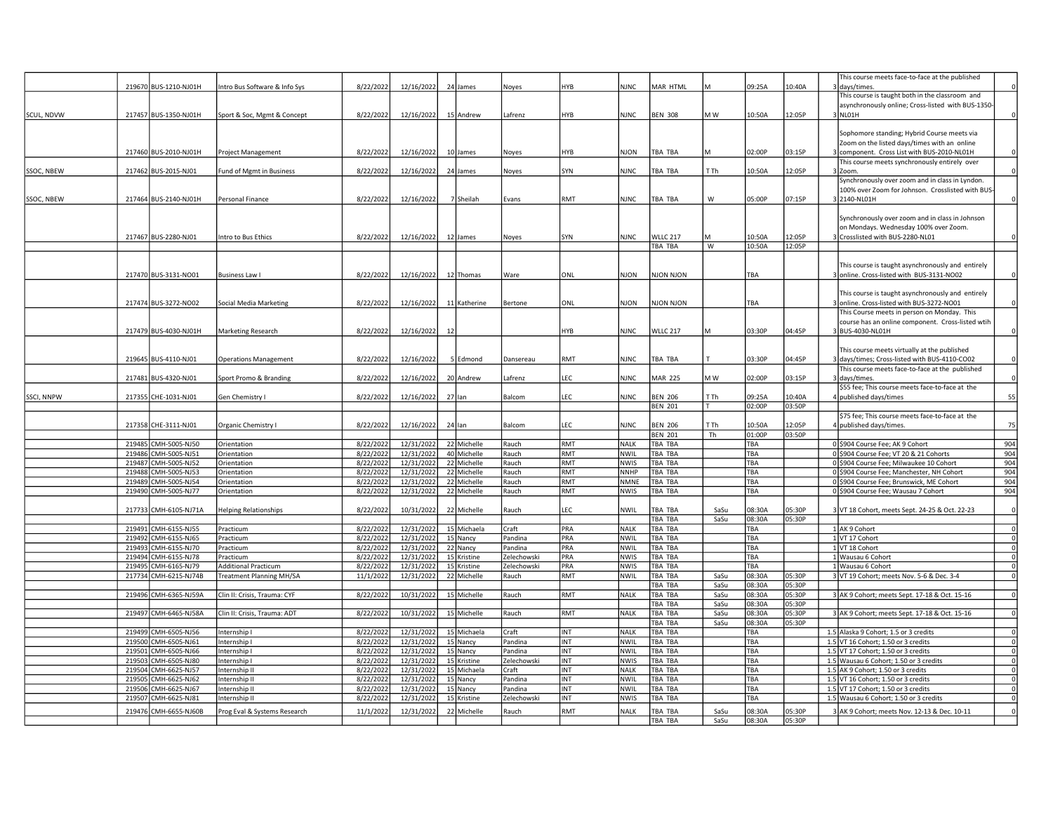|            |        |                       |                               |           |            |    |              |             |            |             |                |      |            |        | This course meets face-to-face at the published    |                         |
|------------|--------|-----------------------|-------------------------------|-----------|------------|----|--------------|-------------|------------|-------------|----------------|------|------------|--------|----------------------------------------------------|-------------------------|
|            |        | 219670 BUS-1210-NJ01H | Intro Bus Software & Info Sys | 8/22/2022 | 12/16/2022 |    | 24 James     | Noyes       | <b>HYB</b> | <b>NJNC</b> | MAR HTML       | M    | 09:25A     | 10:40A | 3 days/times.                                      |                         |
|            |        |                       |                               |           |            |    |              |             |            |             |                |      |            |        | This course is taught both in the classroom and    |                         |
|            |        |                       |                               |           |            |    |              |             |            |             |                |      |            |        | asynchronously online; Cross-listed with BUS-1350- |                         |
| SCUL, NDVW |        | 217457 BUS-1350-NJ01H | Sport & Soc, Mgmt & Concept   | 8/22/2022 | 12/16/2022 |    | 15 Andrew    | Lafrenz     | HYB        | <b>NJNC</b> | <b>BEN 308</b> | M W  | 10:50A     | 12:05P | 3 NLO1H                                            | $\mathbf 0$             |
|            |        |                       |                               |           |            |    |              |             |            |             |                |      |            |        |                                                    |                         |
|            |        |                       |                               |           |            |    |              |             |            |             |                |      |            |        | Sophomore standing; Hybrid Course meets via        |                         |
|            |        |                       |                               |           |            |    |              |             |            |             |                |      |            |        | Zoom on the listed days/times with an online       |                         |
|            |        | 217460 BUS-2010-NJ01H | Project Management            | 8/22/2022 | 12/16/2022 |    | 10 James     | Noyes       | HYB        | <b>NJON</b> | TBA TBA        |      | 02:00P     | 03:15P | 3 component. Cross List with BUS-2010-NL01H        |                         |
|            |        |                       |                               |           |            |    |              |             |            |             |                |      |            |        | This course meets synchronously entirely over      |                         |
| SSOC, NBEW |        | 217462 BUS-2015-NJ01  | Fund of Mgmt in Business      | 8/22/2022 | 12/16/2022 |    | 24 James     | Noyes       | SYN        | NJNC        | TBA TBA        | T Th | 10:50A     | 12:05P | 3 Zoom.                                            |                         |
|            |        |                       |                               |           |            |    |              |             |            |             |                |      |            |        | Synchronously over zoom and in class in Lyndon.    |                         |
|            |        |                       |                               |           |            |    |              |             |            |             |                |      |            |        |                                                    |                         |
|            |        |                       |                               |           |            |    |              |             |            |             |                |      |            |        | 100% over Zoom for Johnson. Crosslisted with BUS   |                         |
| SSOC, NBEW |        | 217464 BUS-2140-NJ01H | Personal Finance              | 8/22/2022 | 12/16/2022 |    | 7 Sheilah    | Evans       | RMT        | <b>NJNC</b> | TBA TBA        | W    | 05:00P     | 07:15P | 3 2140-NL01H                                       |                         |
|            |        |                       |                               |           |            |    |              |             |            |             |                |      |            |        |                                                    |                         |
|            |        |                       |                               |           |            |    |              |             |            |             |                |      |            |        | Synchronously over zoom and in class in Johnson    |                         |
|            |        |                       |                               |           |            |    |              |             |            |             |                |      |            |        | on Mondays. Wednesday 100% over Zoom.              |                         |
|            |        | 217467 BUS-2280-NJ01  | Intro to Bus Ethics           | 8/22/2022 | 12/16/2022 |    | 12 James     | Noyes       | SYN        | <b>NJNC</b> | WLLC 217       |      | 10:50A     | 12:05P | 3 Crosslisted with BUS-2280-NL01                   |                         |
|            |        |                       |                               |           |            |    |              |             |            |             | TBA TBA        | W    | 10:50A     | 12:05P |                                                    |                         |
|            |        |                       |                               |           |            |    |              |             |            |             |                |      |            |        |                                                    |                         |
|            |        |                       |                               |           |            |    |              |             |            |             |                |      |            |        | This course is taught asynchronously and entirely  |                         |
|            |        | 217470 BUS-3131-NO01  | <b>Business Law I</b>         | 8/22/2022 | 12/16/2022 |    | 12 Thomas    | Ware        | ONL        | NJON        | NJON NJON      |      | TBA        |        | 3 online. Cross-listed with BUS-3131-NO02          |                         |
|            |        |                       |                               |           |            |    |              |             |            |             |                |      |            |        |                                                    |                         |
|            |        |                       |                               |           |            |    |              |             |            |             |                |      |            |        |                                                    |                         |
|            |        |                       |                               |           |            |    |              |             |            |             |                |      |            |        | This course is taught asynchronously and entirely  |                         |
|            |        | 217474 BUS-3272-NO02  | Social Media Marketing        | 8/22/2022 | 12/16/2022 |    | 11 Katherine | Bertone     | ONL        | <b>NJON</b> | NJON NJON      |      | TBA        |        | 3 online. Cross-listed with BUS-3272-NO01          |                         |
|            |        |                       |                               |           |            |    |              |             |            |             |                |      |            |        | This Course meets in person on Monday. This        |                         |
|            |        |                       |                               |           |            |    |              |             |            |             |                |      |            |        | course has an online component. Cross-listed wtih  |                         |
|            |        | 217479 BUS-4030-NJ01H | Marketing Research            | 8/22/2022 | 12/16/2022 | 12 |              |             | HYB        | <b>NJNC</b> | WLLC 217       | м    | 03:30P     | 04:45P | 3 BUS-4030-NL01H                                   | 0                       |
|            |        |                       |                               |           |            |    |              |             |            |             |                |      |            |        |                                                    |                         |
|            |        |                       |                               |           |            |    |              |             |            |             |                |      |            |        | This course meets virtually at the published       |                         |
|            |        | 219645 BUS-4110-NJ01  | <b>Operations Management</b>  | 8/22/2022 | 12/16/2022 |    | 5 Edmond     | Dansereau   | RMT        | NJNC        | TBA TBA        |      | 03:30P     | 04:45P | 3 days/times; Cross-listed with BUS-4110-CO02      | $\mathbf 0$             |
|            |        |                       |                               |           |            |    |              |             |            |             |                |      |            |        | This course meets face-to-face at the published    |                         |
|            |        | 217481 BUS-4320-NJ01  | Sport Promo & Branding        | 8/22/2022 | 12/16/2022 |    | 20 Andrew    | afrenz      | LEC        | <b>NJNC</b> | <b>MAR 225</b> | M W  | 02:00P     | 03:15P | 3 days/times.                                      |                         |
|            |        |                       |                               |           |            |    |              |             |            |             |                |      |            |        |                                                    |                         |
|            |        |                       |                               |           |            |    |              |             |            |             |                |      |            |        | \$55 fee; This course meets face-to-face at the    |                         |
| SSCI, NNPW |        | 217355 CHE-1031-NJ01  | Gen Chemistry I               | 8/22/2022 | 12/16/2022 |    | $27$ lan     | Balcom      | LEC        | <b>NJNC</b> | <b>BEN 206</b> | T Th | 09:25A     | 10:40A | 4 published days/times                             | 55                      |
|            |        |                       |                               |           |            |    |              |             |            |             | <b>BEN 201</b> | T.   | 02:00P     | 03:50P |                                                    |                         |
|            |        |                       |                               |           |            |    |              |             |            |             |                |      |            |        | \$75 fee; This course meets face-to-face at the    |                         |
|            |        | 217358 CHE-3111-NJ01  | Organic Chemistry I           | 8/22/2022 | 12/16/2022 |    | $24$ lan     | Balcom      | LEC        | <b>NJNC</b> | <b>BEN 206</b> | T Th | 10:50A     | 12:05P | 4 published days/times.                            | 75                      |
|            |        |                       |                               |           |            |    |              |             |            |             | <b>BEN 201</b> | Th   | 01:00P     | 03:50P |                                                    |                         |
|            | 219485 | CMH-5005-NJ50         | Orientation                   | 8/22/2022 | 12/31/2022 |    | 22 Michelle  | Rauch       | RMT        | <b>NALK</b> | <b>TBA TBA</b> |      | TBA        |        | 0 \$904 Course Fee; AK 9 Cohort                    | 904                     |
|            | 219486 | CMH-5005-NJ51         | Orientation                   | 8/22/2022 | 12/31/2022 |    | 40 Michelle  | Rauch       | <b>RMT</b> | NWIL        | <b>TBA TBA</b> |      | <b>TBA</b> |        | 0 \$904 Course Fee: VT 20 & 21 Cohorts             | 904                     |
|            | 219487 | CMH-5005-NJ52         | Orientation                   | 8/22/2022 | 12/31/2022 |    | 22 Michelle  | Rauch       | <b>RMT</b> | <b>NWIS</b> | TBA TBA        |      | TBA        |        | 0 \$904 Course Fee; Milwaukee 10 Cohort            | 904                     |
|            | 219488 | CMH-5005-NJ53         | Orientation                   | 8/22/2022 | 12/31/2022 |    | 22 Michelle  | Rauch       | RMT        | <b>NNHP</b> | TBA TBA        |      | TBA        |        | 0 \$904 Course Fee; Manchester, NH Cohort          | 904                     |
|            | 219489 | CMH-5005-NJ54         | Orientation                   | 8/22/2022 | 12/31/2022 |    | 22 Michelle  | Rauch       | RMT        | <b>NMNE</b> | TBA TBA        |      | TBA        |        | 0 \$904 Course Fee; Brunswick, ME Cohort           | 904                     |
|            |        | 219490 CMH-5005-NJ77  | Orientation                   | 8/22/2022 | 12/31/2022 |    | 22 Michelle  | Rauch       | RMT        | <b>NWIS</b> | TBA TBA        |      | TBA        |        | 0 \$904 Course Fee; Wausau 7 Cohort                | 904                     |
|            |        |                       |                               |           |            |    |              |             |            |             |                |      |            |        |                                                    |                         |
|            |        | 217733 CMH-6105-NJ71A | <b>Helping Relationships</b>  | 8/22/2022 | 10/31/2022 |    | 22 Michelle  |             | LEC        | NWIL        | TBA TBA        | SaSu | 08:30A     | 05:30P | 3 VT 18 Cohort, meets Sept. 24-25 & Oct. 22-23     |                         |
|            |        |                       |                               |           |            |    |              | Rauch       |            |             |                |      |            |        |                                                    |                         |
|            |        |                       |                               |           |            |    |              |             |            |             | TBA TBA        | SaSu | 08:30A     | 05:30P |                                                    |                         |
|            |        | 219491 CMH-6155-NJ55  | Practicum                     | 8/22/2022 | 12/31/2022 |    | 15 Michaela  | Craft       | PRA        | <b>NALK</b> | <b>TBA TBA</b> |      | TBA        |        | 1 AK 9 Cohort                                      | $\overline{\mathbf{0}}$ |
|            |        | 219492 CMH-6155-NJ65  | Practicum                     | 8/22/2022 | 12/31/2022 |    | 15 Nancy     | Pandina     | PRA        | NWIL        | TBA TBA        |      | TBA        |        | 1 VT 17 Cohort                                     | $\overline{0}$          |
|            |        | 219493 CMH-6155-NJ70  | Practicum                     | 8/22/2022 | 12/31/2022 |    | 22 Nancy     | Pandina     | PRA        | NWIL        | TBA TBA        |      | TBA        |        | 1 VT 18 Cohort                                     | $\,0\,$                 |
|            |        | 219494 CMH-6155-NJ78  | Practicum                     | 8/22/2022 | 12/31/2022 |    | 15 Kristine  | Zelechowski | PRA        | <b>NWIS</b> | TBA TBA        |      | TBA        |        | 1 Wausau 6 Cohort                                  | $\overline{0}$          |
|            | 219495 | CMH-6165-NJ79         | <b>Additional Practicum</b>   | 8/22/2022 | 12/31/2022 |    | 15 Kristine  | Zelechowski | PRA        | <b>NWIS</b> | TBA TBA        |      | TBA        |        | 1 Wausau 6 Cohort                                  | $\circ$                 |
|            | 217734 | CMH-6215-NJ74B        | Treatment Planning MH/SA      | 11/1/202  | 12/31/2022 |    | 22 Michelle  | Rauch       | RMT        | NWIL        | TBA TBA        | SaSu | 08:30A     | 05:30P | 3 VT 19 Cohort; meets Nov. 5-6 & Dec. 3-4          | $\mathbf 0$             |
|            |        |                       |                               |           |            |    |              |             |            |             | TBA TBA        | SaSu | 08:30A     | 05:30P |                                                    |                         |
|            |        | 219496 CMH-6365-NJ59A | Clin II: Crisis, Trauma: CYF  | 8/22/2022 | 10/31/2022 |    | 15 Michelle  | Rauch       | RMT        | <b>NALK</b> | TBA TBA        | SaSu | 08:30A     | 05:30P | 3 AK 9 Cohort; meets Sept. 17-18 & Oct. 15-16      | $\overline{\mathbf{0}}$ |
|            |        |                       |                               |           |            |    |              |             |            |             | TBA TBA        | SaSu | 08:30A     | 05:30P |                                                    |                         |
|            |        | 219497 CMH-6465-NJ58A | Clin II: Crisis, Trauma: ADT  | 8/22/2022 | 10/31/2022 |    | 15 Michelle  | Rauch       | RMT        | <b>NALK</b> | <b>TBA TBA</b> | SaSu | 08:30A     | 05:30P | 3 AK 9 Cohort; meets Sept. 17-18 & Oct. 15-16      | $\overline{\mathbf{0}}$ |
|            |        |                       |                               |           |            |    |              |             |            |             |                |      |            |        |                                                    |                         |
|            |        |                       |                               |           |            |    |              |             |            |             | TBA TBA        | SaSu | 08:30A     | 05:30P |                                                    |                         |
|            |        | 219499 CMH-6505-NJ56  | Internship I                  | 8/22/2022 | 12/31/2022 |    | 15 Michaela  | Craft       | INT        | <b>NALK</b> | TBA TBA        |      | TBA        |        | 1.5 Alaska 9 Cohort; 1.5 or 3 credits              | $\mathbf 0$             |
|            | 219500 | CMH-6505-NJ61         | nternship I                   | 8/22/2022 | 12/31/2022 |    | 15 Nancy     | Pandina     | <b>INT</b> | NWIL        | TBA TBA        |      | TBA        |        | 1.5 VT 16 Cohort; 1.50 or 3 credits                | $\mathbf{0}$            |
|            | 219501 | CMH-6505-NJ66         | Internship I                  | 8/22/2022 | 12/31/2022 |    | 15 Nancy     | Pandina     | <b>INT</b> | NWIL        | TBA TBA        |      | TBA        |        | 1.5 VT 17 Cohort; 1.50 or 3 credits                | $\mathbf 0$             |
|            | 219503 | CMH-6505-NJ80         | nternship I                   | 8/22/2022 | 12/31/2022 |    | 15 Kristine  | Zelechowski | <b>INT</b> | <b>NWIS</b> | TBA TBA        |      | TBA        |        | 1.5 Wausau 6 Cohort; 1.50 or 3 credits             | $\mathbf 0$             |
|            | 219504 | CMH-6625-NJ57         | nternship II                  | 8/22/2022 | 12/31/2022 |    | 15 Michaela  | Craft       | <b>INT</b> | <b>NALK</b> | <b>TBA TBA</b> |      | <b>TBA</b> |        | 1.5 AK 9 Cohort; 1.50 or 3 credits                 | $\circ$                 |
|            | 219505 | CMH-6625-NJ62         | nternship II                  | 8/22/2022 | 12/31/2022 |    | 15 Nancy     | Pandina     | INT        | NWIL        | TBA TBA        |      | TBA        |        | 1.5 VT 16 Cohort; 1.50 or 3 credits                | $\mathbf 0$             |
|            | 219506 | CMH-6625-NJ67         | Internship II                 | 8/22/2022 | 12/31/2022 |    | 15 Nancy     | Pandina     | INT        | NWIL        | TBA TBA        |      | <b>TBA</b> |        | 1.5 VT 17 Cohort; 1.50 or 3 credits                | $\mathbf{0}$            |
|            | 219507 | CMH-6625-NJ81         | Internship II                 | 8/22/2023 | 12/31/2022 |    | 15 Kristine  | Zelechowski | <b>INT</b> | <b>NWIS</b> | TBA TBA        |      | TBA        |        | 1.5 Wausau 6 Cohort; 1.50 or 3 credits             | $\mathbf 0$             |
|            |        |                       |                               |           |            |    |              |             |            |             |                |      |            |        |                                                    |                         |
|            |        | 219476 CMH-6655-NJ60B | Prog Eval & Systems Research  | 11/1/2022 | 12/31/2022 |    | 22 Michelle  | Rauch       | RMT        | <b>NALK</b> | TBA TBA        | SaSu | 08:30A     | 05:30P | 3 AK 9 Cohort: meets Nov. 12-13 & Dec. 10-11       | $\Omega$                |
|            |        |                       |                               |           |            |    |              |             |            |             | TBA TBA        | SaSu | 08:30A     | 05:30P |                                                    |                         |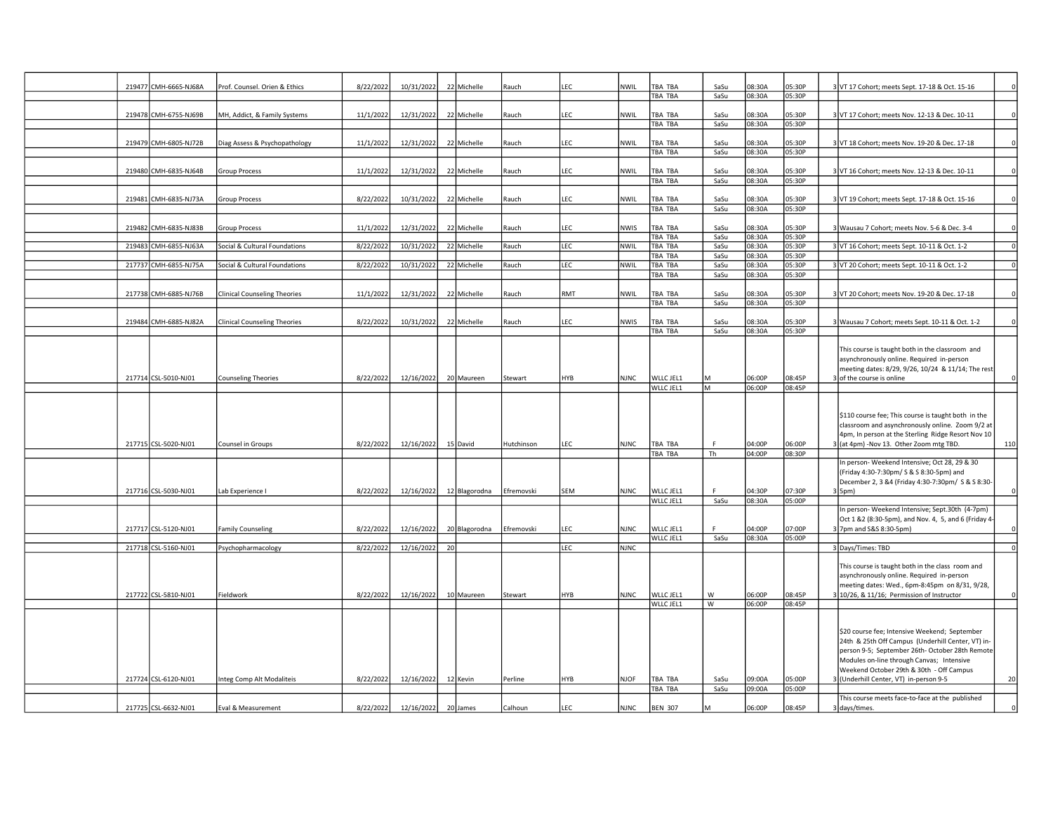|  | 219477 CMH-6665-NJ68A | Prof. Counsel. Orien & Ethics       | 8/22/2022 | 10/31/2022 |    | 22 Michelle   | Rauch      | LEC        | <b>NWIL</b> | TBA TBA<br>TBA TBA        | SaSu<br>SaSu   | 08:30A<br>08:30A | 05:30P<br>05:30P | VT 17 Cohort; meets Sept. 17-18 & Oct. 15-16                                                           |
|--|-----------------------|-------------------------------------|-----------|------------|----|---------------|------------|------------|-------------|---------------------------|----------------|------------------|------------------|--------------------------------------------------------------------------------------------------------|
|  |                       |                                     |           |            |    |               |            |            |             |                           |                |                  |                  |                                                                                                        |
|  | 219478 CMH-6755-NJ69B | MH, Addict, & Family Systems        | 11/1/2022 | 12/31/2022 |    | 22 Michelle   | Rauch      | LEC        | NWIL        | TBA TBA<br>TBA TBA        | SaSu<br>SaSu   | 08:30A<br>08:30A | 05:30P<br>05:30P | 3 VT 17 Cohort; meets Nov. 12-13 & Dec. 10-11                                                          |
|  |                       |                                     |           |            |    |               |            |            |             |                           |                |                  |                  |                                                                                                        |
|  | 219479 CMH-6805-NJ72B | Diag Assess & Psychopathology       | 11/1/202  | 12/31/2022 |    | 22 Michelle   | Rauch      | LEC        | <b>NWIL</b> | TBA TBA                   | SaSu           | 08:30A           | 05:30P           | VT 18 Cohort; meets Nov. 19-20 & Dec. 17-18                                                            |
|  |                       |                                     |           |            |    |               |            |            |             | TBA TBA                   | SaSu           | 08:30A           | 05:30P           |                                                                                                        |
|  | 219480 CMH-6835-NJ64B | <b>Group Process</b>                | 11/1/2022 | 12/31/2022 |    | 22 Michelle   | Rauch      | LEC        | <b>NWIL</b> | TBA TBA                   | SaSu           | 08:30A           | 05:30P           | VT 16 Cohort; meets Nov. 12-13 & Dec. 10-11                                                            |
|  |                       |                                     |           |            |    |               |            |            |             | TBA TBA                   | SaSu           | 08:30A           | 05:30P           |                                                                                                        |
|  | 219481 CMH-6835-NJ73A | <b>Group Process</b>                | 8/22/2022 | 10/31/2022 |    | 22 Michelle   | Rauch      | LEC        | <b>NWIL</b> | TBA TBA                   | SaSu           | 08:30A           | 05:30P           | 3 VT 19 Cohort; meets Sept. 17-18 & Oct. 15-16                                                         |
|  |                       |                                     |           |            |    |               |            |            |             | <b>TBA TBA</b>            | SaSu           | 08:30A           | 05:30P           |                                                                                                        |
|  | 219482 CMH-6835-NJ83B | <b>Group Process</b>                | 11/1/2022 | 12/31/2022 |    | 22 Michelle   | Rauch      | LEC        | <b>NWIS</b> | TBA TBA                   | SaSu           | 08:30A           | 05:30P           | 3 Wausau 7 Cohort; meets Nov. 5-6 & Dec. 3-4                                                           |
|  |                       |                                     |           |            |    |               |            |            |             | TBA TBA                   | SaSu           | 08:30A           | 05:30P           |                                                                                                        |
|  | 219483 CMH-6855-NJ63A | Social & Cultural Foundations       | 8/22/2022 | 10/31/2022 |    | 22 Michelle   | Rauch      | LEC        | <b>NWIL</b> | TBA TBA                   | SaSu           | 08:30A           | 05:30P           | 3 VT 16 Cohort; meets Sept. 10-11 & Oct. 1-2                                                           |
|  | 217737 CMH-6855-NJ75A | Social & Cultural Foundations       | 8/22/202  | 10/31/2022 |    | 22 Michelle   | Rauch      | LEC        | <b>NWIL</b> | TBA TBA<br>TBA TBA        | SaSu<br>SaSu   | 08:30A<br>08:30A | 05:30P<br>05:30P | 3 VT 20 Cohort; meets Sept. 10-11 & Oct. 1-2                                                           |
|  |                       |                                     |           |            |    |               |            |            |             | TBA TBA                   | SaSu           | 08:30A           | 05:30P           |                                                                                                        |
|  |                       |                                     |           |            |    |               |            |            |             |                           |                |                  |                  |                                                                                                        |
|  | 217738 CMH-6885-NJ76B | <b>Clinical Counseling Theories</b> | 11/1/2022 | 12/31/2022 |    | 22 Michelle   | Rauch      | RMT        | NWIL        | TBA TBA<br>TBA TBA        | SaSu<br>SaSu   | 08:30A<br>08:30A | 05:30P<br>05:30P | VT 20 Cohort; meets Nov. 19-20 & Dec. 17-18                                                            |
|  |                       |                                     |           |            |    |               |            |            |             |                           |                |                  |                  |                                                                                                        |
|  | 219484 CMH-6885-NJ82A | <b>Clinical Counseling Theories</b> | 8/22/2022 | 10/31/2022 |    | 22 Michelle   | Rauch      | <b>LEC</b> | <b>NWIS</b> | TBA TBA<br>TBA TBA        | SaSu<br>SaSu   | 08:30A<br>08:30A | 05:30P           | 3 Wausau 7 Cohort; meets Sept. 10-11 & Oct. 1-2                                                        |
|  |                       |                                     |           |            |    |               |            |            |             |                           |                |                  | 05:30P           |                                                                                                        |
|  |                       |                                     |           |            |    |               |            |            |             |                           |                |                  |                  | This course is taught both in the classroom and<br>asynchronously online. Required in-person           |
|  |                       |                                     |           |            |    |               |            |            |             |                           |                |                  |                  | meeting dates: 8/29, 9/26, 10/24 & 11/14; The rest                                                     |
|  | 217714 CSL-5010-NJ01  | <b>Counseling Theories</b>          | 8/22/2022 | 12/16/2022 |    | 20 Maureen    | Stewart    | <b>HYB</b> | <b>NJNC</b> | WLLC JEL1<br>WLLC JEL1    | lм             | 06:00P<br>06:00P | 08:45P<br>08:45P | 3 of the course is online                                                                              |
|  |                       |                                     |           |            |    |               |            |            |             |                           |                |                  |                  |                                                                                                        |
|  |                       |                                     |           |            |    |               |            |            |             |                           |                |                  |                  |                                                                                                        |
|  |                       |                                     |           |            |    |               |            |            |             |                           |                |                  |                  |                                                                                                        |
|  |                       |                                     |           |            |    |               |            |            |             |                           |                |                  |                  | \$110 course fee; This course is taught both in the                                                    |
|  |                       |                                     |           |            |    |               |            |            |             |                           |                |                  |                  | classroom and asynchronously online. Zoom 9/2 at<br>4pm, In person at the Sterling Ridge Resort Nov 10 |
|  | 217715 CSL-5020-NJ01  | Counsel in Groups                   | 8/22/2022 | 12/16/2022 |    | 15 David      | Hutchinson | <b>LEC</b> | <b>NJNC</b> | TBA TBA                   | E              | 04:00P           | 06:00P           | 3 (at 4pm) -Nov 13. Other Zoom mtg TBD.<br>110                                                         |
|  |                       |                                     |           |            |    |               |            |            |             | <b>TBA TBA</b>            | Th             | 04:00P           | 08:30P           |                                                                                                        |
|  |                       |                                     |           |            |    |               |            |            |             |                           |                |                  |                  | In person- Weekend Intensive; Oct 28, 29 & 30<br>(Friday 4:30-7:30pm/ S & S 8:30-5pm) and              |
|  |                       |                                     |           |            |    |               |            |            |             |                           |                |                  |                  | December 2, 3 &4 (Friday 4:30-7:30pm/ S & S 8:30-                                                      |
|  | 217716 CSL-5030-NJ01  | Lab Experience I                    | 8/22/2022 | 12/16/2022 |    | 12 Blagorodna | Efremovski | <b>SEM</b> | <b>NJNC</b> | WLLC JEL1                 | F.             | 04:30P           | 07:30P           | 3 5pm)                                                                                                 |
|  |                       |                                     |           |            |    |               |            |            |             | WLLC JEL1                 | SaSu           | 08:30A           | 05:00P           | In person- Weekend Intensive; Sept.30th (4-7pm)                                                        |
|  |                       |                                     |           |            |    |               |            |            |             |                           |                |                  |                  | Oct 1 &2 (8:30-5pm), and Nov. 4, 5, and 6 (Friday 4-                                                   |
|  | 217717 CSL-5120-NJ01  | <b>Family Counseling</b>            | 8/22/2022 | 12/16/2022 |    | 20 Blagorodna | Efremovski | LEC        | <b>NJNC</b> | WLLC JEL1<br>WLLC JEL1    | F.<br>SaSu     | 04:00P<br>08:30A | 07:00P<br>05:00P | 3 7pm and S&S 8:30-5pm)                                                                                |
|  | 217718 CSL-5160-NJ01  | Psychopharmacology                  | 8/22/2022 | 12/16/2022 | 20 |               |            | LEC        | <b>NJNC</b> |                           |                |                  |                  | 3 Days/Times: TBD                                                                                      |
|  |                       |                                     |           |            |    |               |            |            |             |                           |                |                  |                  |                                                                                                        |
|  |                       |                                     |           |            |    |               |            |            |             |                           |                |                  |                  | This course is taught both in the class room and                                                       |
|  |                       |                                     |           |            |    |               |            |            |             |                           |                |                  |                  | asynchronously online. Required in-person<br>meeting dates: Wed., 6pm-8:45pm on 8/31, 9/28,            |
|  | 217722 CSL-5810-NJ01  | Fieldwork                           | 8/22/2022 | 12/16/2022 |    | 10 Maureen    | Stewart    | <b>HYB</b> | <b>NJNC</b> | WLLC JEL1                 | W              | 06:00P           | 08:45P           | 3 10/26, & 11/16; Permission of Instructor                                                             |
|  |                       |                                     |           |            |    |               |            |            |             | WLLC JEL1                 | $\overline{w}$ | 06:00P           | 08:45P           |                                                                                                        |
|  |                       |                                     |           |            |    |               |            |            |             |                           |                |                  |                  |                                                                                                        |
|  |                       |                                     |           |            |    |               |            |            |             |                           |                |                  |                  | \$20 course fee; Intensive Weekend; September                                                          |
|  |                       |                                     |           |            |    |               |            |            |             |                           |                |                  |                  | 24th & 25th Off Campus (Underhill Center, VT) in-                                                      |
|  |                       |                                     |           |            |    |               |            |            |             |                           |                |                  |                  | person 9-5; September 26th- October 28th Remote<br>Modules on-line through Canvas; Intensive           |
|  |                       |                                     |           |            |    |               |            |            |             |                           |                |                  |                  | Weekend October 29th & 30th - Off Campus                                                               |
|  | 217724 CSL-6120-NJ01  | Integ Comp Alt Modaliteis           | 8/22/2022 | 12/16/2022 |    | 12 Kevin      | Perline    | <b>HYB</b> | <b>NJOF</b> | <b>TBA TBA</b>            | SaSu           | 09:00A<br>09:00A | 05:00P<br>05:00P | (Underhill Center, VT) in-person 9-5                                                                   |
|  | 217725 CSL-6632-NJ01  | Eval & Measurement                  | 8/22/2022 | 12/16/2022 |    | 20 James      | Calhoun    | LEC        | <b>NJNC</b> | TBA TBA<br><b>BEN 307</b> | SaSu           | 06:00P           | 08:45P           | This course meets face-to-face at the published                                                        |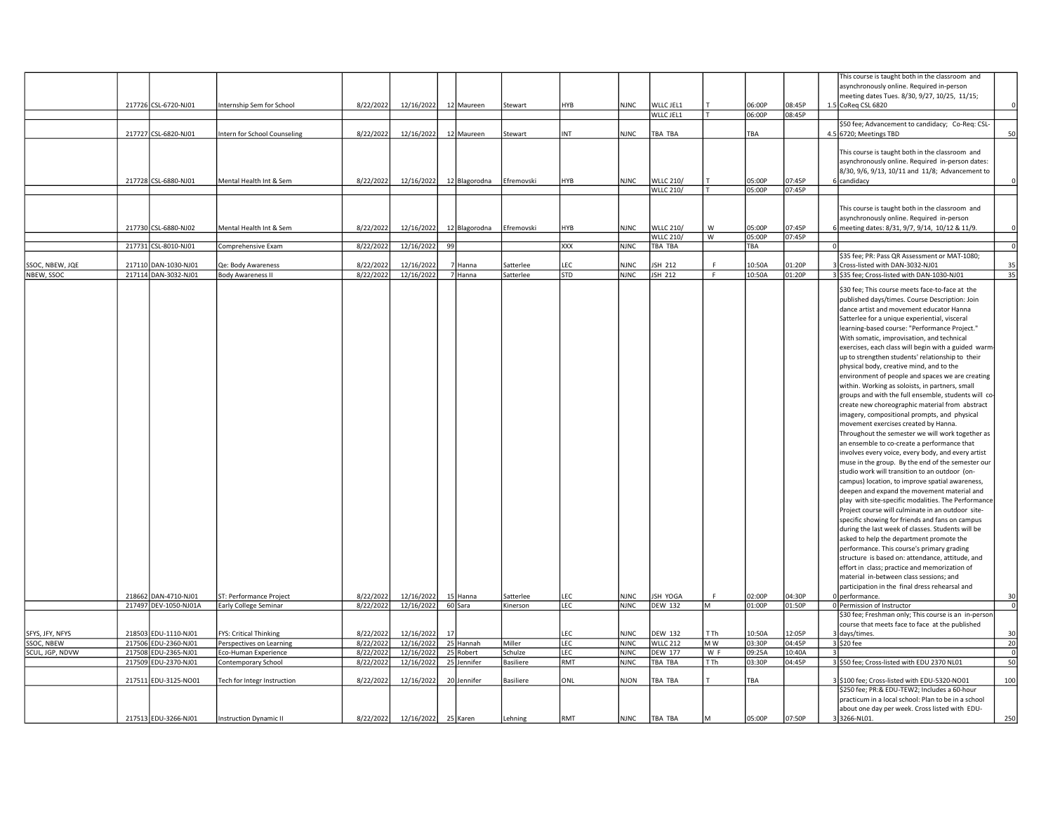|                 |                       |                              |           |                     |    |                          |                  |            |             |                  |      |        |        | This course is taught both in the classroom and      |                 |
|-----------------|-----------------------|------------------------------|-----------|---------------------|----|--------------------------|------------------|------------|-------------|------------------|------|--------|--------|------------------------------------------------------|-----------------|
|                 |                       |                              |           |                     |    |                          |                  |            |             |                  |      |        |        | asynchronously online. Required in-person            |                 |
|                 |                       |                              |           |                     |    |                          |                  |            |             |                  |      |        |        | meeting dates Tues. 8/30, 9/27, 10/25, 11/15;        |                 |
|                 | 217726 CSL-6720-NJ01  | Internship Sem for School    | 8/22/2022 | 12/16/2022          |    | 12 Maureen               | Stewart          | HYB        | <b>NJNC</b> | WLLC JEL1        |      | 06:00P | 08:45P | 1.5 CoReg CSL 6820                                   |                 |
|                 |                       |                              |           |                     |    |                          |                  |            |             | WLLC JEL1        |      | 06:00P | 08:45P |                                                      |                 |
|                 |                       |                              |           |                     |    |                          |                  |            |             |                  |      |        |        | \$50 fee; Advancement to candidacy; Co-Req: CSL-     |                 |
|                 | 217727 CSL-6820-NJ01  | Intern for School Counseling | 8/22/2022 | 12/16/2022          |    | 12 Maureen               | Stewart          | <b>INT</b> | <b>NJNC</b> | TBA TBA          |      | TBA    |        | 4.5 6720; Meetings TBD                               | 50              |
|                 |                       |                              |           |                     |    |                          |                  |            |             |                  |      |        |        |                                                      |                 |
|                 |                       |                              |           |                     |    |                          |                  |            |             |                  |      |        |        | This course is taught both in the classroom and      |                 |
|                 |                       |                              |           |                     |    |                          |                  |            |             |                  |      |        |        | asynchronously online. Required in-person dates:     |                 |
|                 |                       |                              |           |                     |    |                          |                  |            |             |                  |      |        |        | 8/30, 9/6, 9/13, 10/11 and 11/8; Advancement to      |                 |
|                 | 217728 CSL-6880-NJ01  | Mental Health Int & Sem      | 8/22/2022 | 12/16/2022          |    | 12 Blagorodna Efremovski |                  | <b>HYB</b> | <b>NJNC</b> | <b>WLLC 210/</b> |      | 05:00P | 07:45P | 6 candidacy                                          |                 |
|                 |                       |                              |           |                     |    |                          |                  |            |             | <b>WLLC 210/</b> | Iт   | 05:00P | 07:45P |                                                      |                 |
|                 |                       |                              |           |                     |    |                          |                  |            |             |                  |      |        |        |                                                      |                 |
|                 |                       |                              |           |                     |    |                          |                  |            |             |                  |      |        |        | This course is taught both in the classroom and      |                 |
|                 |                       |                              |           |                     |    |                          |                  |            |             |                  |      |        |        | asynchronously online. Required in-person            |                 |
|                 | 217730 CSL-6880-NJ02  | Mental Health Int & Sem      | 8/22/2022 | 12/16/2022          |    | 12 Blagorodna            | Efremovski       | HYB        | <b>NJNC</b> | <b>WLLC 210/</b> | W    | 05:00P | 07:45P | 6 meeting dates: 8/31, 9/7, 9/14, 10/12 & 11/9.      |                 |
|                 |                       |                              |           |                     |    |                          |                  |            |             | <b>WLLC 210/</b> | W    | 05:00P | 07:45P |                                                      |                 |
|                 | 217731 CSL-8010-NJ01  | Comprehensive Exam           | 8/22/2022 | 12/16/2022          | 99 |                          |                  | <b>XXX</b> | <b>NJNC</b> | TBA TBA          |      | TBA    |        |                                                      | $\circ$         |
|                 |                       |                              |           |                     |    |                          |                  |            |             |                  |      |        |        | \$35 fee; PR: Pass QR Assessment or MAT-1080;        |                 |
| SSOC, NBEW, JQE | 217110 DAN-1030-NJ01  | Qe: Body Awareness           | 8/22/2022 | 12/16/2022          |    | 7 Hanna                  | Satterlee        | LEC        | <b>NJNC</b> | <b>JSH 212</b>   | E    | 10:50A | 01:20P | 3 Cross-listed with DAN-3032-NJ01                    | 35              |
| NBEW, SSOC      | 217114 DAN-3032-NJ01  | <b>Body Awareness II</b>     | 8/22/2022 | 12/16/2022          |    | 7 Hanna                  | Satterlee        | <b>STD</b> | <b>NJNC</b> | JSH 212          | F    | 10:50A | 01:20P | 3 \$35 fee; Cross-listed with DAN-1030-NJ01          | 35              |
|                 |                       |                              |           |                     |    |                          |                  |            |             |                  |      |        |        |                                                      |                 |
|                 |                       |                              |           |                     |    |                          |                  |            |             |                  |      |        |        | \$30 fee; This course meets face-to-face at the      |                 |
|                 |                       |                              |           |                     |    |                          |                  |            |             |                  |      |        |        | published days/times. Course Description: Join       |                 |
|                 |                       |                              |           |                     |    |                          |                  |            |             |                  |      |        |        | dance artist and movement educator Hanna             |                 |
|                 |                       |                              |           |                     |    |                          |                  |            |             |                  |      |        |        | Satterlee for a unique experiential, visceral        |                 |
|                 |                       |                              |           |                     |    |                          |                  |            |             |                  |      |        |        | learning-based course: "Performance Project."        |                 |
|                 |                       |                              |           |                     |    |                          |                  |            |             |                  |      |        |        | With somatic, improvisation, and technical           |                 |
|                 |                       |                              |           |                     |    |                          |                  |            |             |                  |      |        |        | exercises, each class will begin with a guided warm- |                 |
|                 |                       |                              |           |                     |    |                          |                  |            |             |                  |      |        |        | up to strengthen students' relationship to their     |                 |
|                 |                       |                              |           |                     |    |                          |                  |            |             |                  |      |        |        | physical body, creative mind, and to the             |                 |
|                 |                       |                              |           |                     |    |                          |                  |            |             |                  |      |        |        | environment of people and spaces we are creating     |                 |
|                 |                       |                              |           |                     |    |                          |                  |            |             |                  |      |        |        | within. Working as soloists, in partners, small      |                 |
|                 |                       |                              |           |                     |    |                          |                  |            |             |                  |      |        |        | groups and with the full ensemble, students will co  |                 |
|                 |                       |                              |           |                     |    |                          |                  |            |             |                  |      |        |        |                                                      |                 |
|                 |                       |                              |           |                     |    |                          |                  |            |             |                  |      |        |        | create new choreographic material from abstract      |                 |
|                 |                       |                              |           |                     |    |                          |                  |            |             |                  |      |        |        | imagery, compositional prompts, and physical         |                 |
|                 |                       |                              |           |                     |    |                          |                  |            |             |                  |      |        |        | movement exercises created by Hanna.                 |                 |
|                 |                       |                              |           |                     |    |                          |                  |            |             |                  |      |        |        | Throughout the semester we will work together as     |                 |
|                 |                       |                              |           |                     |    |                          |                  |            |             |                  |      |        |        | an ensemble to co-create a performance that          |                 |
|                 |                       |                              |           |                     |    |                          |                  |            |             |                  |      |        |        | involves every voice, every body, and every artist   |                 |
|                 |                       |                              |           |                     |    |                          |                  |            |             |                  |      |        |        | muse in the group. By the end of the semester our    |                 |
|                 |                       |                              |           |                     |    |                          |                  |            |             |                  |      |        |        | studio work will transition to an outdoor (on-       |                 |
|                 |                       |                              |           |                     |    |                          |                  |            |             |                  |      |        |        | campus) location, to improve spatial awareness,      |                 |
|                 |                       |                              |           |                     |    |                          |                  |            |             |                  |      |        |        | deepen and expand the movement material and          |                 |
|                 |                       |                              |           |                     |    |                          |                  |            |             |                  |      |        |        | play with site-specific modalities. The Performance  |                 |
|                 |                       |                              |           |                     |    |                          |                  |            |             |                  |      |        |        |                                                      |                 |
|                 |                       |                              |           |                     |    |                          |                  |            |             |                  |      |        |        | Project course will culminate in an outdoor site-    |                 |
|                 |                       |                              |           |                     |    |                          |                  |            |             |                  |      |        |        | specific showing for friends and fans on campus      |                 |
|                 |                       |                              |           |                     |    |                          |                  |            |             |                  |      |        |        | during the last week of classes. Students will be    |                 |
|                 |                       |                              |           |                     |    |                          |                  |            |             |                  |      |        |        | asked to help the department promote the             |                 |
|                 |                       |                              |           |                     |    |                          |                  |            |             |                  |      |        |        | performance. This course's primary grading           |                 |
|                 |                       |                              |           |                     |    |                          |                  |            |             |                  |      |        |        | structure is based on: attendance, attitude, and     |                 |
|                 |                       |                              |           |                     |    |                          |                  |            |             |                  |      |        |        | effort in class; practice and memorization of        |                 |
|                 |                       |                              |           |                     |    |                          |                  |            |             |                  |      |        |        | material in-between class sessions; and              |                 |
|                 |                       |                              |           |                     |    |                          |                  |            |             |                  |      |        |        | participation in the final dress rehearsal and       |                 |
|                 | 218662 DAN-4710-NJ01  | ST: Performance Project      | 8/22/2022 | 12/16/2022          |    | 15 Hanna                 | Satterlee        | LEC        | <b>NJNC</b> | <b>ISH YOGA</b>  |      | 02:00P | 04:30P | 0 performance.                                       | 30 <sup>1</sup> |
|                 | 217497 DEV-1050-NJ01A | Early College Seminar        | 8/22/2022 | 12/16/2022          |    | 60 Sara                  | Kinerson         | LEC        | <b>NJNC</b> | <b>DEW 132</b>   | M    | 01:00P | 01:50P | 0 Permission of Instructor                           | $\circ$         |
|                 |                       |                              |           |                     |    |                          |                  |            |             |                  |      |        |        | \$30 fee; Freshman only; This course is an in-person |                 |
|                 |                       |                              |           |                     |    |                          |                  |            |             |                  |      |        |        | course that meets face to face at the published      |                 |
| SFYS, JFY, NFYS | 218503 EDU-1110-NJ01  | FYS: Critical Thinking       | 8/22/2022 | 12/16/2022          | 17 |                          |                  | LEC        | <b>NJNC</b> | <b>DEW 132</b>   | T Th | 10:50A | 12:05P | 3 days/times.                                        | 30 <sup>1</sup> |
| SSOC, NBEW      | 217506 EDU-2360-NJ01  | Perspectives on Learning     | 8/22/2022 | 12/16/2022          |    | 25 Hannah                | Miller           | LEC        | <b>NJNC</b> | <b>WLLC 212</b>  | M W  | 03:30P | 04:45P | 3 \$20 fee                                           | 20              |
| SCUL, JGP, NDVW | 217508 EDU-2365-NJ01  | Eco-Human Experience         | 8/22/2022 | 12/16/2022          |    | 25 Robert                | Schulze          | LEC        | <b>NJNC</b> | <b>DEW 177</b>   | W F  | 09:25A | 10:40A |                                                      | 0               |
|                 | 217509 EDU-2370-NJ01  | Contemporary School          | 8/22/2022 | 12/16/2022          |    | 25 Jennifer              | Basiliere        | RMT        | <b>NJNC</b> | TBA TBA          | T Th | 03:30P | 04:45P | 3 \$50 fee; Cross-listed with EDU 2370 NL01          | 50              |
|                 |                       |                              |           |                     |    |                          |                  |            |             |                  |      |        |        |                                                      |                 |
|                 | 217511 EDU-3125-NO01  | Tech for Integr Instruction  | 8/22/2022 | 12/16/2022          |    | 20 Jennifer              | <b>Basiliere</b> | ONL        | <b>NJON</b> | TBA TBA          |      | TBA    |        | 3 \$100 fee; Cross-listed with EDU-5320-NO01         | 100             |
|                 |                       |                              |           |                     |    |                          |                  |            |             |                  |      |        |        | \$250 fee; PR:& EDU-TEW2; Includes a 60-hour         |                 |
|                 |                       |                              |           |                     |    |                          |                  |            |             |                  |      |        |        | practicum in a local school: Plan to be in a school  |                 |
|                 |                       |                              |           |                     |    |                          |                  |            |             |                  |      |        |        | about one day per week. Cross listed with EDU-       |                 |
|                 | 217513 EDU-3266-NJ01  |                              | 8/22/2022 | 12/16/2022 25 Karen |    |                          |                  | RMT        |             |                  |      | 05:00P | 07:50P | 3 3266-NL01.                                         | 250             |
|                 |                       | Instruction Dynamic II       |           |                     |    |                          | Lehning          |            | <b>NJNC</b> | TBA TBA          |      |        |        |                                                      |                 |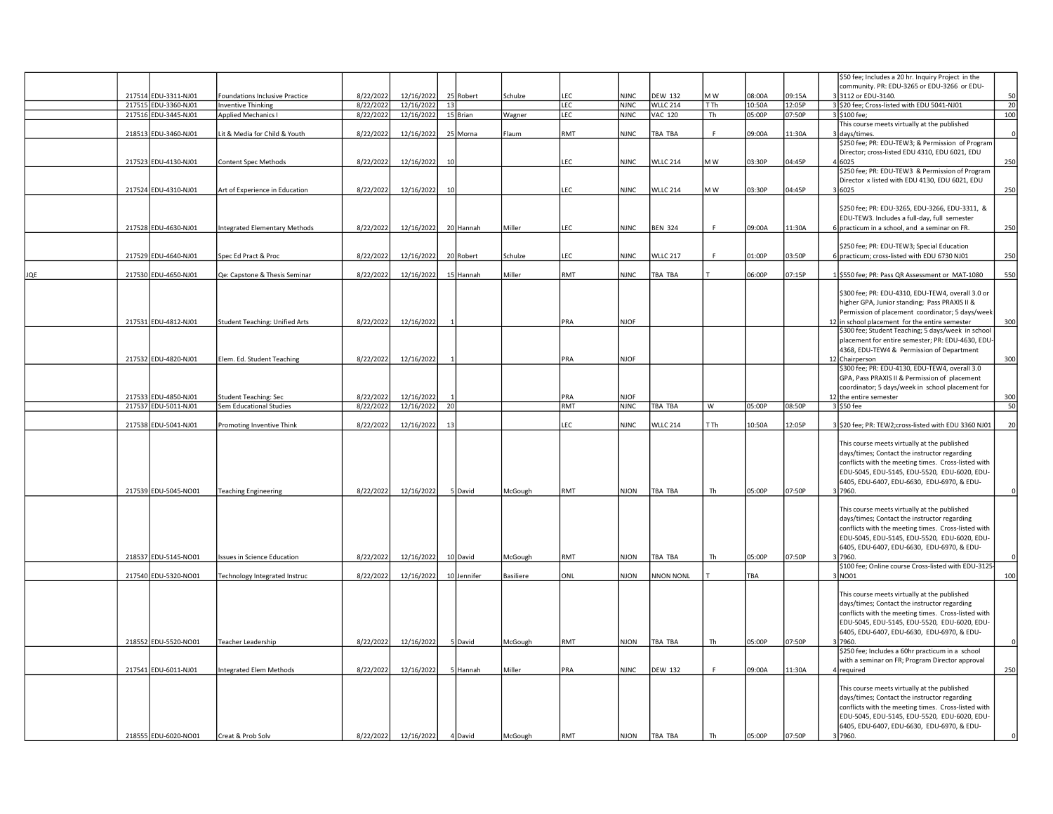|     |                      |                                       |           |            |    |             |                  |            |             |                  |      |        |        | \$50 fee; Includes a 20 hr. Inquiry Project in the                                           |     |
|-----|----------------------|---------------------------------------|-----------|------------|----|-------------|------------------|------------|-------------|------------------|------|--------|--------|----------------------------------------------------------------------------------------------|-----|
|     |                      |                                       |           |            |    |             |                  |            |             |                  |      |        |        | community. PR: EDU-3265 or EDU-3266 or EDU-                                                  |     |
|     | 217514 EDU-3311-NJ01 | Foundations Inclusive Practice        | 8/22/2022 | 12/16/2022 |    | 25 Robert   | Schulze          | LEC        | <b>NJNC</b> | <b>DEW 132</b>   | M W  | 08:00A | 09:15A | 33112 or EDU-3140.                                                                           | 50  |
|     | 217515 EDU-3360-NJ01 | <b>Inventive Thinking</b>             | 8/22/2022 | 12/16/2022 | 13 |             |                  | LEC        | <b>NJNC</b> | <b>WLLC 214</b>  | T Th | 10:50A | 12:05P | 3 \$20 fee; Cross-listed with EDU 5041-NJ01                                                  | 20  |
|     | 217516 EDU-3445-NJ01 | Applied Mechanics I                   | 8/22/2022 | 12/16/2022 |    | 15 Brian    | Wagner           | LEC        | <b>NJNC</b> | VAC 120          | Th   | 05:00P | 07:50P | 3 \$100 fee;                                                                                 | 100 |
|     |                      |                                       |           |            |    |             |                  |            |             |                  |      |        |        | This course meets virtually at the published                                                 |     |
|     | 218513 EDU-3460-NJ01 | it & Media for Child & Youth          | 8/22/2022 | 12/16/2022 |    | 25 Morna    | Flaum            | RMT        | <b>NJNC</b> | TBA TBA          | F    | 09:00A | 11:30A | 3 days/times.                                                                                |     |
|     |                      |                                       |           |            |    |             |                  |            |             |                  |      |        |        | \$250 fee; PR: EDU-TEW3; & Permission of Program                                             |     |
|     |                      |                                       |           |            |    |             |                  |            |             |                  |      |        |        | Director; cross-listed EDU 4310, EDU 6021, EDU                                               |     |
|     | 217523 EDU-4130-NJ01 | Content Spec Methods                  | 8/22/2022 | 12/16/2022 | 10 |             |                  | LEC        | <b>NJNC</b> | WLLC 214         | M W  | 03:30P | 04:45P | 4 6025                                                                                       | 250 |
|     |                      |                                       |           |            |    |             |                  |            |             |                  |      |        |        | \$250 fee; PR: EDU-TEW3 & Permission of Program                                              |     |
|     |                      |                                       |           |            |    |             |                  |            |             |                  |      |        |        | Director x listed with EDU 4130, EDU 6021, EDU                                               |     |
|     | 217524 EDU-4310-NJ01 | Art of Experience in Education        | 8/22/2022 | 12/16/2022 | 10 |             |                  | LEC        | <b>NJNC</b> | WLLC 214         | M W  | 03:30P | 04:45P | 3 6025                                                                                       | 250 |
|     |                      |                                       |           |            |    |             |                  |            |             |                  |      |        |        |                                                                                              |     |
|     |                      |                                       |           |            |    |             |                  |            |             |                  |      |        |        | \$250 fee; PR: EDU-3265, EDU-3266, EDU-3311, &                                               |     |
|     |                      |                                       |           |            |    |             |                  |            |             |                  |      |        |        | EDU-TEW3. Includes a full-day, full semester                                                 |     |
|     | 217528 EDU-4630-NJ01 | Integrated Elementary Methods         | 8/22/2022 | 12/16/2022 |    | 20 Hannah   | Miller           | LEC        | <b>NJNC</b> | <b>BEN 324</b>   | F.   | 09:00A | 11:30A | 6 practicum in a school, and a seminar on FR.                                                | 250 |
|     |                      |                                       |           |            |    |             |                  |            |             |                  |      |        |        |                                                                                              |     |
|     | 217529 EDU-4640-NJ01 | Spec Ed Pract & Proc                  | 8/22/2022 | 12/16/2022 |    | 20 Robert   | Schulze          | LEC        | <b>NJNC</b> | WLLC 217         | F    | 01:00P | 03:50P | \$250 fee; PR: EDU-TEW3; Special Education<br>6 practicum; cross-listed with EDU 6730 NJ01   | 250 |
|     |                      |                                       |           |            |    |             |                  |            |             |                  |      |        |        |                                                                                              |     |
| JQE | 217530 EDU-4650-NJ01 | Qe: Capstone & Thesis Seminar         | 8/22/2022 | 12/16/2022 |    | 15 Hannah   | Miller           | RMT        | <b>NJNC</b> | TBA TBA          |      | 06:00P | 07:15P | S550 fee; PR: Pass QR Assessment or MAT-1080                                                 | 550 |
|     |                      |                                       |           |            |    |             |                  |            |             |                  |      |        |        |                                                                                              |     |
|     |                      |                                       |           |            |    |             |                  |            |             |                  |      |        |        | \$300 fee; PR: EDU-4310, EDU-TEW4, overall 3.0 or                                            |     |
|     |                      |                                       |           |            |    |             |                  |            |             |                  |      |        |        | higher GPA, Junior standing; Pass PRAXIS II &                                                |     |
|     |                      |                                       |           |            |    |             |                  |            |             |                  |      |        |        | Permission of placement coordinator; 5 days/week                                             |     |
|     | 217531 EDU-4812-NJ01 | <b>Student Teaching: Unified Arts</b> | 8/22/2022 | 12/16/2022 |    |             |                  | PRA        | <b>NJOF</b> |                  |      |        |        | 12 in school placement for the entire semester                                               | 300 |
|     |                      |                                       |           |            |    |             |                  |            |             |                  |      |        |        | \$300 fee; Student Teaching; 5 days/week in school                                           |     |
|     |                      |                                       |           |            |    |             |                  |            |             |                  |      |        |        | placement for entire semester; PR: EDU-4630, EDU-                                            |     |
|     |                      |                                       |           |            |    |             |                  |            |             |                  |      |        |        | 4368, EDU-TEW4 & Permission of Department                                                    |     |
|     | 217532 EDU-4820-NJ01 | Elem. Ed. Student Teaching            | 8/22/2022 | 12/16/2022 |    |             |                  | PRA        | <b>NJOF</b> |                  |      |        |        | 12 Chairperson                                                                               | 300 |
|     |                      |                                       |           |            |    |             |                  |            |             |                  |      |        |        | \$300 fee; PR: EDU-4130, EDU-TEW4, overall 3.0                                               |     |
|     |                      |                                       |           |            |    |             |                  |            |             |                  |      |        |        | GPA, Pass PRAXIS II & Permission of placement                                                |     |
|     |                      |                                       |           |            |    |             |                  |            |             |                  |      |        |        | coordinator; 5 days/week in school placement for                                             |     |
|     | 217533 EDU-4850-NJ01 | <b>Student Teaching: Sec</b>          | 8/22/2022 | 12/16/2022 |    |             |                  | PRA        | <b>NJOF</b> |                  |      |        |        | 12 the entire semester                                                                       | 300 |
|     | 217537 EDU-5011-NJ01 | Sem Educational Studies               | 8/22/2022 | 12/16/2022 | 20 |             |                  | <b>RMT</b> | <b>NJNC</b> | TBA TBA          | W    | 05:00P | 08:50P | 3 \$50 fee                                                                                   | 50  |
|     | 217538 EDU-5041-NJ01 | Promoting Inventive Think             | 8/22/2022 | 12/16/2022 | 13 |             |                  | LEC        | <b>NJNC</b> | <b>WLLC 214</b>  | T Th | 10:50A | 12:05P | 3 \$20 fee; PR: TEW2;cross-listed with EDU 3360 NJ01                                         | 20  |
|     |                      |                                       |           |            |    |             |                  |            |             |                  |      |        |        |                                                                                              |     |
|     |                      |                                       |           |            |    |             |                  |            |             |                  |      |        |        | This course meets virtually at the published                                                 |     |
|     |                      |                                       |           |            |    |             |                  |            |             |                  |      |        |        | days/times; Contact the instructor regarding                                                 |     |
|     |                      |                                       |           |            |    |             |                  |            |             |                  |      |        |        | conflicts with the meeting times. Cross-listed with                                          |     |
|     |                      |                                       |           |            |    |             |                  |            |             |                  |      |        |        | EDU-5045, EDU-5145, EDU-5520, EDU-6020, EDU-                                                 |     |
|     |                      |                                       |           |            |    |             |                  |            |             |                  |      |        |        | 6405, EDU-6407, EDU-6630, EDU-6970, & EDU-                                                   |     |
|     | 217539 EDU-5045-NO01 | <b>Teaching Engineering</b>           | 8/22/2022 | 12/16/2022 |    | 5 David     | McGough          | RMT        | <b>NJON</b> | TBA TBA          | Th   | 05:00P | 07:50P | 3 7960.                                                                                      |     |
|     |                      |                                       |           |            |    |             |                  |            |             |                  |      |        |        |                                                                                              |     |
|     |                      |                                       |           |            |    |             |                  |            |             |                  |      |        |        | This course meets virtually at the published                                                 |     |
|     |                      |                                       |           |            |    |             |                  |            |             |                  |      |        |        | days/times; Contact the instructor regarding                                                 |     |
|     |                      |                                       |           |            |    |             |                  |            |             |                  |      |        |        | conflicts with the meeting times. Cross-listed with                                          |     |
|     |                      |                                       |           |            |    |             |                  |            |             |                  |      |        |        | EDU-5045, EDU-5145, EDU-5520, EDU-6020, EDU-                                                 |     |
|     |                      |                                       |           |            |    |             |                  |            |             |                  |      |        |        | 6405, EDU-6407, EDU-6630, EDU-6970, & EDU-                                                   |     |
|     | 218537 EDU-5145-NO01 | <b>Issues in Science Education</b>    | 8/22/2022 | 12/16/2022 |    | 10 David    | McGough          | RMT        | <b>NJON</b> | TBA TBA          | Th   | 05:00P | 07:50P | 3 7960.<br>\$100 fee; Online course Cross-listed with EDU-3125-                              |     |
|     | 217540 EDU-5320-NO01 |                                       | 8/22/2022 | 12/16/2022 |    | 10 Jennifer | <b>Basiliere</b> | ONL        | <b>NJON</b> | <b>NNON NONL</b> |      | TBA    |        | 3 NO01                                                                                       | 100 |
|     |                      | Technology Integrated Instruc         |           |            |    |             |                  |            |             |                  |      |        |        |                                                                                              |     |
|     |                      |                                       |           |            |    |             |                  |            |             |                  |      |        |        | This course meets virtually at the published                                                 |     |
|     |                      |                                       |           |            |    |             |                  |            |             |                  |      |        |        | days/times; Contact the instructor regarding                                                 |     |
|     |                      |                                       |           |            |    |             |                  |            |             |                  |      |        |        | conflicts with the meeting times. Cross-listed with                                          |     |
|     |                      |                                       |           |            |    |             |                  |            |             |                  |      |        |        | EDU-5045, EDU-5145, EDU-5520, EDU-6020, EDU-                                                 |     |
|     |                      |                                       |           |            |    |             |                  |            |             |                  |      |        |        | 6405, EDU-6407, EDU-6630, EDU-6970, & EDU-                                                   |     |
|     | 218552 EDU-5520-NO01 | Teacher Leadership                    | 8/22/2022 | 12/16/2022 |    | 5 David     | McGough          | RMT        | <b>NJON</b> | TBA TBA          | Th   | 05:00P | 07:50P | 37960.                                                                                       |     |
|     |                      |                                       |           |            |    |             |                  |            |             |                  |      |        |        | \$250 fee; Includes a 60hr practicum in a school                                             |     |
|     |                      |                                       |           |            |    |             |                  |            |             |                  |      |        |        | with a seminar on FR; Program Director approval                                              |     |
|     | 217541 EDU-6011-NJ01 | <b>Integrated Elem Methods</b>        | 8/22/2022 | 12/16/2022 |    | 5 Hannah    | Miller           | PRA        | <b>NJNC</b> | <b>DEW 132</b>   | F.   | 09:00A | 11:30A | required                                                                                     | 250 |
|     |                      |                                       |           |            |    |             |                  |            |             |                  |      |        |        |                                                                                              |     |
|     |                      |                                       |           |            |    |             |                  |            |             |                  |      |        |        | This course meets virtually at the published<br>days/times; Contact the instructor regarding |     |
|     |                      |                                       |           |            |    |             |                  |            |             |                  |      |        |        | conflicts with the meeting times. Cross-listed with                                          |     |
|     |                      |                                       |           |            |    |             |                  |            |             |                  |      |        |        | EDU-5045, EDU-5145, EDU-5520, EDU-6020, EDU-                                                 |     |
|     |                      |                                       |           |            |    |             |                  |            |             |                  |      |        |        | 6405, EDU-6407, EDU-6630, EDU-6970, & EDU-                                                   |     |
|     | 218555 EDU-6020-NO01 | Creat & Prob Solv                     | 8/22/2022 | 12/16/2022 |    | 4 David     | McGough          | RMT        | <b>NJON</b> | TBA TBA          | Th   | 05:00P | 07:50P | 3 7960.                                                                                      |     |
|     |                      |                                       |           |            |    |             |                  |            |             |                  |      |        |        |                                                                                              |     |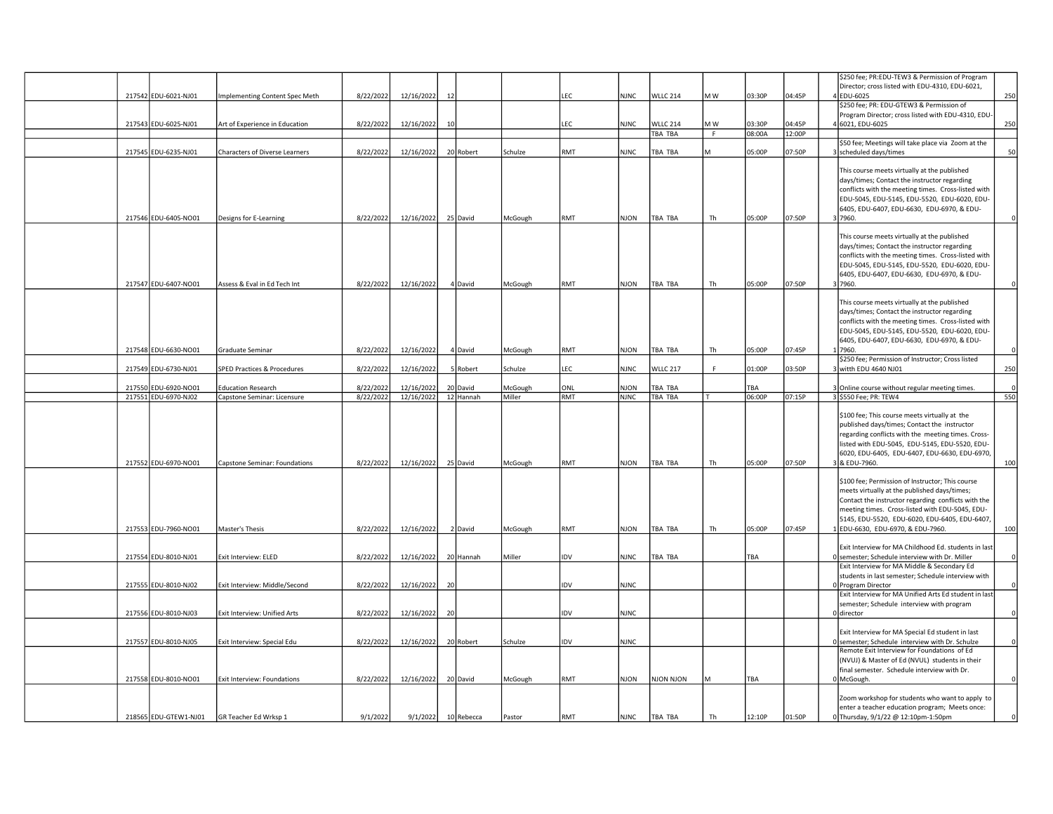|                                             |                                        |           |            |    |            |          |            |             |                 |                |        |        | \$250 fee; PR:EDU-TEW3 & Permission of Program                                               |          |
|---------------------------------------------|----------------------------------------|-----------|------------|----|------------|----------|------------|-------------|-----------------|----------------|--------|--------|----------------------------------------------------------------------------------------------|----------|
|                                             |                                        |           |            |    |            |          |            |             |                 |                |        |        | Director; cross listed with EDU-4310, EDU-6021,                                              |          |
| 217542 EDU-6021-NJ01                        | Implementing Content Spec Meth         | 8/22/2022 | 12/16/2022 | 12 |            |          | LEC        | <b>NJNC</b> | <b>WLLC 214</b> | M W            | 03:30P | 04:45P | <b>EDU-6025</b>                                                                              | 250      |
|                                             |                                        |           |            |    |            |          |            |             |                 |                |        |        | \$250 fee; PR: EDU-GTEW3 & Permission of                                                     |          |
|                                             |                                        |           |            |    |            |          |            |             |                 |                |        |        | Program Director; cross listed with EDU-4310, EDU-                                           |          |
| 217543 EDU-6025-NJ01                        | Art of Experience in Education         | 8/22/2022 | 12/16/2022 | 10 |            |          | LEC        | <b>NJNC</b> | <b>WLLC 214</b> | M W            | 03:30P | 04:45P | 4 6021, EDU-6025                                                                             | 250      |
|                                             |                                        |           |            |    |            |          |            |             | TBA TBA         | $\overline{F}$ | 08:00A | 12:00P |                                                                                              |          |
|                                             |                                        |           |            |    |            |          |            |             |                 |                |        |        | \$50 fee; Meetings will take place via Zoom at the                                           |          |
| 217545 EDU-6235-NJ01                        | Characters of Diverse Learners         | 8/22/2022 | 12/16/2022 |    | 20 Robert  | Schulze  | RMT        | <b>NJNC</b> | TBA TBA         |                | 05:00P | 07:50P | 3 scheduled days/times                                                                       | 50       |
|                                             |                                        |           |            |    |            |          |            |             |                 |                |        |        |                                                                                              |          |
|                                             |                                        |           |            |    |            |          |            |             |                 |                |        |        | This course meets virtually at the published<br>days/times; Contact the instructor regarding |          |
|                                             |                                        |           |            |    |            |          |            |             |                 |                |        |        |                                                                                              |          |
|                                             |                                        |           |            |    |            |          |            |             |                 |                |        |        | conflicts with the meeting times. Cross-listed with                                          |          |
|                                             |                                        |           |            |    |            |          |            |             |                 |                |        |        | EDU-5045, EDU-5145, EDU-5520, EDU-6020, EDU-<br>6405, EDU-6407, EDU-6630, EDU-6970, & EDU-   |          |
| 217546 EDU-6405-NO01                        | Designs for E-Learning                 | 8/22/2022 | 12/16/2022 |    | 25 David   | McGough  | RMT        | <b>NJON</b> | TBA TBA         | Th             | 05:00P | 07:50P | 7960.                                                                                        |          |
|                                             |                                        |           |            |    |            |          |            |             |                 |                |        |        |                                                                                              |          |
|                                             |                                        |           |            |    |            |          |            |             |                 |                |        |        | This course meets virtually at the published                                                 |          |
|                                             |                                        |           |            |    |            |          |            |             |                 |                |        |        | days/times; Contact the instructor regarding                                                 |          |
|                                             |                                        |           |            |    |            |          |            |             |                 |                |        |        | conflicts with the meeting times. Cross-listed with                                          |          |
|                                             |                                        |           |            |    |            |          |            |             |                 |                |        |        | EDU-5045, EDU-5145, EDU-5520, EDU-6020, EDU-                                                 |          |
|                                             |                                        |           |            |    |            |          |            |             |                 |                |        |        | 6405, EDU-6407, EDU-6630, EDU-6970, & EDU-                                                   |          |
| 217547 EDU-6407-NO01                        | Assess & Eval in Ed Tech Int           | 8/22/2022 | 12/16/2022 |    | 4 David    | McGough  | RMT        | NJON        | TBA TBA         | Th             | 05:00P | 07:50P | 3 7960.                                                                                      |          |
|                                             |                                        |           |            |    |            |          |            |             |                 |                |        |        |                                                                                              |          |
|                                             |                                        |           |            |    |            |          |            |             |                 |                |        |        | This course meets virtually at the published                                                 |          |
|                                             |                                        |           |            |    |            |          |            |             |                 |                |        |        | days/times; Contact the instructor regarding                                                 |          |
|                                             |                                        |           |            |    |            |          |            |             |                 |                |        |        | conflicts with the meeting times. Cross-listed with                                          |          |
|                                             |                                        |           |            |    |            |          |            |             |                 |                |        |        | EDU-5045, EDU-5145, EDU-5520, EDU-6020, EDU-                                                 |          |
|                                             |                                        |           |            |    |            |          |            |             |                 |                |        |        | 6405, EDU-6407, EDU-6630, EDU-6970, & EDU-                                                   |          |
| 217548 EDU-6630-NO01                        | Graduate Seminar                       | 8/22/2022 | 12/16/2022 |    | 4 David    | McGough  | RMT        | <b>NJON</b> | TBA TBA         | Th             | 05:00P | 07:45P | 7960.                                                                                        |          |
|                                             |                                        |           |            |    |            |          |            |             |                 |                |        |        | \$250 fee; Permission of Instructor; Cross listed                                            |          |
| 217549 EDU-6730-NJ01                        | <b>SPED Practices &amp; Procedures</b> | 8/22/2022 | 12/16/2022 |    | 5 Robert   | Schulze  | LEC        | <b>NJNC</b> | <b>WLLC 217</b> | F.             | 01:00P | 03:50P | 3 witth EDU 4640 NJ01                                                                        | 250      |
|                                             |                                        |           |            |    |            |          |            |             |                 |                |        |        |                                                                                              |          |
| 217550 EDU-6920-NO01                        | <b>Education Research</b>              | 8/22/2022 | 12/16/2022 |    | 20 David   | VicGough | ONL        | <b>NJON</b> | TBA TBA         |                | TBA    |        | 3 Online course without regular meeting times.                                               |          |
| 217551 EDU-6970-NJ02                        | Capstone Seminar: Licensure            | 8/22/2022 | 12/16/2022 |    | 12 Hannah  | Miller   | <b>RMT</b> | <b>NJNC</b> | TBA TBA         |                | 06:00P | 07:15P | 3 \$550 Fee; PR: TEW4                                                                        | 550      |
|                                             |                                        |           |            |    |            |          |            |             |                 |                |        |        |                                                                                              |          |
|                                             |                                        |           |            |    |            |          |            |             |                 |                |        |        | \$100 fee; This course meets virtually at the                                                |          |
|                                             |                                        |           |            |    |            |          |            |             |                 |                |        |        | published days/times; Contact the instructor                                                 |          |
|                                             |                                        |           |            |    |            |          |            |             |                 |                |        |        | regarding conflicts with the meeting times. Cross-                                           |          |
|                                             |                                        |           |            |    |            |          |            |             |                 |                |        |        | listed with EDU-5045, EDU-5145, EDU-5520, EDU-                                               |          |
|                                             |                                        |           |            |    |            |          |            |             |                 |                |        |        | 6020, EDU-6405, EDU-6407, EDU-6630, EDU-6970,                                                |          |
| 217552 EDU-6970-NO01                        | Capstone Seminar: Foundations          | 8/22/2022 | 12/16/2022 |    | 25 David   | McGough  | RMT        | <b>NJON</b> | TBA TBA         | Th             | 05:00P | 07:50P | & EDU-7960.                                                                                  | 100      |
|                                             |                                        |           |            |    |            |          |            |             |                 |                |        |        | \$100 fee; Permission of Instructor; This course                                             |          |
|                                             |                                        |           |            |    |            |          |            |             |                 |                |        |        | meets virtually at the published days/times;                                                 |          |
|                                             |                                        |           |            |    |            |          |            |             |                 |                |        |        | Contact the instructor regarding conflicts with the                                          |          |
|                                             |                                        |           |            |    |            |          |            |             |                 |                |        |        | meeting times. Cross-listed with EDU-5045, EDU-                                              |          |
|                                             |                                        |           |            |    |            |          |            |             |                 |                |        |        | 5145, EDU-5520, EDU-6020, EDU-6405, EDU-6407,                                                |          |
| 217553 EDU-7960-NO01                        | Master's Thesis                        | 8/22/2022 | 12/16/2022 |    | 2 David    | McGough  | RMT        | NJON        | TBA TBA         | Th             | 05:00P | 07:45P | EDU-6630, EDU-6970, & EDU-7960.                                                              | 100      |
|                                             |                                        |           |            |    |            |          |            |             |                 |                |        |        |                                                                                              |          |
|                                             |                                        |           |            |    |            |          |            |             |                 |                |        |        | Exit Interview for MA Childhood Ed. students in last                                         |          |
| 217554 EDU-8010-NJ01                        | Exit Interview: ELED                   | 8/22/2022 | 12/16/2022 |    | 20 Hannah  | Miller   | <b>IDV</b> | <b>NJNC</b> | TBA TBA         |                | TBA    |        | 0 semester; Schedule interview with Dr. Miller                                               | $\circ$  |
|                                             |                                        |           |            |    |            |          |            |             |                 |                |        |        | Exit Interview for MA Middle & Secondary Ed                                                  |          |
|                                             |                                        |           |            |    |            |          |            |             |                 |                |        |        | students in last semester; Schedule interview with                                           |          |
| 217555 EDU-8010-NJ02                        | Exit Interview: Middle/Second          | 8/22/2022 | 12/16/2022 | 20 |            |          | <b>IDV</b> | <b>NJNC</b> |                 |                |        |        | 0 Program Director                                                                           | $\Omega$ |
|                                             |                                        |           |            |    |            |          |            |             |                 |                |        |        | Exit Interview for MA Unified Arts Ed student in last                                        |          |
|                                             |                                        |           |            |    |            |          |            |             |                 |                |        |        | semester; Schedule interview with program                                                    |          |
| 217556 EDU-8010-NJ03                        | Exit Interview: Unified Arts           | 8/22/2022 | 12/16/2022 | 20 |            |          | IDV        | <b>NJNC</b> |                 |                |        |        | Oldirector                                                                                   | $\Omega$ |
|                                             |                                        |           |            |    |            |          |            |             |                 |                |        |        |                                                                                              |          |
|                                             |                                        |           |            |    |            |          |            |             |                 |                |        |        |                                                                                              |          |
|                                             |                                        |           |            |    |            |          |            |             |                 |                |        |        | Exit Interview for MA Special Ed student in last                                             |          |
| 217557 EDU-8010-NJ05                        | Exit Interview: Special Edu            | 8/22/2022 | 12/16/2022 |    | 20 Robert  | Schulze  | <b>IDV</b> | <b>NJNC</b> |                 |                |        |        | Olsemester: Schedule interview with Dr. Schulze                                              |          |
|                                             |                                        |           |            |    |            |          |            |             |                 |                |        |        | Remote Exit Interview for Foundations of Ed                                                  |          |
|                                             |                                        |           |            |    |            |          |            |             |                 |                |        |        | (NVUJ) & Master of Ed (NVUL) students in their                                               |          |
|                                             |                                        |           |            |    |            |          |            |             |                 |                |        |        | final semester. Schedule interview with Dr.                                                  |          |
| 217558 EDU-8010-NO01                        | Exit Interview: Foundations            | 8/22/2022 | 12/16/2022 |    | 20 David   | McGough  | RMT        | <b>NJON</b> | NJON NJON       |                | TBA    |        | 0 McGough.                                                                                   |          |
|                                             |                                        |           |            |    |            |          |            |             |                 |                |        |        |                                                                                              | $\circ$  |
|                                             |                                        |           |            |    |            |          |            |             |                 |                |        |        | Zoom workshop for students who want to apply to                                              |          |
| 218565 EDU-GTEW1-NJ01 GR Teacher Ed Wrksp 1 |                                        | 9/1/2022  | 9/1/2022   |    | 10 Rebecca | Pastor   | RMT        | <b>NJNC</b> | TBA TBA         | Th             | 12:10P | 01:50P | enter a teacher education program; Meets once:<br>0 Thursday, 9/1/22 @ 12:10pm-1:50pm        |          |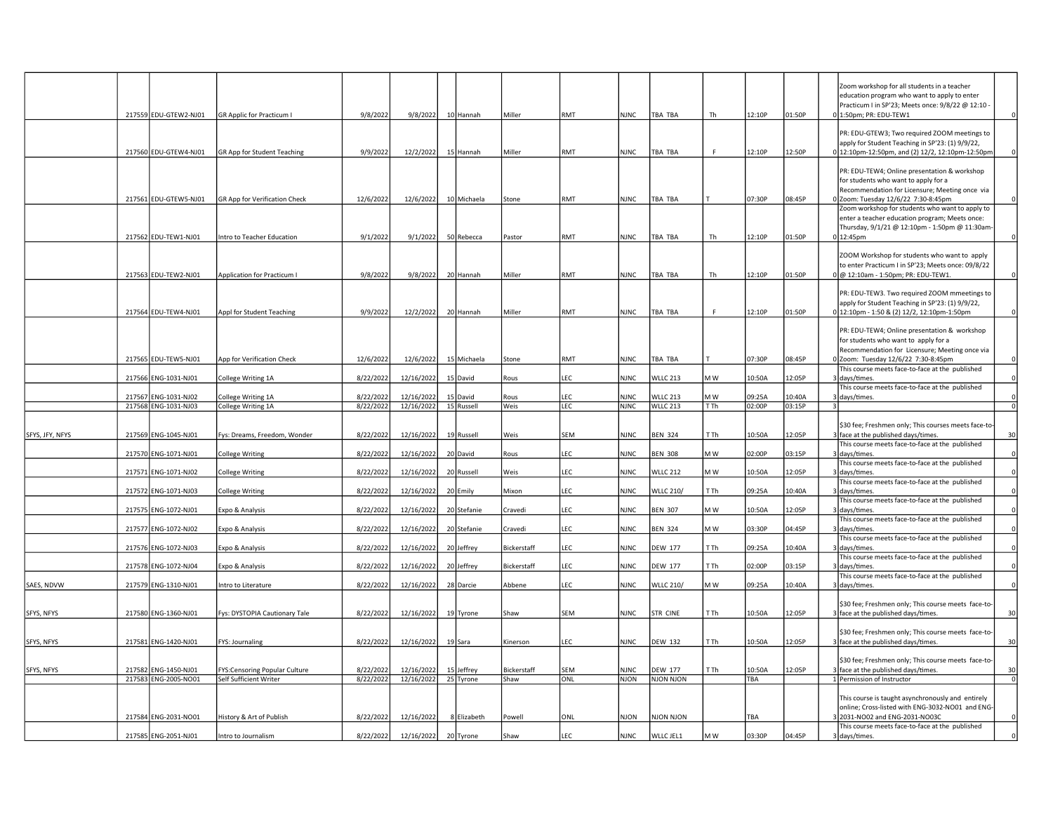|                 | 217559 EDU-GTEW2-NJ01                        | <b>GR Applic for Practicum I</b>                        | 9/8/2022               | 9/8/2022                 | 10 Hannah               | Miller              | RMT        | <b>NJNC</b>                | TBA TBA                            | Th              | 12:10P           | 01:50P           |                            | Zoom workshop for all students in a teacher<br>education program who want to apply to enter<br>Practicum I in SP'23; Meets once: 9/8/22 @ 12:10 -<br>0 1:50pm; PR: EDU-TEW1 | 0              |
|-----------------|----------------------------------------------|---------------------------------------------------------|------------------------|--------------------------|-------------------------|---------------------|------------|----------------------------|------------------------------------|-----------------|------------------|------------------|----------------------------|-----------------------------------------------------------------------------------------------------------------------------------------------------------------------------|----------------|
|                 | 217560 EDU-GTEW4-NJ01                        | GR App for Student Teaching                             | 9/9/2022               | 12/2/2022                | 15 Hannah               | Miller              | RMT        | <b>NJNC</b>                | TBA TBA                            | F.              | 12:10P           | 12:50P           |                            | PR: EDU-GTEW3; Two required ZOOM meetings to<br>apply for Student Teaching in SP'23: (1) 9/9/22,<br>12:10pm-12:50pm, and (2) 12/2, 12:10pm-12:50pm                          |                |
|                 | 217561 EDU-GTEW5-NJ01                        | <b>GR App for Verification Check</b>                    | 12/6/2022              | 12/6/2022                | 10 Michaela             | Stone               | RMT        | <b>NJNC</b>                | TBA TBA                            |                 | 07:30P           | 08:45P           |                            | PR: EDU-TEW4; Online presentation & workshop<br>for students who want to apply for a<br>Recommendation for Licensure; Meeting once via<br>Zoom: Tuesday 12/6/22 7:30-8:45pm |                |
|                 | 217562 EDU-TEW1-NJ01                         | Intro to Teacher Education                              | 9/1/2022               | 9/1/2022                 | 50 Rebecca              | Pastor              | RMT        | <b>NJNC</b>                | TBA TBA                            | Th              | 12:10P           | 01:50P           | $0 12:45$ pm               | Zoom workshop for students who want to apply to<br>enter a teacher education program; Meets once:<br>Thursday, 9/1/21 @ 12:10pm - 1:50pm @ 11:30am                          |                |
|                 | 217563 EDU-TEW2-NJ01                         | Application for Practicum I                             | 9/8/2022               | 9/8/2022                 | 20 Hannah               | Miller              | RMT        | <b>NJNC</b>                | TBA TBA                            | Th              | 12:10P           | 01:50P           |                            | ZOOM Workshop for students who want to apply<br>to enter Practicum I in SP'23; Meets once: 09/8/22<br>0 @ 12:10am - 1:50pm; PR: EDU-TEW1.                                   |                |
|                 | 217564 EDU-TEW4-NJ01                         | Appl for Student Teaching                               | 9/9/2022               | 12/2/2022                | 20 Hannah               | Miller              | RMT        | <b>NJNC</b>                | TBA TBA                            | F.              | 12:10P           | 01:50P           |                            | PR: EDU-TEW3. Two required ZOOM mmeetings to<br>apply for Student Teaching in SP'23: (1) 9/9/22,<br>0 12:10pm - 1:50 & (2) 12/2, 12:10pm-1:50pm                             | $\circ$        |
|                 |                                              |                                                         |                        |                          |                         |                     |            |                            |                                    |                 |                  |                  |                            | PR: EDU-TEW4; Online presentation & workshop<br>for students who want to apply for a<br>Recommendation for Licensure; Meeting once via                                      |                |
|                 | 217565 EDU-TEW5-NJ01<br>217566 ENG-1031-NJ01 | App for Verification Check                              | 12/6/2022<br>8/22/2022 | 12/6/2022<br>12/16/2022  | 15 Michaela             | Stone<br>Rous       | RMT<br>LEC | <b>NJNC</b><br><b>NJNC</b> | TBA TBA<br><b>WLLC 213</b>         | M W             | 07:30P<br>10:50A | 08:45P<br>12:05P |                            | Zoom: Tuesday 12/6/22 7:30-8:45pm<br>This course meets face-to-face at the published                                                                                        | $\Omega$       |
|                 | 217567 ENG-1031-NJ02                         | College Writing 1A<br>College Writing 1A                | 8/22/2022              | 12/16/2022               | 15 David<br>15 David    | Rous                | LEC        | <b>NJNC</b>                | <b>WLLC 213</b>                    | M W             | 09:25A           | 10:40A           | days/times.<br>days/times. | This course meets face-to-face at the published                                                                                                                             | $\Omega$       |
|                 | 217568 ENG-1031-NJ03                         | College Writing 1A                                      | 8/22/2022              | 12/16/2022               | 15 Russell              | Weis                | LEC        | <b>NJNC</b>                | <b>WLLC 213</b>                    | T <sub>Th</sub> | 02:00P           | 03:15P           |                            |                                                                                                                                                                             | $\overline{0}$ |
| SFYS, JFY, NFYS | 217569 ENG-1045-NJ01                         | Fys: Dreams, Freedom, Wonder                            | 8/22/2022              | 12/16/2022               | 19 Russell              | Weis                | SEM        | <b>NJNC</b>                | <b>BEN 324</b>                     | T Th            | 10:50A           | 12:05P           |                            | \$30 fee; Freshmen only; This courses meets face-to<br>face at the published days/times.<br>This course meets face-to-face at the published                                 | 30             |
|                 | 217570 ENG-1071-NJ01                         | <b>College Writing</b>                                  | 8/22/2022              | 12/16/2022               | 20 David                | Rous                | LEC        | <b>NJNC</b>                | <b>BEN 308</b>                     | M W             | 02:00P           | 03:15P           | days/times.                |                                                                                                                                                                             | $\mathbf{0}$   |
|                 | 217571 ENG-1071-NJ02                         | <b>College Writing</b>                                  | 8/22/2022              | 12/16/2022               | 20 Russell              | Weis                | LEC        | <b>NJNC</b>                | <b>WLLC 212</b>                    | M W             | 10:50A           | 12:05P           | days/times.                | This course meets face-to-face at the published                                                                                                                             | $\Omega$       |
|                 | 217572 ENG-1071-NJ03                         | <b>College Writing</b>                                  | 8/22/2022              | 12/16/2022               | 20 Emily                | Mixon               | <b>LEC</b> | <b>NJNC</b>                | <b>WLLC 210/</b>                   | T Th            | 09:25A           | 10:40A           | days/times.                | This course meets face-to-face at the published                                                                                                                             | $\circ$        |
|                 | 217575 ENG-1072-NJ01                         | Expo & Analysis                                         | 8/22/2022              | 12/16/2022               | 20 Stefanie             | Cravedi             | LEC        | <b>NJNC</b>                | <b>BEN 307</b>                     | M W             | 10:50A           | 12:05P           | 3 days/times.              | This course meets face-to-face at the published                                                                                                                             | $\circ$        |
|                 | 217577 ENG-1072-NJ02                         | Expo & Analysis                                         | 8/22/2022              | 12/16/2022               | 20 Stefanie             | Cravedi             | <b>LEC</b> | <b>NJNC</b>                | <b>BEN 324</b>                     | M W             | 03:30P           | 04:45P           | days/times.                | This course meets face-to-face at the published                                                                                                                             |                |
|                 | 217576 ENG-1072-NJ03                         | Expo & Analysis                                         | 8/22/2022              | 12/16/2022               | 20 Jeffrey              | Bickerstaff         | LEC        | <b>NJNC</b>                | <b>DEW 177</b>                     | T Th            | 09:25A           | 10:40A           | days/times.                | This course meets face-to-face at the published                                                                                                                             | $\Omega$       |
|                 |                                              |                                                         |                        |                          |                         |                     |            |                            |                                    |                 |                  |                  |                            | This course meets face-to-face at the published                                                                                                                             |                |
|                 | 217578 ENG-1072-NJ04                         | Expo & Analysis                                         | 8/22/2022              | 12/16/2022               | 20 Jeffrey              | Bickerstaff         | LEC        | <b>NJNC</b>                | <b>DEW 177</b>                     | T Th            | 02:00P           | 03:15P           | days/times.                | This course meets face-to-face at the published                                                                                                                             |                |
| SAES, NDVW      | 217579 ENG-1310-NJ01                         | Intro to Literature                                     | 8/22/2022              | 12/16/2022               | 28 Darcie               | Abbene              | <b>LEC</b> | <b>NJNC</b>                | <b>WLLC 210/</b>                   | M W             | 09:25A           | 10:40A           | days/times                 |                                                                                                                                                                             | $\Omega$       |
| SFYS, NFYS      | 217580 ENG-1360-NJ01                         | Fys: DYSTOPIA Cautionary Tale                           | 8/22/2022              | 12/16/2022               | 19 Tyrone               | Shaw                | <b>SEM</b> | <b>NJNC</b>                | STR CINE                           | T Th            | 10:50A           | 12:05P           |                            | \$30 fee; Freshmen only; This course meets face-to-<br>face at the published days/times.                                                                                    | 30             |
| SFYS, NFYS      | 217581 ENG-1420-NJ01                         | FYS: Journaling                                         | 8/22/2022              | 12/16/2022               | 19 Sara                 | Kinerson            | LEC        | <b>NJNC</b>                | <b>DEW 132</b>                     | T Th            | 10:50A           | 12:05P           |                            | \$30 fee; Freshmen only; This course meets face-to-<br>face at the published days/times.                                                                                    | 30             |
| SFYS, NFYS      | 217582 ENG-1450-NJ01<br>217583 ENG-2005-NO01 | FYS:Censoring Popular Culture<br>Self Sufficient Writer | 8/22/2022<br>8/22/2022 | 12/16/2022<br>12/16/2022 | 15 Jeffrey<br>25 Tyrone | Bickerstaff<br>Shaw | SEM<br>ONL | <b>NJNC</b><br><b>NJON</b> | <b>DEW 177</b><br><b>NJON NJON</b> | T Th            | 10:50A<br>TBA    | 12:05P           |                            | \$30 fee; Freshmen only; This course meets face-to-<br>face at the published days/times.<br>1 Permission of Instructor                                                      | 30<br> 0       |
|                 |                                              |                                                         |                        |                          |                         |                     |            |                            |                                    |                 |                  |                  |                            |                                                                                                                                                                             |                |
|                 | 217584 ENG-2031-NO01                         | History & Art of Publish                                | 8/22/2022              | 12/16/2022               | 8 Elizabeth             | Powell              | ONL        | <b>NJON</b>                | NJON NJON                          |                 | <b>TRA</b>       |                  |                            | This course is taught asynchronously and entirely<br>online; Cross-listed with ENG-3032-NO01 and ENG-<br>2031-NO02 and ENG-2031-NO03C                                       |                |
|                 | 217585 ENG-2051-NJ01                         | Intro to Journalism                                     | 8/22/2022              | 12/16/2022               | 20 Tyrone               | Shaw                | LEC        | <b>NJNC</b>                | WLLC JEL1                          | M W             | 03:30P           | 04:45P           | 3 days/times.              | This course meets face-to-face at the published                                                                                                                             |                |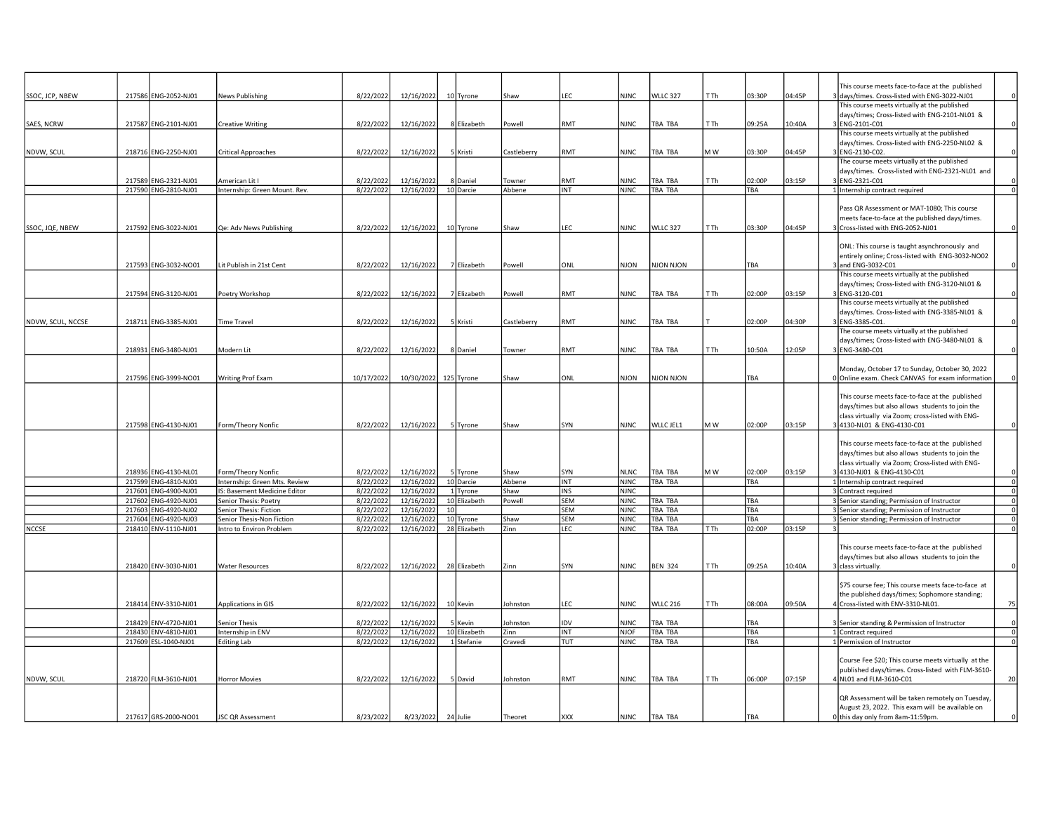|                   |        |                      |                               |            |            |                 |             |            |             |                 |      |            |        | This course meets face-to-face at the published                                    |                         |
|-------------------|--------|----------------------|-------------------------------|------------|------------|-----------------|-------------|------------|-------------|-----------------|------|------------|--------|------------------------------------------------------------------------------------|-------------------------|
| SSOC, JCP, NBEW   |        | 217586 ENG-2052-NJ01 | <b>News Publishing</b>        | 8/22/2022  | 12/16/2022 | 10 Tyrone       | Shaw        | LEC.       | <b>NJNC</b> | <b>WLLC 327</b> | T Th | 03:30P     | 04:45P | 3 days/times. Cross-listed with ENG-3022-NJ01                                      |                         |
|                   |        |                      |                               |            |            |                 |             |            |             |                 |      |            |        | This course meets virtually at the published                                       |                         |
|                   |        |                      |                               |            |            |                 |             |            |             |                 |      |            |        | days/times; Cross-listed with ENG-2101-NL01 &                                      |                         |
| SAES, NCRW        |        | 217587 ENG-2101-NJ01 | <b>Creative Writing</b>       | 8/22/2022  | 12/16/2022 | 8 Elizabeth     | Powell      | RMT        | <b>NJNC</b> | TBA TBA         | T Th | 09:25A     | 10:40A | ENG-2101-C01                                                                       |                         |
|                   |        |                      |                               |            |            |                 |             |            |             |                 |      |            |        | This course meets virtually at the published                                       |                         |
|                   |        |                      |                               |            |            |                 |             |            |             |                 |      |            |        | days/times. Cross-listed with ENG-2250-NL02 &                                      |                         |
| NDVW, SCUL        |        | 218716 ENG-2250-NJ01 | <b>Critical Approaches</b>    | 8/22/2022  | 12/16/2022 | 5 Kristi        | Castleberry | RMT        | <b>NJNC</b> | TBA TBA         | M W  | 03:30P     | 04:45P | ENG-2130-C02.                                                                      |                         |
|                   |        |                      |                               |            |            |                 |             |            |             |                 |      |            |        | The course meets virtually at the published                                        |                         |
|                   |        |                      |                               |            |            |                 |             |            |             |                 |      |            |        | days/times. Cross-listed with ENG-2321-NL01 and                                    |                         |
|                   |        | 217589 ENG-2321-NJ01 | American Lit I                | 8/22/2022  | 12/16/2022 | 8 Daniel        | Towner      | <b>RMT</b> | <b>NJNC</b> | TBA TBA         | T Th | 02:00P     | 03:15P | BENG-2321-C01                                                                      | $\Omega$                |
|                   |        | 217590 ENG-2810-NJ01 | Internship: Green Mount. Rev. | 8/22/2022  | 12/16/2022 | 10 Darcie       | Abbene      | <b>INT</b> | <b>NJNC</b> | TBA TBA         |      | TBA        |        | 1 Internship contract required                                                     | $\mathbf 0$             |
|                   |        |                      |                               |            |            |                 |             |            |             |                 |      |            |        |                                                                                    |                         |
|                   |        |                      |                               |            |            |                 |             |            |             |                 |      |            |        | Pass QR Assessment or MAT-1080; This course                                        |                         |
|                   |        | 217592 ENG-3022-NJ01 | Qe: Adv News Publishing       | 8/22/2022  | 12/16/2022 | 10 Tyrone       | Shaw        | LEC        | <b>NJNC</b> | <b>WLLC 327</b> | T Th | 03:30P     | 04:45P | meets face-to-face at the published days/times.<br>Cross-listed with ENG-2052-NJ01 |                         |
| SSOC, JQE, NBEW   |        |                      |                               |            |            |                 |             |            |             |                 |      |            |        |                                                                                    |                         |
|                   |        |                      |                               |            |            |                 |             |            |             |                 |      |            |        | ONL: This course is taught asynchronously and                                      |                         |
|                   |        |                      |                               |            |            |                 |             |            |             |                 |      |            |        | entirely online; Cross-listed with ENG-3032-NO02                                   |                         |
|                   |        | 217593 ENG-3032-NO01 | Lit Publish in 21st Cent      | 8/22/2022  | 12/16/2022 | 7 Elizabeth     | Powell      | ONL        | NJON        | NJON NJON       |      | TBA        |        | and ENG-3032-C01                                                                   |                         |
|                   |        |                      |                               |            |            |                 |             |            |             |                 |      |            |        | This course meets virtually at the published                                       |                         |
|                   |        |                      |                               |            |            |                 |             |            |             |                 |      |            |        | days/times; Cross-listed with ENG-3120-NL01 &                                      |                         |
|                   |        | 217594 ENG-3120-NJ01 | Poetry Workshop               | 8/22/2022  | 12/16/2022 | 7 Elizabeth     | Powell      | <b>RMT</b> | <b>NJNC</b> | TBA TBA         | T Th | 02:00P     | 03:15P | BlENG-3120-C01                                                                     |                         |
|                   |        |                      |                               |            |            |                 |             |            |             |                 |      |            |        | This course meets virtually at the published                                       |                         |
|                   |        |                      |                               |            |            |                 |             |            |             |                 |      |            |        | days/times. Cross-listed with ENG-3385-NL01 &                                      |                         |
| NDVW, SCUL, NCCSE |        | 218711 ENG-3385-NJ01 | <b>Time Travel</b>            | 8/22/2022  | 12/16/2022 | 5 Kristi        | Castleberry | RMT        | <b>NJNC</b> | TBA TBA         |      | 02:00P     | 04:30P | 3 ENG-3385-C01.                                                                    |                         |
|                   |        |                      |                               |            |            |                 |             |            |             |                 |      |            |        | The course meets virtually at the published                                        |                         |
|                   |        |                      |                               |            |            |                 |             |            |             |                 |      |            |        | days/times; Cross-listed with ENG-3480-NL01 &                                      |                         |
|                   |        | 218931 ENG-3480-NJ01 | Modern Lit                    | 8/22/2022  | 12/16/2022 | 8 Daniel        | Towner      | RMT        | <b>NJNC</b> | TBA TBA         | T Th | 10:50A     | 12:05P | B ENG-3480-C01                                                                     |                         |
|                   |        |                      |                               |            |            |                 |             |            |             |                 |      |            |        |                                                                                    |                         |
|                   |        |                      |                               |            |            |                 |             |            |             |                 |      |            |        | Monday, October 17 to Sunday, October 30, 2022                                     |                         |
|                   |        | 217596 ENG-3999-NO01 | <b>Writing Prof Exam</b>      | 10/17/2022 | 10/30/2022 | 125 Tyrone      | Shaw        | ONL        | <b>NJON</b> | NJON NJON       |      | <b>TBA</b> |        | 0 Online exam. Check CANVAS for exam information                                   |                         |
|                   |        |                      |                               |            |            |                 |             |            |             |                 |      |            |        |                                                                                    |                         |
|                   |        |                      |                               |            |            |                 |             |            |             |                 |      |            |        | This course meets face-to-face at the published                                    |                         |
|                   |        |                      |                               |            |            |                 |             |            |             |                 |      |            |        | days/times but also allows students to join the                                    |                         |
|                   |        |                      |                               |            |            |                 |             |            |             |                 |      |            |        | class virtually via Zoom; cross-listed with ENG-                                   |                         |
|                   |        | 217598 ENG-4130-NJ01 | Form/Theory Nonfic            | 8/22/2022  | 12/16/2022 | 5 Tyrone        | Shaw        | SYN        | <b>NJNC</b> | WLLC JEL1       | M W  | 02:00P     | 03:15P | 3 4130-NL01 & ENG-4130-C01                                                         |                         |
|                   |        |                      |                               |            |            |                 |             |            |             |                 |      |            |        |                                                                                    |                         |
|                   |        |                      |                               |            |            |                 |             |            |             |                 |      |            |        | This course meets face-to-face at the published                                    |                         |
|                   |        |                      |                               |            |            |                 |             |            |             |                 |      |            |        | days/times but also allows students to join the                                    |                         |
|                   |        |                      |                               |            |            |                 |             |            |             |                 |      |            |        | class virtually via Zoom; Cross-listed with ENG-                                   |                         |
|                   |        | 218936 ENG-4130-NL01 | Form/Theory Nonfic            | 8/22/2022  | 12/16/2022 | 5 Tyrone        | Shaw        | SYN        | <b>NLNC</b> | TBA TBA         | M W  | 02:00P     | 03:15P | 4130-NJ01 & ENG-4130-C01                                                           | $\Omega$                |
|                   |        | 217599 ENG-4810-NJ01 | Internship: Green Mts. Review | 8/22/2022  | 12/16/2022 | 10 Darcie       | Abbene      | INT        | <b>NJNC</b> | TBA TBA         |      | TBA        |        | 1 Internship contract required                                                     | $\overline{\mathbf{0}}$ |
|                   |        | 217601 ENG-4900-NJ01 | IS: Basement Medicine Editor  | 8/22/2022  | 12/16/2022 | 1 Tyrone        | Shaw        | INS        | <b>NJNC</b> |                 |      |            |        | 3 Contract required                                                                | $\mathbf 0$             |
|                   | 217602 | ENG-4920-NJ01        | Senior Thesis: Poetry         | 8/22/2022  | 12/16/2022 | 10 Elizabeth    | Powell      | <b>SEM</b> | <b>NJNC</b> | TBA TBA         |      | <b>TBA</b> |        | 3 Senior standing; Permission of Instructor                                        | $\circ$                 |
|                   | 217603 | ENG-4920-NJ02        | Senior Thesis: Fiction        | 8/22/2022  | 12/16/2022 | 10 <sup>1</sup> |             | SEM        | <b>NJNC</b> | TBA TBA         |      | TBA        |        | 3 Senior standing; Permission of Instructor                                        | $\mathbf 0$             |
|                   | 217604 | ENG-4920-NJ03        | Senior Thesis-Non Fiction     | 8/22/2022  | 12/16/2022 | 10 Tyrone       | Shaw        | <b>SEM</b> | <b>NJNC</b> | <b>TBA TBA</b>  |      | TBA        |        | 3 Senior standing; Permission of Instructor                                        | $\overline{0}$          |
| <b>NCCSE</b>      |        | 218410 ENV-1110-NJ01 | Intro to Environ Problem      | 8/22/2022  | 12/16/2022 | 28 Elizabeth    | Zinn        | LEC        | <b>NJNC</b> | TBA TBA         | T Th | 02:00P     | 03:15P |                                                                                    | $\mathbf 0$             |
|                   |        |                      |                               |            |            |                 |             |            |             |                 |      |            |        |                                                                                    |                         |
|                   |        |                      |                               |            |            |                 |             |            |             |                 |      |            |        | This course meets face-to-face at the published                                    |                         |
|                   |        |                      |                               |            |            |                 |             |            |             |                 |      |            |        | days/times but also allows students to join the                                    |                         |
|                   |        | 218420 ENV-3030-NJ01 | <b>Water Resources</b>        | 8/22/2022  | 12/16/2022 | 28 Elizabeth    | Zinn        | SYN        | <b>NJNC</b> | <b>BEN 324</b>  | T Th | 09:25A     | 10:40A | 3 class virtually.                                                                 |                         |
|                   |        |                      |                               |            |            |                 |             |            |             |                 |      |            |        |                                                                                    |                         |
|                   |        |                      |                               |            |            |                 |             |            |             |                 |      |            |        | \$75 course fee; This course meets face-to-face at                                 |                         |
|                   |        |                      |                               |            |            |                 |             |            |             |                 |      |            |        | the published days/times; Sophomore standing;                                      |                         |
|                   |        | 218414 ENV-3310-NJ01 | Applications in GIS           | 8/22/2022  | 12/16/2022 | 10 Kevin        | Johnston    | LEC        | <b>NJNC</b> | <b>WLLC 216</b> | T Th | 08:00A     | 09:50A | 4 Cross-listed with ENV-3310-NL01.                                                 | 75                      |
|                   |        |                      |                               |            |            |                 |             |            |             |                 |      |            |        |                                                                                    |                         |
|                   |        | 218429 ENV-4720-NJ01 | Senior Thesis                 | 8/22/2022  | 12/16/2022 | 5 Kevin         | Johnston    | <b>IDV</b> | <b>NJNC</b> | TBA TBA         |      | <b>TBA</b> |        | 3 Senior standing & Permission of Instructor                                       | 0                       |
|                   |        | 218430 ENV-4810-NJ01 | Internship in ENV             | 8/22/2022  | 12/16/2022 | 10 Elizabeth    | Zinn        | INT        | <b>NJOF</b> | TBA TBA         |      | TBA        |        | 1 Contract required                                                                | $\overline{0}$          |
|                   |        | 217609 ESL-1040-NJ01 | <b>Editing Lab</b>            | 8/22/2022  | 12/16/2022 | 1 Stefanie      | Cravedi     | Ιτυτ       | <b>NJNC</b> | TBA TBA         |      | TBA        |        | 1 Permission of Instructor                                                         | $\mathbf 0$             |
|                   |        |                      |                               |            |            |                 |             |            |             |                 |      |            |        |                                                                                    |                         |
|                   |        |                      |                               |            |            |                 |             |            |             |                 |      |            |        | Course Fee \$20; This course meets virtually at the                                |                         |
|                   |        |                      |                               |            |            |                 |             |            |             |                 |      |            |        | published days/times. Cross-listed with FLM-3610-                                  |                         |
| NDVW, SCUL        |        | 218720 FLM-3610-NJ01 | <b>Horror Movies</b>          | 8/22/2022  | 12/16/2022 | 5 David         | Johnston    | RMT        | <b>NJNC</b> | TBA TBA         | T Th | 06:00P     | 07:15P | 4 NL01 and FLM-3610-C01                                                            | 20                      |
|                   |        |                      |                               |            |            |                 |             |            |             |                 |      |            |        |                                                                                    |                         |
|                   |        |                      |                               |            |            |                 |             |            |             |                 |      |            |        | QR Assessment will be taken remotely on Tuesday,                                   |                         |
|                   |        |                      |                               |            |            |                 |             |            |             |                 |      |            |        | August 23, 2022. This exam will be available on                                    |                         |
|                   |        | 217617 GRS-2000-NO01 | JSC QR Assessment             | 8/23/2022  | 8/23/2022  | 24 Julie        | Theoret     | <b>XXX</b> | <b>NJNC</b> | TBA TBA         |      | TBA        |        | 0 this day only from 8am-11:59pm.                                                  |                         |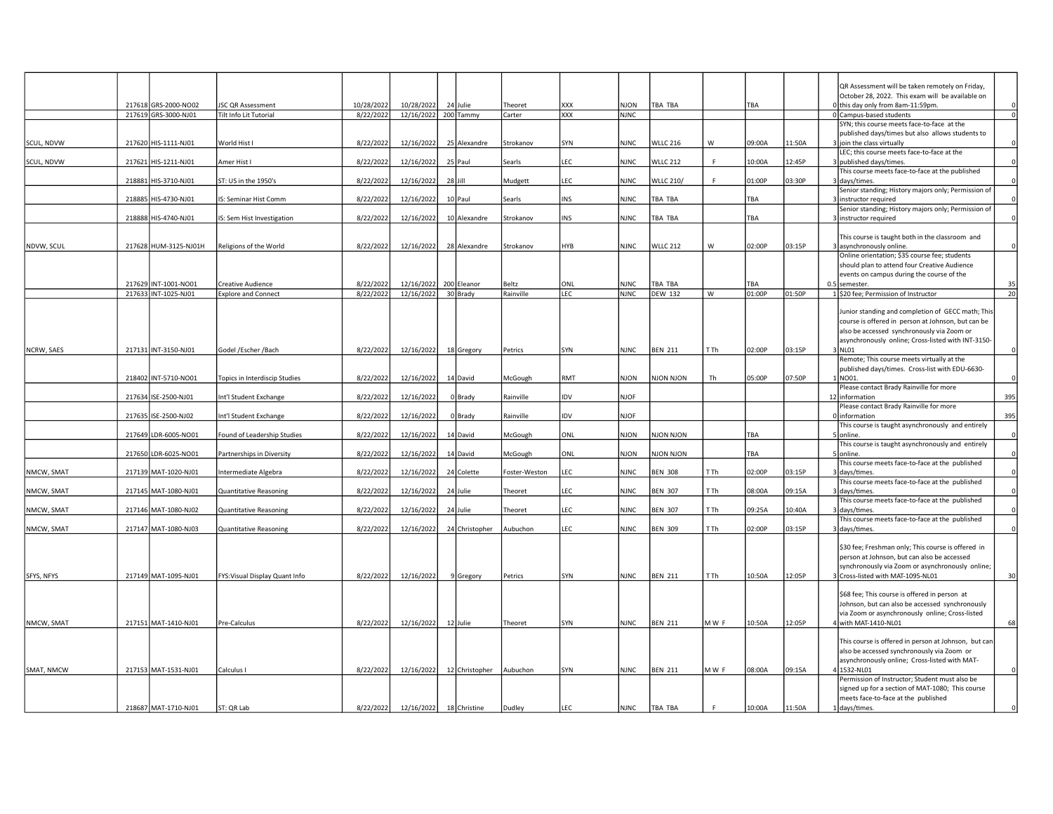|            |                                              |                                                    |                         |                                    |                |               |                   |                     |                  |              |        |        | QR Assessment will be taken remotely on Friday,<br>October 28, 2022. This exam will be available on |
|------------|----------------------------------------------|----------------------------------------------------|-------------------------|------------------------------------|----------------|---------------|-------------------|---------------------|------------------|--------------|--------|--------|-----------------------------------------------------------------------------------------------------|
|            | 217618 GRS-2000-NO02<br>217619 GRS-3000-NJ01 | <b>JSC QR Assessment</b><br>Tilt Info Lit Tutorial | 10/28/2022<br>8/22/2022 | 10/28/2022<br>12/16/2022 200 Tammy | 24 Julie       | Theoret       | XXX<br><b>XXX</b> | NJON<br><b>NJNC</b> | TBA TBA          |              | TBA    |        | 0 this day only from 8am-11:59pm.<br>0 Campus-based students<br>$\Omega$                            |
|            |                                              |                                                    |                         |                                    |                | Carter        |                   |                     |                  |              |        |        | SYN; this course meets face-to-face at the                                                          |
|            |                                              |                                                    |                         |                                    |                |               |                   |                     |                  |              |        |        | published days/times but also allows students to                                                    |
| SCUL, NDVW | 217620 HIS-1111-NJ01                         | World Hist I                                       | 8/22/2022               | 12/16/2022                         | 25 Alexandre   | Strokanov     | SYN               | <b>NJNC</b>         | WLLC 216         | W            | 09:00A | 1:50A  | 3 join the class virtually                                                                          |
|            |                                              |                                                    |                         |                                    |                |               |                   |                     |                  |              |        |        | LEC; this course meets face-to-face at the                                                          |
| SCUL, NDVW | 217621 HIS-1211-NJ01                         | Amer Hist I                                        | 8/22/2022               | 12/16/2022                         | 25 Paul        | Searls        | LEC               | <b>NJNC</b>         | <b>WLLC 212</b>  | $\mathbf{E}$ | 10:00A | 12:45P | 3 published days/times.<br>This course meets face-to-face at the published                          |
|            | 218881 HIS-3710-NJ01                         | ST: US in the 1950's                               | 8/22/2022               | 12/16/2022                         | $28$ Jill      | Mudgett       | LEC               | <b>NJNC</b>         | <b>WLLC 210/</b> |              | 01:00P | 03:30P | 3 days/times.<br>$\Omega$                                                                           |
|            |                                              |                                                    |                         |                                    |                |               |                   |                     |                  |              |        |        | Senior standing; History majors only; Permission of                                                 |
|            | 218885 HIS-4730-NJ01                         | S: Seminar Hist Comm                               | 8/22/2022               | 12/16/2022                         | 10 Paul        | Searls        | INS               | <b>NJNC</b>         | TBA TBA          |              | TBA    |        | 3 instructor required                                                                               |
|            |                                              |                                                    |                         |                                    |                |               |                   |                     |                  |              |        |        | Senior standing; History majors only; Permission of                                                 |
|            | 218888 HIS-4740-NJ01                         | IS: Sem Hist Investigation                         | 8/22/2022               | 12/16/2022                         | 10 Alexandre   | Strokanov     | <b>INS</b>        | <b>NJNC</b>         | TBA TBA          |              | TBA    |        | 3 instructor required                                                                               |
|            |                                              |                                                    |                         |                                    |                |               |                   |                     |                  |              |        |        | This course is taught both in the classroom and                                                     |
| NDVW, SCUL | 217628 HUM-3125-NJ01H                        | Religions of the World                             | 8/22/2022               | 12/16/2022                         | 28 Alexandre   | Strokanov     | HYB               | <b>NJNC</b>         | <b>WLLC 212</b>  | W            | 02:00P | 03:15P | 3 asynchronously online.                                                                            |
|            |                                              |                                                    |                         |                                    |                |               |                   |                     |                  |              |        |        | Online orientation; \$35 course fee; students                                                       |
|            |                                              |                                                    |                         |                                    |                |               |                   |                     |                  |              |        |        | should plan to attend four Creative Audience                                                        |
|            | 217629 INT-1001-NO01                         | Creative Audience                                  | 8/22/2022               | 12/16/2022 200 Eleanor             |                | Beltz         | ONL               | <b>NJNC</b>         | TBA TBA          |              | TBA    |        | events on campus during the course of the<br>0.5 semester.<br>35                                    |
|            | 217633 INT-1025-NJ01                         | <b>Explore and Connect</b>                         | 8/22/2022               | 12/16/2022                         | 30 Brady       | Rainville     | <b>LEC</b>        | <b>NJNC</b>         | <b>DEW 132</b>   | W            | 01:00P | 01:50P | $\overline{20}$<br>1 \$20 fee; Permission of Instructor                                             |
|            |                                              |                                                    |                         |                                    |                |               |                   |                     |                  |              |        |        |                                                                                                     |
|            |                                              |                                                    |                         |                                    |                |               |                   |                     |                  |              |        |        | Junior standing and completion of GECC math; This                                                   |
|            |                                              |                                                    |                         |                                    |                |               |                   |                     |                  |              |        |        | course is offered in person at Johnson, but can be                                                  |
|            |                                              |                                                    |                         |                                    |                |               |                   |                     |                  |              |        |        | also be accessed synchronously via Zoom or<br>asynchronously online; Cross-listed with INT-3150-    |
| NCRW, SAES | 217131 INT-3150-NJ01                         | Godel /Escher /Bach                                | 8/22/2022               | 12/16/2022                         | 18 Gregory     | Petrics       | SYN               | <b>NJNC</b>         | <b>BEN 211</b>   | T Th         | 02:00P | 03:15P | 3 NL01                                                                                              |
|            |                                              |                                                    |                         |                                    |                |               |                   |                     |                  |              |        |        | Remote; This course meets virtually at the                                                          |
|            |                                              |                                                    |                         |                                    |                |               |                   |                     |                  |              |        |        | published days/times. Cross-list with EDU-6630-                                                     |
|            | 218402 INT-5710-NO01                         | Topics in Interdiscip Studies                      | 8/22/2022               | 12/16/2022                         | 14 David       | McGough       | RMT               | <b>NJON</b>         | <b>NJON NJON</b> | Th           | 05:00P | 07:50P | 1 NO01.<br>$\Omega$                                                                                 |
|            | 217634 ISE-2500-NJ01                         | Int'l Student Exchange                             | 8/22/2022               | 12/16/2022                         | 0 Brady        | Rainville     | idv               | <b>NJOF</b>         |                  |              |        |        | Please contact Brady Rainville for more<br>395<br>12 information                                    |
|            |                                              |                                                    |                         |                                    |                |               |                   |                     |                  |              |        |        | Please contact Brady Rainville for more                                                             |
|            | 217635 ISE-2500-NJ02                         | Int'l Student Exchange                             | 8/22/2022               | 12/16/2022                         | 0 Brady        | Rainville     | <b>IDV</b>        | <b>NJOF</b>         |                  |              |        |        | 395<br>0 linformation                                                                               |
|            |                                              |                                                    |                         |                                    |                |               |                   |                     |                  |              |        |        | This course is taught asynchronously and entirely                                                   |
|            | 217649 LDR-6005-NO01                         | Found of Leadership Studies                        | 8/22/2022               | 12/16/2022                         | 14 David       | McGough       | ONL               | NJON                | NJON NJON        |              | TBA    |        | online                                                                                              |
|            | 217650 LDR-6025-NO01                         | Partnerships in Diversity                          | 8/22/2022               | 12/16/2022                         | 14 David       | McGough       | ONL               | NJON                | NJON NJON        |              | TBA    |        | This course is taught asynchronously and entirely<br>5 online.<br>$\Omega$                          |
|            |                                              |                                                    |                         |                                    |                |               |                   |                     |                  |              |        |        | This course meets face-to-face at the published                                                     |
| NMCW, SMAT | 217139 MAT-1020-NJ01                         | Intermediate Algebra                               | 8/22/2022               | 12/16/2022                         | 24 Colette     | Foster-Weston | LEC               | <b>NJNC</b>         | <b>BEN 308</b>   | T Th         | 02:00P | 03:15P | $\Omega$<br>3 days/times.                                                                           |
|            |                                              |                                                    |                         |                                    |                |               |                   |                     |                  |              |        |        | This course meets face-to-face at the published                                                     |
| NMCW, SMAT | 217145 MAT-1080-NJ01                         | Quantitative Reasoning                             | 8/22/2022               | 12/16/2022                         | 24 Julie       | Theoret       | LEC               | <b>NJNC</b>         | <b>BEN 307</b>   | T Th         | 08:00A | 09:15A | $\Omega$<br>3 days/times.                                                                           |
| NMCW, SMAT | 217146 MAT-1080-NJ02                         | Quantitative Reasoning                             | 8/22/2022               | 12/16/2022                         | 24 Julie       | Theoret       | LEC               | <b>NJNC</b>         | <b>BEN 307</b>   | T Th         | 09:25A | 10:40A | This course meets face-to-face at the published<br>days/times.                                      |
|            |                                              |                                                    |                         |                                    |                |               |                   |                     |                  |              |        |        | This course meets face-to-face at the published                                                     |
| NMCW, SMAT | 217147 MAT-1080-NJ03                         | Quantitative Reasoning                             | 8/22/2022               | 12/16/2022                         | 24 Christopher | Aubuchon      | LEC               | <b>NJNC</b>         | <b>BEN 309</b>   | T Th         | 02:00P | 03:15P | 3 days/times.                                                                                       |
|            |                                              |                                                    |                         |                                    |                |               |                   |                     |                  |              |        |        |                                                                                                     |
|            |                                              |                                                    |                         |                                    |                |               |                   |                     |                  |              |        |        | \$30 fee; Freshman only; This course is offered in<br>person at Johnson, but can also be accessed   |
|            |                                              |                                                    |                         |                                    |                |               |                   |                     |                  |              |        |        | synchronously via Zoom or asynchronously online;                                                    |
| SFYS, NFYS | 217149 MAT-1095-NJ01                         | FYS: Visual Display Quant Info                     | 8/22/2022               | 12/16/2022                         | 9 Gregory      | Petrics       | SYN               | <b>NJNC</b>         | <b>BEN 211</b>   | T Th         | 10:50A | 12:05P | 3 Cross-listed with MAT-1095-NL01<br>30                                                             |
|            |                                              |                                                    |                         |                                    |                |               |                   |                     |                  |              |        |        |                                                                                                     |
|            |                                              |                                                    |                         |                                    |                |               |                   |                     |                  |              |        |        | \$68 fee; This course is offered in person at                                                       |
|            |                                              |                                                    |                         |                                    |                |               |                   |                     |                  |              |        |        | Johnson, but can also be accessed synchronously                                                     |
| NMCW, SMAT | 217151 MAT-1410-NJ01                         | Pre-Calculus                                       | 8/22/2022               | 12/16/2022                         | 12 Julie       | Theoret       | SYN               | <b>NJNC</b>         | <b>BEN 211</b>   | MW F         | 10:50A | 12:05P | via Zoom or asynchronously online; Cross-listed<br>4 with MAT-1410-NL01<br>68                       |
|            |                                              |                                                    |                         |                                    |                |               |                   |                     |                  |              |        |        |                                                                                                     |
|            |                                              |                                                    |                         |                                    |                |               |                   |                     |                  |              |        |        | This course is offered in person at Johnson, but can                                                |
|            |                                              |                                                    |                         |                                    |                |               |                   |                     |                  |              |        |        | also be accessed synchronously via Zoom or                                                          |
|            |                                              |                                                    |                         |                                    |                |               |                   |                     |                  |              |        |        | asynchronously online; Cross-listed with MAT-<br>$\Omega$                                           |
| SMAT, NMCW | 217153 MAT-1531-NJ01                         | Calculus I                                         | 8/22/2022               | 12/16/2022                         | 12 Christopher | Aubuchon      | SYN               | <b>NJNC</b>         | <b>BEN 211</b>   | MWF          | 08:00A | 09:15A | 4 1532-NL01<br>Permission of Instructor; Student must also be                                       |
|            |                                              |                                                    |                         |                                    |                |               |                   |                     |                  |              |        |        | signed up for a section of MAT-1080; This course                                                    |
|            |                                              |                                                    |                         |                                    |                |               |                   |                     |                  |              |        |        | meets face-to-face at the published                                                                 |
|            | 218687 MAT-1710-NJ01                         | ST: QR Lab                                         | 8/22/2022               | 12/16/2022 18 Christine            |                | Dudley        | LEC               | <b>NJNC</b>         | TBA TBA          |              | 10:00A | 11:50A | 1 days/times.<br>$\Omega$                                                                           |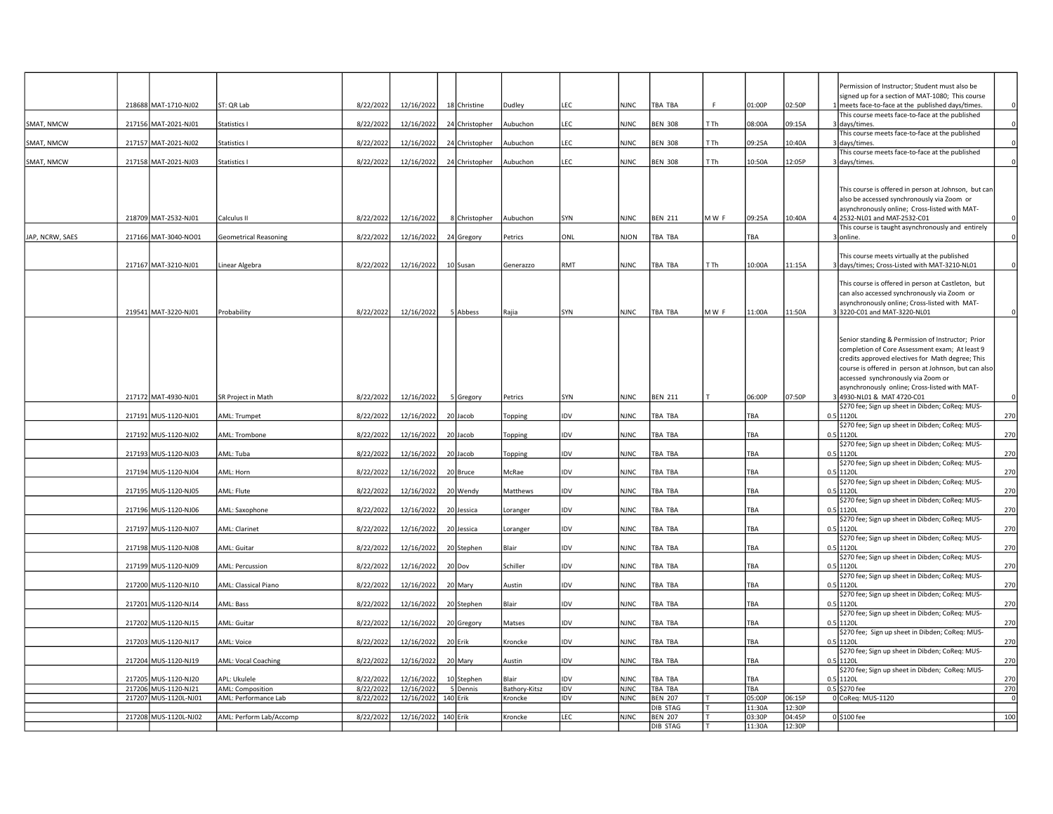|                 |                       |                             |           |            |                |               |            |             |                            |        |                  |                  | Permission of Instructor; Student must also be                                                           |          |
|-----------------|-----------------------|-----------------------------|-----------|------------|----------------|---------------|------------|-------------|----------------------------|--------|------------------|------------------|----------------------------------------------------------------------------------------------------------|----------|
|                 | 218688 MAT-1710-NJ02  | ST: QR Lab                  | 8/22/2022 | 12/16/2022 | 18 Christine   | Dudley        | LEC        | <b>NJNC</b> | TBA TBA                    | F      | 01:00P           | 02:50P           | signed up for a section of MAT-1080; This course<br>meets face-to-face at the published days/times.      | $\Omega$ |
|                 |                       |                             |           |            |                |               |            |             |                            |        |                  |                  | This course meets face-to-face at the published                                                          |          |
| SMAT, NMCW      | 217156 MAT-2021-NJ01  | Statistics I                | 8/22/2022 | 12/16/2022 | 24 Christopher | Aubuchon      | LEC        | <b>NJNC</b> | <b>BEN 308</b>             | T Th   | 08:00A           | 09:15A           | days/times.                                                                                              | $\Omega$ |
| SMAT, NMCW      | 217157 MAT-2021-NJ02  |                             | 8/22/2022 | 12/16/2022 |                |               | LEC        | <b>NJNC</b> | <b>BEN 308</b>             | T Th   | 09:25A           | 10:40A           | This course meets face-to-face at the published                                                          |          |
|                 |                       | Statistics I                |           |            | 24 Christopher | Aubuchon      |            |             |                            |        |                  |                  | days/times.<br>This course meets face-to-face at the published                                           |          |
| SMAT, NMCW      | 217158 MAT-2021-NJ03  | Statistics I                | 8/22/2022 | 12/16/2022 | 24 Christopher | Aubuchon      | LEC        | <b>NJNC</b> | <b>BEN 308</b>             | T Th   | 10:50A           | 12:05P           | 3 days/times.                                                                                            | $\Omega$ |
|                 |                       |                             |           |            |                |               |            |             |                            |        |                  |                  |                                                                                                          |          |
|                 |                       |                             |           |            |                |               |            |             |                            |        |                  |                  | This course is offered in person at Johnson, but can                                                     |          |
|                 |                       |                             |           |            |                |               |            |             |                            |        |                  |                  | also be accessed synchronously via Zoom or                                                               |          |
|                 |                       |                             |           |            |                |               |            |             |                            |        |                  |                  | asynchronously online; Cross-listed with MAT-                                                            |          |
|                 | 218709 MAT-2532-NJ01  | Calculus II                 | 8/22/2022 | 12/16/2022 | 8 Christopher  | Aubuchon      | SYN        | <b>NJNC</b> | <b>BEN 211</b>             | MW F   | 09:25A           | 10:40A           | 4 2532-NL01 and MAT-2532-C01                                                                             |          |
| JAP, NCRW, SAES | 217166 MAT-3040-NO01  | Geometrical Reasoning       | 8/22/2022 | 12/16/2022 | 24 Gregory     | Petrics       | ONL        | <b>NJON</b> | TBA TBA                    |        | TBA              |                  | This course is taught asynchronously and entirely<br>3 online.                                           | $\circ$  |
|                 |                       |                             |           |            |                |               |            |             |                            |        |                  |                  |                                                                                                          |          |
|                 |                       |                             |           |            |                |               |            |             |                            |        |                  |                  | This course meets virtually at the published                                                             |          |
|                 | 217167 MAT-3210-NJ01  | Linear Algebra              | 8/22/2022 | 12/16/2022 | 10 Susan       | Generazzo     | RMT        | <b>NJNC</b> | TBA TBA                    | T Th   | 10:00A           | 11:15A           | 3 days/times; Cross-Listed with MAT-3210-NL01                                                            | $\Omega$ |
|                 |                       |                             |           |            |                |               |            |             |                            |        |                  |                  | This course is offered in person at Castleton, but                                                       |          |
|                 |                       |                             |           |            |                |               |            |             |                            |        |                  |                  | can also accessed synchronously via Zoom or                                                              |          |
|                 |                       |                             |           |            |                |               |            |             |                            |        |                  |                  | asynchronously online; Cross-listed with MAT-                                                            |          |
|                 | 219541 MAT-3220-NJ01  | Probability                 | 8/22/2022 | 12/16/2022 | 5 Abbess       | Rajia         | SYN        | <b>NJNC</b> | TBA TBA                    | MW F   | 11:00A           | 11:50A           | 3220-C01 and MAT-3220-NL01                                                                               | $\Omega$ |
|                 |                       |                             |           |            |                |               |            |             |                            |        |                  |                  |                                                                                                          |          |
|                 |                       |                             |           |            |                |               |            |             |                            |        |                  |                  | Senior standing & Permission of Instructor; Prior                                                        |          |
|                 |                       |                             |           |            |                |               |            |             |                            |        |                  |                  | completion of Core Assessment exam; At least 9                                                           |          |
|                 |                       |                             |           |            |                |               |            |             |                            |        |                  |                  | credits approved electives for Math degree; This<br>course is offered in person at Johnson, but can also |          |
|                 |                       |                             |           |            |                |               |            |             |                            |        |                  |                  | accessed synchronously via Zoom or                                                                       |          |
|                 |                       |                             |           |            |                |               |            |             |                            |        |                  |                  | asynchronously online; Cross-listed with MAT-                                                            |          |
|                 | 217172 MAT-4930-NJ01  | SR Project in Math          | 8/22/2022 | 12/16/2022 | 5 Gregory      | Petrics       | SYN        | <b>NJNC</b> | <b>BEN 211</b>             |        | 06:00P           | 07:50P           | 4930-NL01 & MAT 4720-C01                                                                                 | $\Omega$ |
|                 | 217191 MUS-1120-NJ01  | AML: Trumpet                | 8/22/2022 | 12/16/2022 | 20 Jacob       |               | IDV        | <b>NJNC</b> | TBA TBA                    |        | TBA              |                  | \$270 fee; Sign up sheet in Dibden; CoReq: MUS-<br>0.51120L                                              | 270      |
|                 |                       |                             |           |            |                | Topping       |            |             |                            |        |                  |                  | \$270 fee; Sign up sheet in Dibden; CoReq: MUS-                                                          |          |
|                 | 217192 MUS-1120-NJ02  | AML: Trombone               | 8/22/2022 | 12/16/2022 | 20 Jacob       | Topping       | <b>IDV</b> | <b>NJNC</b> | TBA TBA                    |        | TBA              |                  | $0.5$ 1120L                                                                                              | 270      |
|                 |                       |                             |           |            |                |               |            |             |                            |        |                  |                  | \$270 fee; Sign up sheet in Dibden; CoReq: MUS-                                                          |          |
|                 | 217193 MUS-1120-NJ03  | AML: Tuba                   | 8/22/2022 | 12/16/2022 | 20 Jacob       | Topping       | IDV        | <b>NJNC</b> | TBA TBA                    |        | TBA              |                  | 0.51120L<br>\$270 fee; Sign up sheet in Dibden; CoReq: MUS-                                              | 270      |
|                 | 217194 MUS-1120-NJ04  | AML: Horn                   | 8/22/2022 | 12/16/2022 | 20 Bruce       | McRae         | IDV        | <b>NJNC</b> | TBA TBA                    |        | TBA              |                  | 0.5111201                                                                                                | 270      |
|                 |                       |                             |           |            |                |               |            |             |                            |        |                  |                  | \$270 fee; Sign up sheet in Dibden; CoReq: MUS-                                                          |          |
|                 | 217195 MUS-1120-NJ05  | AML: Flute                  | 8/22/2022 | 12/16/2022 | 20 Wendy       | Matthews      | <b>IDV</b> | <b>NJNC</b> | TBA TBA                    |        | TBA              |                  | $0.5$ 1120<br>\$270 fee; Sign up sheet in Dibden; CoReq: MUS-                                            | 270      |
|                 | 217196 MUS-1120-NJ06  | AML: Saxophone              | 8/22/2022 | 12/16/2022 | 20 Jessica     | Loranger      | IDV        | <b>NJNC</b> | TBA TBA                    |        | TBA              |                  | 0.5 1120L                                                                                                | 270      |
|                 |                       |                             |           |            |                |               |            |             |                            |        |                  |                  | \$270 fee; Sign up sheet in Dibden; CoReq: MUS-                                                          |          |
|                 | 217197 MUS-1120-NJ07  | AML: Clarinet               | 8/22/2022 | 12/16/2022 | 20 Jessica     | Loranger      | IDV        | <b>NJNC</b> | TBA TBA                    |        | TBA              |                  | 0.51120L                                                                                                 | 270      |
|                 | 217198 MUS-1120-NJ08  | AML: Guitar                 | 8/22/2022 | 12/16/2022 | 20 Stephen     | Blair         | <b>IDV</b> | <b>NJNC</b> | TBA TBA                    |        | TBA              |                  | \$270 fee; Sign up sheet in Dibden; CoReq: MUS-<br>0.51120L                                              | 270      |
|                 |                       |                             |           |            |                |               |            |             |                            |        |                  |                  | \$270 fee; Sign up sheet in Dibden; CoReq: MUS-                                                          |          |
|                 | 217199 MUS-1120-NJ09  | AML: Percussion             | 8/22/2022 | 12/16/2022 | $20$ Dov       | Schiller      | IDV        | <b>NJNC</b> | TBA TBA                    |        | TBA              |                  | 0.51120L                                                                                                 | 270      |
|                 |                       |                             |           |            |                |               |            |             |                            |        |                  |                  | \$270 fee; Sign up sheet in Dibden; CoReq: MUS-                                                          |          |
|                 | 217200 MUS-1120-NJ10  | <b>AML: Classical Piano</b> | 8/22/2022 | 12/16/2022 | 20 Mary        | Austin        | <b>IDV</b> | <b>NJNC</b> | TBA TBA                    |        | TBA              |                  | 0.51120L<br>\$270 fee; Sign up sheet in Dibden; CoReq: MUS-                                              | 270      |
|                 | 217201 MUS-1120-NJ14  | AML: Bass                   | 8/22/2022 | 12/16/2022 | 20 Stephen     | Blair         | IDV        | <b>NJNC</b> | TBA TBA                    |        | TBA              |                  | $0.5$ 1120L                                                                                              | 270      |
|                 |                       |                             |           |            |                |               |            |             |                            |        |                  |                  | \$270 fee; Sign up sheet in Dibden; CoReq: MUS-                                                          |          |
|                 | 217202 MUS-1120-NJ15  | AML: Guitar                 | 8/22/2022 | 12/16/2022 | 20 Gregory     | Matses        | IDV        | <b>NJNC</b> | TBA TBA                    |        | TBA              |                  | 0.511201                                                                                                 | 270      |
|                 | 217203 MUS-1120-NJ17  | AML: Voice                  | 8/22/2022 | 12/16/2022 | 20 Erik        | Kroncke       | IDV        | <b>NJNC</b> | TBA TBA                    |        | TBA              |                  | \$270 fee; Sign up sheet in Dibden; CoReq: MUS-<br>0.51120L                                              | 270      |
|                 |                       |                             |           |            |                |               |            |             |                            |        |                  |                  | \$270 fee; Sign up sheet in Dibden; CoReq: MUS-                                                          |          |
|                 | 217204 MUS-1120-NJ19  | <b>AML: Vocal Coaching</b>  | 8/22/2022 | 12/16/2022 | 20 Mary        | Austin        | <b>IDV</b> | <b>NJNC</b> | TBA TBA                    |        | TBA              |                  | 0.51120L                                                                                                 | 270      |
|                 | 217205 MUS-1120-NJ20  | APL: Ukulele                | 8/22/2022 | 12/16/2022 | 10 Stephen     | Blair         | IDV        | <b>NJNC</b> | TBA TBA                    |        | TBA              |                  | \$270 fee; Sign up sheet in Dibden; CoReq: MUS-<br>0.51120L                                              | 270      |
|                 | 217206 MUS-1120-NJ21  | AML: Composition            | 8/22/2022 | 12/16/2022 | 5 Dennis       | Bathory-Kitsz | IDV        | <b>NJNC</b> | TBA TBA                    |        | TBA              |                  | 0.5 \$270 fee                                                                                            | 270      |
|                 | 217207 MUS-1120L-NJ01 | AML: Performance Lab        | 8/22/2022 | 12/16/2022 | 140 Erik       | Kroncke       | <b>IDV</b> | <b>NJNC</b> | <b>BEN 207</b>             |        | 05:00P           | 06:15P           | 0 CoReg: MUS-1120                                                                                        | $\circ$  |
|                 |                       |                             |           |            |                |               |            |             | <b>DIB STAG</b>            |        | 11:30A           | 12:30P           |                                                                                                          |          |
|                 | 217208 MUS-1120L-NJ02 | AML: Perform Lab/Accomp     | 8/22/2022 | 12/16/2022 | 140 Erik       | Kroncke       | LEC        | <b>NJNC</b> | <b>BEN 207</b><br>DIB STAG | T<br>T | 03:30P<br>11:30A | 04:45P<br>12:30P | 0 \$100 fee                                                                                              | 100      |
|                 |                       |                             |           |            |                |               |            |             |                            |        |                  |                  |                                                                                                          |          |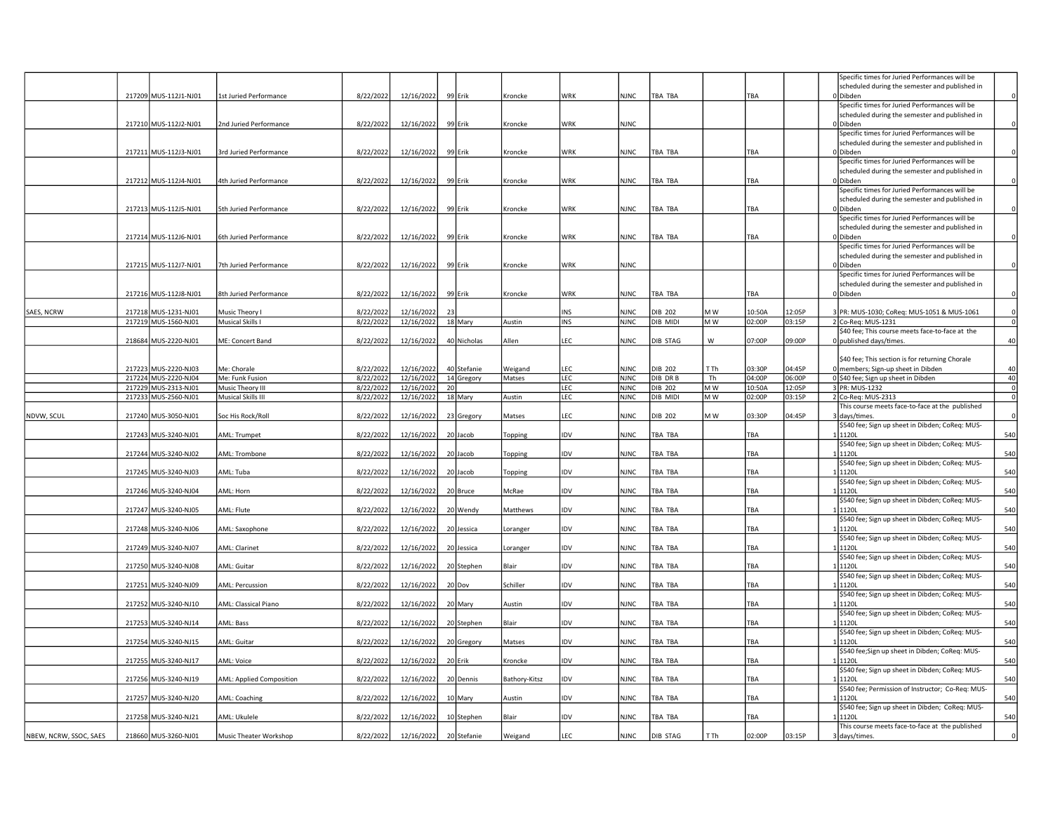|                        |                       |                                    |           |            |    |             |               |            |             |                |         |            |        | Specific times for Juried Performances will be             |                         |
|------------------------|-----------------------|------------------------------------|-----------|------------|----|-------------|---------------|------------|-------------|----------------|---------|------------|--------|------------------------------------------------------------|-------------------------|
|                        |                       |                                    |           |            |    |             |               |            |             |                |         |            |        | scheduled during the semester and published in             |                         |
|                        | 217209 MUS-112J1-NJ01 | 1st Juried Performance             | 8/22/2022 | 12/16/2022 |    | 99 Erik     | Kroncke       | WRK        | <b>NJNC</b> | TBA TBA        |         | <b>TBA</b> |        | 0 Dibden                                                   |                         |
|                        |                       |                                    |           |            |    |             |               |            |             |                |         |            |        | Specific times for Juried Performances will be             |                         |
|                        | 217210 MUS-112J2-NJ01 | 2nd Juried Performance             | 8/22/2022 | 12/16/2022 |    | 99 Erik     | Kroncke       | <b>WRK</b> | <b>NJNC</b> |                |         |            |        | scheduled during the semester and published in<br>0 Dibden | $\Omega$                |
|                        |                       |                                    |           |            |    |             |               |            |             |                |         |            |        | Specific times for Juried Performances will be             |                         |
|                        |                       |                                    |           |            |    |             |               |            |             |                |         |            |        | scheduled during the semester and published in             |                         |
|                        | 217211 MUS-112J3-NJ01 | 3rd Juried Performance             | 8/22/2022 | 12/16/2022 |    | 99 Erik     | Kroncke       | WRK        | <b>NJNC</b> | TBA TBA        |         | TBA        |        | 0 Dibden                                                   |                         |
|                        |                       |                                    |           |            |    |             |               |            |             |                |         |            |        | Specific times for Juried Performances will be             |                         |
|                        |                       |                                    |           |            |    |             |               |            |             |                |         |            |        | scheduled during the semester and published in             |                         |
|                        | 217212 MUS-112J4-NJ01 | 4th Juried Performance             | 8/22/2022 | 12/16/2022 |    | 99 Erik     | Kroncke       | WRK        | <b>NJNC</b> | TBA TBA        |         | ТВА        |        | 0Dibden                                                    |                         |
|                        |                       |                                    |           |            |    |             |               |            |             |                |         |            |        | Specific times for Juried Performances will be             |                         |
|                        |                       |                                    |           |            |    |             |               |            |             |                |         |            |        | scheduled during the semester and published in             |                         |
|                        | 217213 MUS-112J5-NJ01 | 5th Juried Performance             | 8/22/2022 | 12/16/2022 |    | 99 Erik     | Kroncke       | WRK        | <b>NJNC</b> | TBA TBA        |         | TBA        |        | 0 Dibden                                                   |                         |
|                        |                       |                                    |           |            |    |             |               |            |             |                |         |            |        | Specific times for Juried Performances will be             |                         |
|                        |                       |                                    |           |            |    |             |               |            |             |                |         |            |        | scheduled during the semester and published in             |                         |
|                        | 217214 MUS-112J6-NJ01 | 6th Juried Performance             | 8/22/2022 | 12/16/2022 |    | 99 Erik     | Kroncke       | <b>WRK</b> | <b>NJNC</b> | TBA TBA        |         | TBA        |        | 0 Dibden                                                   |                         |
|                        |                       |                                    |           |            |    |             |               |            |             |                |         |            |        | Specific times for Juried Performances will be             |                         |
|                        |                       |                                    |           |            |    |             |               |            |             |                |         |            |        | scheduled during the semester and published in             |                         |
|                        | 217215 MUS-112J7-NJ01 | 7th Juried Performance             | 8/22/2022 | 12/16/2022 |    | 99 Erik     | Kroncke       | WRK        | <b>NJNC</b> |                |         |            |        | 0 Dibden                                                   | $\Omega$                |
|                        |                       |                                    |           |            |    |             |               |            |             |                |         |            |        | Specific times for Juried Performances will be             |                         |
|                        |                       |                                    |           |            |    |             |               |            |             |                |         |            |        | scheduled during the semester and published in             |                         |
|                        | 217216 MUS-112J8-NJ01 | 8th Juried Performance             | 8/22/2022 | 12/16/2022 |    | 99 Erik     | Kroncke       | WRK        | <b>NJNC</b> | TBA TBA        |         | TBA        |        | 0 Dibden                                                   | $\mathbf 0$             |
| SAES, NCRW             | 217218 MUS-1231-NJ01  |                                    | 8/22/2022 | 12/16/2022 | 23 |             |               | <b>INS</b> | <b>NJNC</b> | DIB 202        | M W     | 10:50A     | 12:05P | 3 PR: MUS-1030; CoReg: MUS-1051 & MUS-1061                 | $\mathbf 0$             |
|                        | 217219 MUS-1560-NJ01  | Music Theory I<br>Musical Skills I | 8/22/2022 | 12/16/2022 |    | 18 Mary     | Austin        | INS        | <b>NJNC</b> | DIB MIDI       | M W     | 02:00P     | 03:15P | 2 Co-Rea: MUS-1231                                         | $\mathbf 0$             |
|                        |                       |                                    |           |            |    |             |               |            |             |                |         |            |        | \$40 fee; This course meets face-to-face at the            |                         |
|                        | 218684 MUS-2220-NJ01  | ME: Concert Band                   | 8/22/2022 | 12/16/2022 |    | 40 Nicholas | Allen         | LEC        | <b>NJNC</b> | DIB STAG       | W       | 07:00P     | 09:00P | 0 published days/times.                                    | 40                      |
|                        |                       |                                    |           |            |    |             |               |            |             |                |         |            |        |                                                            |                         |
|                        |                       |                                    |           |            |    |             |               |            |             |                |         |            |        | \$40 fee; This section is for returning Chorale            |                         |
|                        | 217223 MUS-2220-NJ03  | Me: Chorale                        | 8/22/2022 | 12/16/2022 |    | 40 Stefanie | Weigand       | LEC        | <b>NJNC</b> | DIB 202        | T Th    | 03:30P     | 04:45P | 0 members; Sign-up sheet in Dibden                         | 40                      |
|                        | 217224 MUS-2220-NJ04  | Me: Funk Fusion                    | 8/22/2022 | 12/16/2022 |    | 14 Gregory  | Matses        | LEC        | <b>NJNC</b> | DIB DR B       | Th      | 04:00P     | 06:00P | 0 \$40 fee; Sign up sheet in Dibden                        | 40                      |
|                        | 217229 MUS-2313-NJ01  | Music Theory III                   | 8/22/2022 | 12/16/2022 | 20 |             |               | LEC        | <b>NJNC</b> | <b>DIB 202</b> | $M_{W}$ | 10:50A     | 12:05P | 3 PR: MUS-1232                                             | $\overline{\mathbf{0}}$ |
|                        | 217233 MUS-2560-NJ01  | Musical Skills III                 | 8/22/2022 | 12/16/2022 |    | 18 Mary     | Austin        | LEC        | <b>NJNC</b> | DIB MIDI       | MW      | 02:00P     | 03:15P | 2 Co-Req: MUS-2313                                         | $\mathbf 0$             |
|                        |                       |                                    |           |            |    |             |               |            |             |                |         |            |        | This course meets face-to-face at the published            |                         |
| NDVW, SCUL             | 217240 MUS-3050-NJ01  | Soc His Rock/Roll                  | 8/22/202  | 12/16/2022 |    | 23 Gregory  | Matses        | LEC        | <b>NJNC</b> | <b>DIB 202</b> | M W     | 03:30F     | 04:45P | 3 days/times.                                              |                         |
|                        |                       |                                    |           |            |    |             |               |            |             |                |         |            |        | \$540 fee; Sign up sheet in Dibden; CoReq: MUS-            |                         |
|                        | 217243 MUS-3240-NJ01  | AML: Trumpet                       | 8/22/2022 | 12/16/2022 |    | 20 Jacob    | Topping       | IDV        | <b>NJNC</b> | TBA TBA        |         | TBA        |        | 1 1120L                                                    | 540                     |
|                        |                       |                                    |           |            |    |             |               |            |             |                |         |            |        | \$540 fee; Sign up sheet in Dibden; CoReq: MUS-            |                         |
|                        | 217244 MUS-3240-NJ02  | AML: Trombone                      | 8/22/2022 | 12/16/2022 |    | 20 Jacob    | Topping       | IDV        | <b>NJNC</b> | TBA TBA        |         | TBA        |        | 11120L                                                     | 540                     |
|                        |                       |                                    |           |            |    |             |               |            |             |                |         |            |        | \$540 fee; Sign up sheet in Dibden; CoReq: MUS-            |                         |
|                        | 217245 MUS-3240-NJ03  | AML: Tuba                          | 8/22/2022 | 12/16/2022 |    | 20 Jacob    | Topping       | IDV        | <b>NJNC</b> | TBA TBA        |         | ТВА        |        | 11120L                                                     | 540                     |
|                        |                       |                                    |           |            |    |             |               |            |             |                |         |            |        | \$540 fee; Sign up sheet in Dibden; CoReq: MUS-            |                         |
|                        | 217246 MUS-3240-NJ04  | AML: Horn                          | 8/22/2022 | 12/16/2022 |    | 20 Bruce    | McRae         | IDV        | <b>NJNC</b> | TBA TBA        |         | <b>TBA</b> |        | 1120L                                                      | 540                     |
|                        |                       |                                    |           |            |    |             |               |            |             |                |         |            |        | \$540 fee; Sign up sheet in Dibden; CoReq: MUS-<br>111201  |                         |
|                        | 217247 MUS-3240-NJ05  | AML: Flute                         | 8/22/2022 | 12/16/2022 |    | 20 Wendy    | Matthews      | IDV        | <b>NJNC</b> | TBA TBA        |         | TBA        |        |                                                            | 540                     |
|                        |                       |                                    | 8/22/2022 | 12/16/2022 |    | 20 Jessica  |               | IDV        | <b>NJNC</b> | TBA TBA        |         | TBA        |        | \$540 fee; Sign up sheet in Dibden; CoReq: MUS-<br>1 1120L | 540                     |
|                        | 217248 MUS-3240-NJ06  | AML: Saxophone                     |           |            |    |             | Loranger      |            |             |                |         |            |        | \$540 fee; Sign up sheet in Dibden; CoReq: MUS-            |                         |
|                        | 217249 MUS-3240-NJ07  | AML: Clarinet                      | 8/22/2022 | 12/16/2022 |    | 20 Jessica  | Loranger      | IDV        | <b>NJNC</b> | TBA TBA        |         | TBA        |        | L 1120L                                                    | 540                     |
|                        |                       |                                    |           |            |    |             |               |            |             |                |         |            |        | \$540 fee; Sign up sheet in Dibden; CoReq: MUS-            |                         |
|                        | 217250 MUS-3240-NJ08  | AML: Guitar                        | 8/22/2022 | 12/16/2022 |    | 20 Stephen  | Blair         | <b>IDV</b> | <b>NJNC</b> | TBA TBA        |         | TBA        |        | 11120L                                                     | 540                     |
|                        |                       |                                    |           |            |    |             |               |            |             |                |         |            |        | \$540 fee; Sign up sheet in Dibden; CoReq: MUS-            |                         |
|                        | 217251 MUS-3240-NJ09  | AML: Percussion                    | 8/22/2022 | 12/16/2022 |    | $20$ Dov    | Schiller      | <b>IDV</b> | <b>NJNC</b> | TBA TBA        |         | TBA        |        | L 1120L                                                    | 540                     |
|                        |                       |                                    |           |            |    |             |               |            |             |                |         |            |        | \$540 fee; Sign up sheet in Dibden; CoReq: MUS-            |                         |
|                        | 217252 MUS-3240-NJ10  | AML: Classical Piano               | 8/22/2023 | 12/16/2022 |    | 20 Mary     | Austin        | <b>DV</b>  | NJNC        | TBA TBA        |         | TBA        |        | L 1120L                                                    | 540                     |
|                        |                       |                                    |           |            |    |             |               |            |             |                |         |            |        | \$540 fee; Sign up sheet in Dibden; CoReq: MUS-            |                         |
|                        | 217253 MUS-3240-NJ14  | AML: Bass                          | 8/22/2022 | 12/16/2022 |    | 20 Stephen  | Blair         | IDV        | <b>NJNC</b> | TBA TBA        |         | TBA        |        | 11120L                                                     | 540                     |
|                        |                       |                                    |           |            |    |             |               |            |             |                |         |            |        | \$540 fee; Sign up sheet in Dibden; CoReq: MUS-            |                         |
|                        | 217254 MUS-3240-NJ15  | AML: Guitar                        | 8/22/2022 | 12/16/2022 |    | 20 Gregory  | Matses        | IDV        | <b>NJNC</b> | TBA TBA        |         | TBA        |        | 11120L                                                     | 540                     |
|                        |                       |                                    |           |            |    |             |               |            |             |                |         |            |        | \$540 fee;Sign up sheet in Dibden; CoReq: MUS-             |                         |
|                        | 217255 MUS-3240-NJ17  | AML: Voice                         | 8/22/2022 | 12/16/2022 |    | 20 Erik     | Kroncke       | <b>IDV</b> | <b>NJNC</b> | TBA TBA        |         | ТВА        |        | 11120L                                                     | 540                     |
|                        |                       |                                    |           |            |    |             |               |            |             |                |         |            |        | \$540 fee; Sign up sheet in Dibden; CoReq: MUS-            |                         |
|                        | 217256 MUS-3240-NJ19  | AML: Applied Composition           | 8/22/2022 | 12/16/2022 |    | 20 Dennis   | Bathory-Kitsz | IDV        | <b>NJNC</b> | TBA TBA        |         | <b>TBA</b> |        | 11120L                                                     | 540                     |
|                        |                       |                                    |           |            |    |             |               |            |             |                |         |            |        | \$540 fee; Permission of Instructor; Co-Req: MUS-          |                         |
|                        | 217257 MUS-3240-NJ20  | AML: Coaching                      | 8/22/2022 | 12/16/2022 |    | 10 Mary     | Austin        | IDV        | NJNC        | TBA TBA        |         | TBA        |        | 1 1120L                                                    | 540                     |
|                        |                       |                                    |           |            |    |             |               |            |             |                |         |            |        | \$540 fee; Sign up sheet in Dibden; CoReq: MUS-            |                         |
|                        | 217258 MUS-3240-NJ21  | AML: Ukulele                       | 8/22/2022 | 12/16/2022 |    | 10 Stephen  | Blair         | IDV        | NJNC        | TBA TBA        |         | TBA        |        | 111201                                                     | 540                     |
|                        |                       |                                    |           |            |    |             |               |            |             |                |         |            |        | This course meets face-to-face at the published            |                         |
| NBEW, NCRW, SSOC, SAES | 218660 MUS-3260-NJ01  | Music Theater Workshop             | 8/22/2022 | 12/16/2022 |    | 20 Stefanie | Weigand       | LEC        | <b>NJNC</b> | DIB STAG       | T Th    | 02:00P     | 03:15P | 3 days/times.                                              |                         |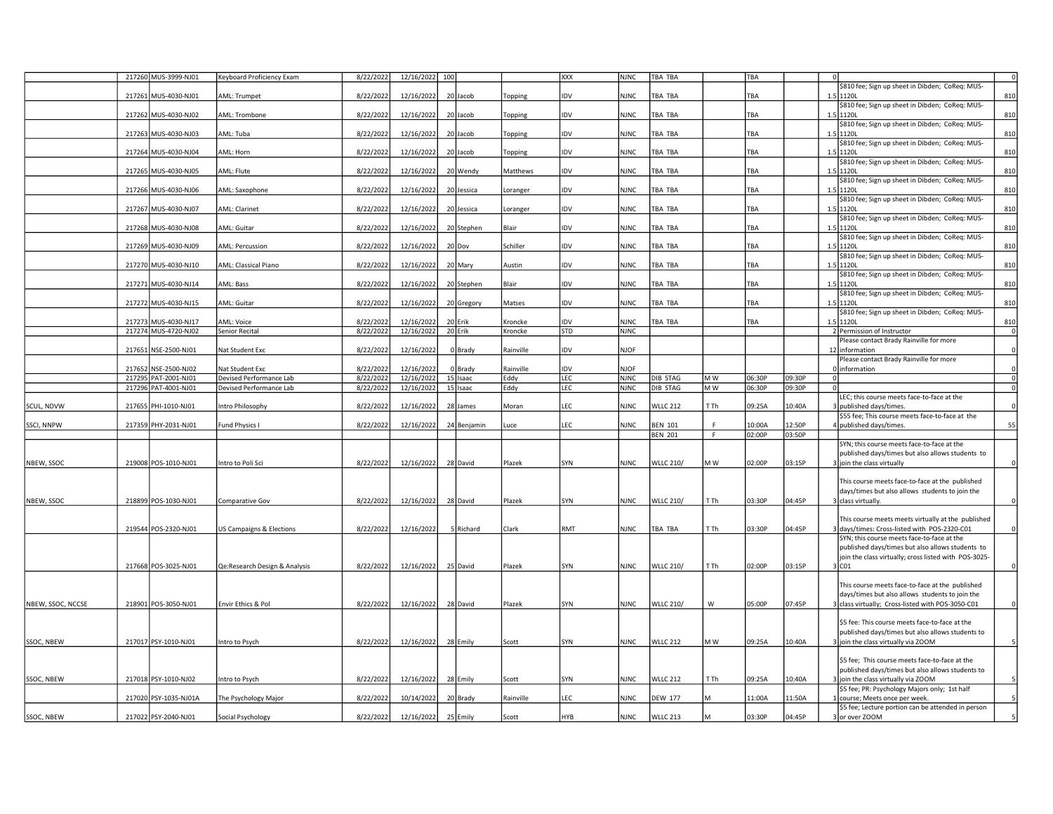|                   | 217260 MUS-3999-NJ01                         | Keyboard Proficiency Exam                  | 8/22/2022              | 12/16/2022 100           |                     |                   | <b>XXX</b>               | <b>NJNC</b>                | TBA TBA          |      | TBA    |        |                                                                                                    | 0              |
|-------------------|----------------------------------------------|--------------------------------------------|------------------------|--------------------------|---------------------|-------------------|--------------------------|----------------------------|------------------|------|--------|--------|----------------------------------------------------------------------------------------------------|----------------|
|                   | 217261 MUS-4030-NJ01                         | AML: Trumpet                               |                        | 12/16/2022               | 20 Jacob            |                   | IDV                      | <b>NJNC</b>                | TBA TBA          |      | TBA    |        | \$810 fee; Sign up sheet in Dibden; CoReq: MUS-<br>1.5 1120                                        | 810            |
|                   |                                              |                                            | 8/22/2022              |                          |                     | Topping           |                          |                            |                  |      |        |        | \$810 fee; Sign up sheet in Dibden; CoReq: MUS-                                                    |                |
|                   | 217262 MUS-4030-NJ02                         | AML: Trombone                              | 8/22/2022              | 12/16/2022               | 20 Jacob            | Topping           | <b>IDV</b>               | <b>NJNC</b>                | TBA TBA          |      | TBA    |        | 1.5 1120                                                                                           | 810            |
|                   | 217263 MUS-4030-NJ03                         | AML: Tuba                                  | 8/22/2022              | 12/16/2022               | 20 Jacob            | Topping           | <b>IDV</b>               | <b>NJNC</b>                | TBA TBA          |      | TBA    |        | \$810 fee; Sign up sheet in Dibden; CoReq: MUS-<br>1.5 1120                                        | 810            |
|                   |                                              |                                            |                        |                          |                     |                   |                          |                            |                  |      |        |        | \$810 fee; Sign up sheet in Dibden; CoReq: MUS-                                                    |                |
|                   | 217264 MUS-4030-NJ04                         | AML: Horn                                  | 8/22/2022              | 12/16/2022               | 20 Jacob            | Topping           | <b>IDV</b>               | <b>NJNC</b>                | TBA TBA          |      | TBA    |        | 1.5 1120                                                                                           | 810            |
|                   | 217265 MUS-4030-NJ05                         | AML: Flute                                 | 8/22/2022              | 12/16/2022               | 20 Wendy            | Matthews          | IDV                      | <b>NJNC</b>                | TBA TBA          |      | TBA    |        | \$810 fee; Sign up sheet in Dibden; CoReq: MUS-<br>1.5 1120                                        | 810            |
|                   |                                              |                                            |                        |                          |                     |                   |                          |                            |                  |      |        |        | \$810 fee; Sign up sheet in Dibden; CoReq: MUS-                                                    |                |
|                   | 217266 MUS-4030-NJ06                         | AML: Saxophone                             | 8/22/2022              | 12/16/2022               | 20 Jessica          | Loranger          | lidv                     | NJNC                       | TBA TBA          |      | TBA    |        | 1.5 1120                                                                                           | 810            |
|                   |                                              |                                            |                        |                          |                     |                   | IDV                      | <b>NJNC</b>                |                  |      |        |        | \$810 fee; Sign up sheet in Dibden; CoReq: MUS-<br>1.5 1120L                                       |                |
|                   | 217267 MUS-4030-NJ07                         | AML: Clarinet                              | 8/22/2022              | 12/16/2022               | 20 Jessica          | Loranger          |                          |                            | TBA TBA          |      | TBA    |        | \$810 fee; Sign up sheet in Dibden; CoReq: MUS-                                                    | 810            |
|                   | 217268 MUS-4030-NJ08                         | AML: Guitar                                | 8/22/2022              | 12/16/2022               | 20 Stephen          | Blair             | <b>IDV</b>               | <b>NJNC</b>                | TBA TBA          |      | TBA    |        | 11201                                                                                              | 810            |
|                   |                                              |                                            |                        |                          |                     |                   |                          |                            |                  |      |        |        | \$810 fee; Sign up sheet in Dibden; CoReq: MUS-                                                    |                |
|                   | 217269 MUS-4030-NJ09                         | AML: Percussion                            | 8/22/2022              | 12/16/2022               | $20$ Dov            | Schiller          | <b>IDV</b>               | <b>NJNC</b>                | TBA TBA          |      | TBA    |        | 1.5 1120<br>\$810 fee; Sign up sheet in Dibden; CoReq: MUS-                                        | 810            |
|                   | 217270 MUS-4030-NJ10                         | AML: Classical Piano                       | 8/22/2022              | 12/16/2022               | 20 Mary             | Austin            | IDV                      | <b>NJNC</b>                | TBA TBA          |      | TBA    |        | 1.5 1120                                                                                           | 810            |
|                   |                                              |                                            |                        |                          |                     |                   |                          |                            |                  |      |        |        | \$810 fee; Sign up sheet in Dibden; CoReq: MUS-                                                    |                |
|                   | 217271 MUS-4030-NJ14                         | AML: Bass                                  | 8/22/202               | 12/16/2022               | 20 Stephen          | Blair             | <b>IDV</b>               | <b>NJNC</b>                | TBA TBA          |      | TBA    |        | 1.5 1120<br>\$810 fee; Sign up sheet in Dibden; CoReq: MUS-                                        | 810            |
|                   | 217272 MUS-4030-NJ15                         | AML: Guitar                                | 8/22/2022              | 12/16/2022               | 20 Gregory          | Matses            | IDV                      | <b>NJNC</b>                | TBA TBA          |      | TBA    |        | 1.5 1120                                                                                           | 810            |
|                   |                                              |                                            |                        |                          |                     |                   |                          |                            |                  |      |        |        | \$810 fee; Sign up sheet in Dibden; CoReq: MUS-                                                    |                |
|                   | 217273 MUS-4030-NJ17<br>217274 MUS-4720-NJ02 | AML: Voice<br>Senior Recital               | 8/22/2022<br>8/22/2022 | 12/16/2022<br>12/16/2022 | 20 Erik<br>20 Erik  | Kroncke           | <b>IDV</b><br><b>STD</b> | NJNC<br><b>NJNC</b>        | TBA TBA          |      | TBA    |        | 1.5 1120                                                                                           | 810<br> 0      |
|                   |                                              |                                            |                        |                          |                     | Kroncke           |                          |                            |                  |      |        |        | 2 Permission of Instructor<br>Please contact Brady Rainville for more                              |                |
|                   | 217651 NSE-2500-NJ01                         | Nat Student Exc                            | 8/22/2022              | 12/16/2022               | 0 Brady             | Rainville         | lidv                     | <b>NJOF</b>                |                  |      |        |        | 12 information                                                                                     | $\circ$        |
|                   |                                              |                                            |                        |                          |                     |                   |                          |                            |                  |      |        |        | Please contact Brady Rainville for more                                                            | $\Omega$       |
|                   | 217652 NSE-2500-NJ02<br>217295 PAT-2001-NJ01 | Nat Student Exc<br>Devised Performance Lab | 8/22/2022<br>8/22/2022 | 12/16/2022<br>12/16/2022 | 0 Brady<br>15 Isaac | Rainville<br>Eddy | <b>IDV</b><br>LEC        | <b>NJOF</b><br><b>NJNC</b> | DIB STAG         | M W  | 06:30P | 09:30P | information                                                                                        | $\circ$        |
|                   | 217296 PAT-4001-NJ01                         | Devised Performance Lab                    | 8/22/2022              | 12/16/2022               | 15 Isaac            | Eddy              | LEC                      | <b>NJNC</b>                | <b>DIB STAG</b>  | MW   | 06:30P | 09:30P |                                                                                                    | $\overline{0}$ |
|                   |                                              |                                            |                        |                          |                     |                   |                          |                            |                  |      |        |        | LEC; this course meets face-to-face at the                                                         |                |
| SCUL, NDVW        | 217655 PHI-1010-NJ01                         | ntro Philosophy                            | 8/22/2022              | 12/16/2022               | 28 James            | Moran             | LEC                      | <b>NJNC</b>                | <b>WLLC 212</b>  | T Th | 09:25A | 10:40A | published days/times.<br>\$55 fee; This course meets face-to-face at the                           |                |
| SSCI, NNPW        | 217359 PHY-2031-NJ01                         | Fund Physics I                             | 8/22/2022              | 12/16/2022               | 24 Benjamin         | Luce              | LEC                      | <b>NJNC</b>                | <b>BEN 101</b>   | E    | 10:00A | 12:50P | published days/times.                                                                              | 55             |
|                   |                                              |                                            |                        |                          |                     |                   |                          |                            | <b>BEN 201</b>   | F    | 02:00P | 03:50P |                                                                                                    |                |
|                   |                                              |                                            |                        |                          |                     |                   |                          |                            |                  |      |        |        | SYN; this course meets face-to-face at the<br>published days/times but also allows students to     |                |
| NBEW, SSOC        | 219008 POS-1010-NJ01                         | Intro to Poli Sci                          | 8/22/2022              | 12/16/2022               | 28 David            | Plazek            | SYN                      | <b>NJNC</b>                | <b>WLLC 210/</b> | M W  | 02:00P | 03:15P | join the class virtually                                                                           | $\Omega$       |
|                   |                                              |                                            |                        |                          |                     |                   |                          |                            |                  |      |        |        |                                                                                                    |                |
|                   |                                              |                                            |                        |                          |                     |                   |                          |                            |                  |      |        |        | This course meets face-to-face at the published<br>days/times but also allows students to join the |                |
| NBEW, SSOC        | 218899 POS-1030-NJ01                         | Comparative Gov                            | 8/22/2022              | 12/16/2022               | 28 David            | Plazek            | SYN                      | <b>NJNC</b>                | <b>WLLC 210/</b> | T Th | 03:30P | 04:45P | 3 class virtually.                                                                                 | $\Omega$       |
|                   |                                              |                                            |                        |                          |                     |                   |                          |                            |                  |      |        |        |                                                                                                    |                |
|                   | 219544 POS-2320-NJ01                         | <b>US Campaigns &amp; Elections</b>        | 8/22/2022              | 12/16/2022               | 5 Richard           | Clark             | <b>RMT</b>               | <b>NJNC</b>                | TBA TBA          | T Th | 03:30P | 04:45P | This course meets meets virtually at the published<br>davs/times: Cross-listed with POS-2320-C01   | $\Omega$       |
|                   |                                              |                                            |                        |                          |                     |                   |                          |                            |                  |      |        |        | SYN; this course meets face-to-face at the                                                         |                |
|                   |                                              |                                            |                        |                          |                     |                   |                          |                            |                  |      |        |        | published days/times but also allows students to                                                   |                |
|                   | 217668 POS-3025-NJ01                         | Qe:Research Design & Analysis              | 8/22/2022              | 12/16/2022               | 25 David            | Plazek            | SYN                      | <b>NJNC</b>                | <b>WLLC 210/</b> | T Th | 02:00P | 03:15P | join the class virtually; cross listed with POS-3025-<br>$3$ CO <sub>1</sub>                       | $\circ$        |
|                   |                                              |                                            |                        |                          |                     |                   |                          |                            |                  |      |        |        |                                                                                                    |                |
|                   |                                              |                                            |                        |                          |                     |                   |                          |                            |                  |      |        |        | This course meets face-to-face at the published                                                    |                |
| NBEW, SSOC, NCCSE | 218901 POS-3050-NJ01                         | Envir Ethics & Pol                         | 8/22/2022              | 12/16/2022               | 28 David            | Plazek            | SYN                      | <b>NJNC</b>                | <b>WLLC 210/</b> | W    | 05:00P | 07:45P | days/times but also allows students to join the<br>class virtually; Cross-listed with POS-3050-C01 | $\Omega$       |
|                   |                                              |                                            |                        |                          |                     |                   |                          |                            |                  |      |        |        |                                                                                                    |                |
|                   |                                              |                                            |                        |                          |                     |                   |                          |                            |                  |      |        |        | \$5 fee: This course meets face-to-face at the                                                     |                |
|                   |                                              |                                            |                        |                          |                     |                   |                          |                            |                  |      |        |        | published days/times but also allows students to                                                   |                |
| SSOC, NBEW        | 217017 PSY-1010-NJ01                         | Intro to Psych                             | 8/22/2022              | 12/16/2022               | 28 Emily            | Scott             | SYN                      | <b>NJNC</b>                | <b>WLLC 212</b>  | M W  | 09:25A | 10:40A | join the class virtually via ZOOM                                                                  |                |
|                   |                                              |                                            |                        |                          |                     |                   |                          |                            |                  |      |        |        | \$5 fee; This course meets face-to-face at the                                                     |                |
|                   |                                              |                                            |                        |                          |                     |                   |                          |                            |                  |      |        |        | published days/times but also allows students to                                                   |                |
| SSOC, NBEW        | 217018 PSY-1010-NJ02                         | Intro to Psych                             | 8/22/2022              | 12/16/2022               | 28 Emily            | Scott             | SYN                      | <b>NJNC</b>                | <b>WLLC 212</b>  | T Th | 09:25A | 10:40A | 3 join the class virtually via ZOOM<br>\$5 fee; PR: Psychology Majors only; 1st half               |                |
|                   | 217020 PSY-1035-NJ01A                        | The Psychology Major                       | 8/22/2022              | 10/14/2022               | 20 Brady            | Rainville         | <b>LEC</b>               | <b>NJNC</b>                | <b>DEW 177</b>   |      | 1:00A  | 1:50A  | course; Meets once per week.                                                                       |                |
|                   |                                              |                                            |                        |                          |                     |                   |                          |                            |                  |      |        |        | \$5 fee; Lecture portion can be attended in person                                                 |                |
| SSOC, NBEW        | 217022 PSY-2040-NJ01                         | Social Psychology                          | 8/22/2022              | 12/16/2022               | 25 Emily            | Scott             | <b>HYB</b>               | <b>NJNC</b>                | <b>WLLC 213</b>  |      | 03:30P | 04:45P | or over ZOOM                                                                                       |                |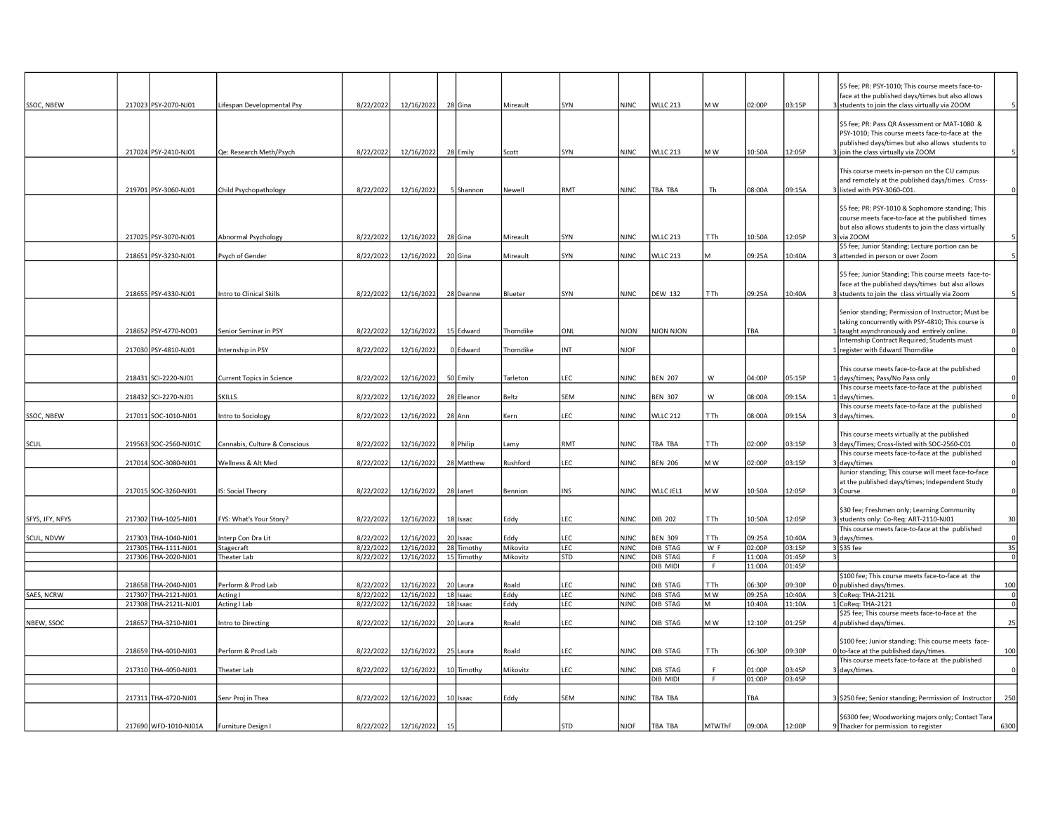|                 |                       |                                  |           |            |    |            |           |            |             |                 |               |        |        |                | \$5 fee; PR: PSY-1010; This course meets face-to-<br>face at the published days/times but also allows                                                                                                |                |
|-----------------|-----------------------|----------------------------------|-----------|------------|----|------------|-----------|------------|-------------|-----------------|---------------|--------|--------|----------------|------------------------------------------------------------------------------------------------------------------------------------------------------------------------------------------------------|----------------|
| SSOC, NBEW      | 217023 PSY-2070-NJ01  | Lifespan Developmental Psy       | 8/22/2022 | 12/16/2022 |    | 28 Gina    | Mireault  | SYN        | <b>NJNC</b> | WLLC 213        | M W           | 02:00P | 03:15P |                | 3 students to join the class virtually via ZOOM                                                                                                                                                      |                |
|                 | 217024 PSY-2410-NJ01  | Qe: Research Meth/Psych          | 8/22/2022 | 12/16/2022 |    | 28 Emily   | Scott     | SYN        | <b>NJNC</b> | WLLC 213        | M W           | 10:50A | 12:05P |                | \$5 fee; PR: Pass QR Assessment or MAT-1080 &<br>PSY-1010; This course meets face-to-face at the<br>published days/times but also allows students to<br>join the class virtually via ZOOM            |                |
|                 |                       |                                  |           |            |    |            |           |            |             |                 |               |        |        |                | This course meets in-person on the CU campus<br>and remotely at the published days/times. Cross-                                                                                                     |                |
|                 | 219701 PSY-3060-NJ01  | Child Psychopathology            | 8/22/2022 | 12/16/2022 |    | 5 Shannon  | Newell    | RMT        | <b>NJNC</b> | TBA TBA         | Th            | 08:00A | 09:15A |                | 3 listed with PSY-3060-C01.                                                                                                                                                                          |                |
|                 | 217025 PSY-3070-NJ01  | Abnormal Psychology              | 8/22/2022 | 12/16/2022 |    | 28 Gina    | Mireault  | SYN        | <b>NJNC</b> | <b>WLLC 213</b> | T Th          | 10:50A | 12:05P |                | \$5 fee; PR: PSY-1010 & Sophomore standing; This<br>course meets face-to-face at the published times<br>but also allows students to join the class virtually<br>3 via ZOOM                           |                |
|                 | 218651 PSY-3230-NJ01  | Psych of Gender                  | 8/22/2022 | 12/16/2022 |    | 20 Gina    | Mireault  | SYN        | <b>NJNC</b> | <b>WLLC 213</b> | м             | 09:25A | 10:40A |                | \$5 fee; Junior Standing; Lecture portion can be<br>3 attended in person or over Zoom                                                                                                                |                |
|                 | 218655 PSY-4330-NJ01  | Intro to Clinical Skills         | 8/22/2022 | 12/16/2022 |    | 28 Deanne  | Blueter   | SYN        | <b>NJNC</b> | <b>DEW 132</b>  | T Th          | 09:25A | 10:40A |                | \$5 fee; Junior Standing; This course meets face-to-<br>face at the published days/times but also allows<br>3 students to join the class virtually via Zoom                                          |                |
|                 | 218652 PSY-4770-NO01  | Senior Seminar in PSY            | 8/22/2022 | 12/16/2022 |    | 15 Edward  | Thorndike | ONL        | <b>NJON</b> | NJON NJON       |               | TBA    |        |                | Senior standing; Permission of Instructor; Must be<br>taking concurrently with PSY-4810; This course is<br>taught asynchronously and entirely online.<br>Internship Contract Required; Students must | $\Omega$       |
|                 | 217030 PSY-4810-NJ01  | nternship in PSY                 | 8/22/2022 | 12/16/2022 |    | 0 Edward   | Thorndike | <b>INT</b> | <b>NJOF</b> |                 |               |        |        |                | 1 register with Edward Thorndike                                                                                                                                                                     |                |
|                 | 218431 SCI-2220-NJ01  | <b>Current Topics in Science</b> | 8/22/2022 | 12/16/2022 |    | 50 Emily   | Tarleton  | LEC        | <b>NJNC</b> | <b>BEN 207</b>  | W             | 04:00P | 05:15P |                | This course meets face-to-face at the published<br>1 days/times; Pass/No Pass only                                                                                                                   |                |
|                 | 218432 SCI-2270-NJ01  | <b>SKILLS</b>                    | 8/22/2022 | 12/16/2022 |    | 28 Eleanor | Beltz     | SEM        | <b>NJNC</b> | <b>BEN 307</b>  | W             | 08:00A | 09:15A |                | This course meets face-to-face at the published<br>1 days/times.                                                                                                                                     | $\mathbf 0$    |
|                 |                       |                                  |           |            |    |            |           |            |             |                 |               |        |        |                | This course meets face-to-face at the published                                                                                                                                                      |                |
| SSOC, NBEW      | 217011 SOC-1010-NJ01  | ntro to Sociology                | 8/22/2022 | 12/16/2022 |    | $28$ Ann   | Kern      | LEC        | NJNC        | <b>WLLC 212</b> | T Th          | 08:00A | 09:15A |                | 3 days/times.                                                                                                                                                                                        | $\mathbf 0$    |
| SCUL            | 219563 SOC-2560-NJ01C | Cannabis, Culture & Conscious    | 8/22/2022 | 12/16/2022 |    | 8 Philip   | Lamv      | RMT        | <b>NJNC</b> | TBA TBA         | T Th          | 02:00P | 03:15P |                | This course meets virtually at the published<br>days/Times; Cross-listed with SOC-2560-C01<br>This course meets face-to-face at the published                                                        |                |
|                 | 217014 SOC-3080-NJ01  | Wellness & Alt Med               | 8/22/2022 | 12/16/2022 |    | 28 Matthew | Rushford  | LEC        | <b>NJNC</b> | <b>BEN 206</b>  | M W           | 02:00P | 03:15P |                | 3 days/times                                                                                                                                                                                         |                |
|                 | 217015 SOC-3260-NJ01  | S: Social Theory                 | 8/22/2022 | 12/16/2022 |    | 28 Janet   | Bennion   | INS        | <b>NJNC</b> | WLLC JEL1       | M W           | 10:50A | 12:05P |                | Junior standing; This course will meet face-to-face<br>at the published days/times; Independent Study<br>3 Course                                                                                    | $\Omega$       |
|                 |                       |                                  |           |            |    |            |           |            |             |                 |               |        |        |                | \$30 fee; Freshmen only; Learning Community                                                                                                                                                          |                |
| SFYS, JFY, NFYS | 217302 THA-1025-NJ01  | FYS: What's Your Story?          | 8/22/2022 | 12/16/2022 |    | 18 Isaac   | Eddy      | LEC        | <b>NJNC</b> | DIB 202         | T Th          | 10:50A | 12:05P |                | students only: Co-Req: ART-2110-NJ01                                                                                                                                                                 | 30             |
| SCUL, NDVW      | 217303 THA-1040-NJ01  | Interp Con Dra Lit               | 8/22/2022 | 12/16/2022 |    | 20 Isaac   | Eddy      | LEC        | <b>NJNC</b> | <b>BEN 309</b>  | T Th          | 09:25A | 10:40A |                | This course meets face-to-face at the published<br>3 days/times.                                                                                                                                     | $\mathbf 0$    |
|                 | 217305 THA-1111-NJ01  | Stagecraft                       | 8/22/2022 | 12/16/2022 |    | 28 Timothy | Mikovitz  | LEC        | <b>NJNC</b> | <b>DIB STAG</b> | W F           | 02:00P | 03:15P |                | 3 \$35 fee                                                                                                                                                                                           | 35             |
|                 | 217306 THA-2020-NJ01  | Theater Lab                      | 8/22/2022 | 12/16/2022 |    | 15 Timothy | Mikovitz  | STD        | <b>NJNC</b> | DIB STAG        | F             | 11:00A | 01:45P | $\overline{3}$ |                                                                                                                                                                                                      | $\circ$        |
|                 |                       |                                  |           |            |    |            |           |            |             | DIB MIDI        | F             | 11:00A | 01:45P |                | \$100 fee; This course meets face-to-face at the                                                                                                                                                     |                |
|                 | 218658 THA-2040-NJ01  | Perform & Prod Lab               | 8/22/202  | 12/16/2022 |    | 20 Laura   | Roald     | LEC        | <b>NJNC</b> | DIB STAG        | T Th          | 06:30P | 09:30P |                | 0 published days/times.                                                                                                                                                                              | 100            |
| SAES, NCRW      | 217307 THA-2121-NJ01  | Acting I                         | 8/22/2022 | 12/16/2022 |    | 18 Isaac   | Eddy      | LEC        | <b>NJNC</b> | DIB STAG        | M W           | 09:25A | 10:40A |                | 3 CoReg: THA-2121L                                                                                                                                                                                   | $\circ$        |
|                 | 217308 THA-2121L-NJ01 | Acting I Lab                     | 8/22/2022 | 12/16/2022 |    | 18 Isaac   | Eddy      | LEC        | <b>NJNC</b> | DIB STAG        | M             | 10:40A | 11:10A |                | 1 CoReq: THA-2121<br>\$25 fee; This course meets face-to-face at the                                                                                                                                 | $\overline{0}$ |
| NBEW, SSOC      | 218657 THA-3210-NJ01  | Intro to Directing               | 8/22/202  | 12/16/2022 |    | 20 Laura   | Roald     | LEC        | <b>NJNC</b> | DIB STAG        | M W           | 12:10P | 01:25P |                | 4 published days/times.                                                                                                                                                                              | 25             |
|                 | 218659 THA-4010-NJ01  | Perform & Prod Lab               | 8/22/2022 | 12/16/2022 |    | 25 Laura   | Roald     | LEC        | <b>NJNC</b> | DIB STAG        | T Th          | 06:30P | 09:30P |                | \$100 fee; Junior standing; This course meets face-<br>0 to-face at the published days/times.<br>This course meets face-to-face at the published                                                     | 100            |
|                 | 217310 THA-4050-NJ01  | Theater Lab                      | 8/22/2022 | 12/16/2022 |    | 10 Timothy | Mikovitz  | LEC        | <b>NJNC</b> | DIB STAG        |               | 01:00P | 03:45P |                | 3 days/times.                                                                                                                                                                                        | 0              |
|                 |                       |                                  |           |            |    |            |           |            |             | DIB MIDI        | F             | 01:00P | 03:45P |                |                                                                                                                                                                                                      |                |
|                 | 217311 THA-4720-NJ01  | Senr Proj in Thea                | 8/22/2022 | 12/16/2022 |    | 10 Isaac   | Eddy      | SEM        | <b>NJNC</b> | TBA TBA         |               | TBA    |        |                | 3 \$250 fee; Senior standing; Permission of Instructor                                                                                                                                               | 250            |
|                 |                       |                                  |           |            |    |            |           |            |             |                 |               |        |        |                | \$6300 fee; Woodworking majors only; Contact Tara                                                                                                                                                    |                |
|                 | 217690 WFD-1010-NJ01A | Furniture Design I               | 8/22/2022 | 12/16/2022 | 15 |            |           | STD        | <b>NJOF</b> | TBA TBA         | <b>MTWThF</b> | 09:00A | 12:00P |                | 9 Thacker for permission to register                                                                                                                                                                 | 6300           |